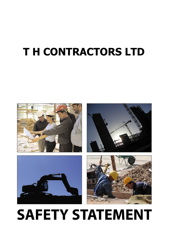# **T H CONTRACTORS LTD**



# **SAFETY STATEMENT**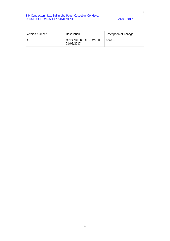| Version number | Description                          | Description of Change |
|----------------|--------------------------------------|-----------------------|
|                | ORIGINAL TOTAL REWRITE<br>21/03/2017 | None $-$              |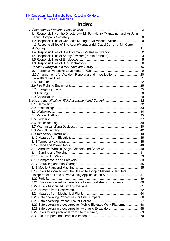# **Index**

| 1.1 Responsibility of the Directors---- Mr Tom Henry (Managing) and Mr John |  |
|-----------------------------------------------------------------------------|--|
|                                                                             |  |
| 1.2 Responsibilities of Contracts Manager (Mr Vincent Wilson). 10           |  |
| 1.3 Responsibilities of Site Agent/Manager (Mr David Curran & Mr Kieran     |  |
|                                                                             |  |
| 1.4 Responsibilities of Site Foreman: (Mr Kasimir Ivanov)12                 |  |
|                                                                             |  |
|                                                                             |  |
|                                                                             |  |
|                                                                             |  |
|                                                                             |  |
|                                                                             |  |
|                                                                             |  |
|                                                                             |  |
|                                                                             |  |
|                                                                             |  |
|                                                                             |  |
|                                                                             |  |
|                                                                             |  |
|                                                                             |  |
|                                                                             |  |
|                                                                             |  |
|                                                                             |  |
|                                                                             |  |
|                                                                             |  |
|                                                                             |  |
|                                                                             |  |
|                                                                             |  |
|                                                                             |  |
|                                                                             |  |
|                                                                             |  |
|                                                                             |  |
|                                                                             |  |
|                                                                             |  |
|                                                                             |  |
|                                                                             |  |
|                                                                             |  |
| 3.19 Risks Associated with the Use of Telescopic Materials Handlers         |  |
| (Teleporters) as Load Movers/Lifting Appliances on Site. 57                 |  |
|                                                                             |  |
| 3.21 Risks associated with erection of structural steel components 60       |  |
|                                                                             |  |
|                                                                             |  |
|                                                                             |  |
|                                                                             |  |
|                                                                             |  |
| 3.27 Safe operating procedures for Mobile Elevated Work Platforms68         |  |
|                                                                             |  |
|                                                                             |  |
|                                                                             |  |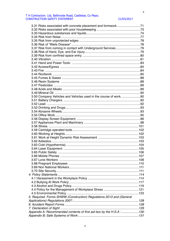# 21/03/2017

| 3.37 Risk from coming in contact with Underground Services79         |  |
|----------------------------------------------------------------------|--|
|                                                                      |  |
|                                                                      |  |
|                                                                      |  |
|                                                                      |  |
|                                                                      |  |
|                                                                      |  |
|                                                                      |  |
|                                                                      |  |
|                                                                      |  |
|                                                                      |  |
|                                                                      |  |
|                                                                      |  |
| 3.50 Company Vehicles and Vehicles used in the course of work. 90    |  |
|                                                                      |  |
|                                                                      |  |
|                                                                      |  |
|                                                                      |  |
|                                                                      |  |
|                                                                      |  |
|                                                                      |  |
|                                                                      |  |
|                                                                      |  |
|                                                                      |  |
|                                                                      |  |
|                                                                      |  |
|                                                                      |  |
|                                                                      |  |
|                                                                      |  |
|                                                                      |  |
|                                                                      |  |
|                                                                      |  |
|                                                                      |  |
|                                                                      |  |
|                                                                      |  |
|                                                                      |  |
|                                                                      |  |
|                                                                      |  |
|                                                                      |  |
|                                                                      |  |
|                                                                      |  |
| 5. Required Forms SHWW (Construction) Regulations 2013 and (General  |  |
|                                                                      |  |
|                                                                      |  |
|                                                                      |  |
| Appendix A: Recommended contents of first aid box by the H.S.A : 130 |  |
|                                                                      |  |
|                                                                      |  |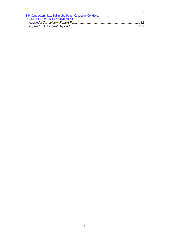| T H Contractors Ltd, Ballinrobe Road, Castlebar, Co Mayo.<br><b>Contract Contract</b> |  |
|---------------------------------------------------------------------------------------|--|
| <b>CONSTRUCTION SAFETY STATEMENT</b>                                                  |  |
|                                                                                       |  |
|                                                                                       |  |
|                                                                                       |  |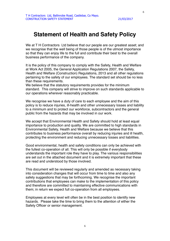# **Statement of Health and Safety Policy**

We at T H Contractors Ltd believe that our people are our greatest asset; and we recognise that the well being of those people is of the utmost importance so that they can enjoy life to the full and contribute their best to the overall business performance of the company.

It is the policy of this company to comply with the Safety, Health and Welfare at Work Act 2005, the General Application Regulations 2007, the Safety, Health and Welfare (Construction) Regulations, 2013 and all other regulations pertaining to the safety of our employees. The standard set should be no less than these requirements.

We believe that the statutory requirements provides for the minimum standard. This company will strive to improve on such standards applicable to our operations wherever reasonably practicable.

We recognise we have a duty of care to each employee and the aim of this policy is to reduce injuries, ill-health and other unnecessary losses and liability to a minimum and to protect our workforce, subcontractors and the general public from the hazards that may be involved in our work.

We accept that Environmental Health and Safety should hold at least equal importance to production and quality. We are committed to high standards in Environmental Safety, Health and Welfare because we believe that this contributes to business performance overall by reducing injuries and ill health, protecting the environment and reducing unnecessary losses and liabilities.

Good environmental, health and safety conditions can only be achieved with the fullest co-operation of all. This will only be possible if everybody understands the important role they have to play. The various responsibilities are set out in the attached document and it is extremely important that these are read and understood by those involved.

This document will be reviewed regularly and amended as necessary taking into consideration changes that will occur from time to time and also any safety suggestions that may be forthcoming. We recognise the important contributions that employees can make to the implementation of this policy and therefore are committed to maintaining effective communications with them; in return we expect full co-operation from all employees.

Employees at every level will often be in the best position to identify new hazards. Please take the time to bring them to the attention of either the Safety Officer or senior management.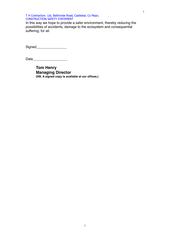In this way we hope to provide a safer environment, thereby reducing the possibilities of accidents, damage to the ecosystem and consequential suffering, for all.

Signed\_\_\_\_\_\_\_\_\_\_\_\_\_\_\_\_

Date

**Tom Henry Managing Director (NB. A signed copy is available at our offices.)**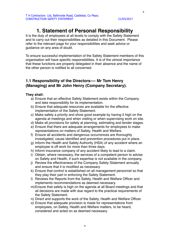# <span id="page-7-0"></span>**1. Statement of Personal Responsibility**

It is the duty of employees at all levels to comply with the Safety Statement and to carry out their responsibilities as detailed in this Document. Please refer to the relevant page for your responsibilities and seek advice or guidance on any area of doubt.

To ensure successful implementation of the Safety Statement members of this organisation will have specific responsibilities. It is of the utmost importance that these functions are properly delegated in their absence and the name of the other person is notified to all concerned.

# <span id="page-7-1"></span>**1.1 Responsibility of the Directors---- Mr Tom Henry (Managing) and Mr John Henry (Company Secretary).**

# **They shall:**

- a) Ensure that an effective Safety Statement exists within the Company and take responsibility for its implementation.
- b) Ensure that adequate resources are available for the effective implementation of the Safety Statement.
- c) Make safety a priority and show good example by having it high on the agenda at meetings and when visiting or when supervising work on site.
- d) Make all provisions for safety at planning, estimating and tender stages.
- e) Ensure that there are adequate arrangements for employees to make representations on matters of Safety, Health and Welfare.
- f) Ensure all accidents and dangerous occurrences are thoroughly investigated, cause identified and prevention procedures put in place.
- g) Inform the Health and Safety Authority (HSA) of any accident where an employee is off work for more than three days.
- h) Inform insurance company of any accident likely to lead to a claim.
- i) Obtain, where necessary, the services of a competent person to advise on Safety and Health, if such expertise is not available in the company.
- j) Review the effectiveness of the Company Safety Statement annually and ensure that it is modified as necessary.
- k) Ensure that control is established on all management personnel so that they play their part in enforcing the Safety Statement.
- l) Reviews the Reports from the Safety, Health and Welfare Officer and implements recommendations as deemed necessary.
- m)Ensure that safety is high on the agenda at all Board meetings and that all decisions are made with due regard to the practical requirements of the Safety Statement.
- n) Direct and supports the work of the Safety, Health and Welfare Officer.
- o) Ensure that adequate provision is made for representations from employees, on Safety, Health and Welfare matters, to be heard, considered and acted on as deemed necessary.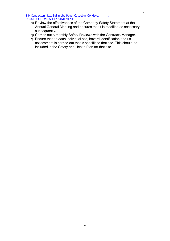- p) Review the effectiveness of the Company Safety Statement at the Annual General Meeting and ensures that it is modified as necessary subsequently.
- q) Carries out 6 monthly Safety Reviews with the Contracts Manager.
- r) Ensure that on each individual site, hazard identification and risk assessment is carried out that is specific to that site. This should be included in the Safety and Health Plan for that site.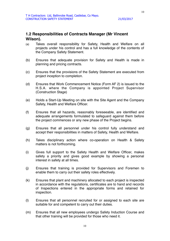# <span id="page-9-0"></span>**1.2 Responsibilities of Contracts Manager (Mr Vincent Wilson).**

- (a) Takes overall responsibility for Safety, Health and Welfare on all projects under his control and has a full knowledge of the contents of the Company Safety Statement.
- (b) Ensures that adequate provision for Safety and Health is made in planning and pricing contracts.
- (c) Ensures that the provisions of the Safety Statement are executed from project inception to completion.
- (d) Ensures that Work Commencement Notice (Form AF 2) is issued to the H.S.A. where the Company is appointed Project Supervisor (Construction Stage)
- (e) Holds a Start-Up Meeting on site with the Site Agent and the Company Safety, Health and Welfare Officer.
- (f) Ensures that all hazards, reasonably foreseeable, are identified and adequate arrangements formulated to safeguard against them before the project commences or any new phase of the Project begins.
- (g) Ensures that all personnel under his control fully understand and accept their responsibilities in matters of Safety, Health and Welfare.
- (h) Takes disciplinary action where co-operation on Health & Safety matters is not forthcoming.
- (i) Gives full support to the Safety Health and Welfare Officer, makes safety a priority and gives good example by showing a personal interest in safety at all times.
- (j) Ensures that training is provided for Supervisors and Foremen to enable them to carry out their safety roles effectively.
- (k) Ensures that plant and machinery allocated to each project is inspected in accordance with the regulations, certificates are to hand and records of Inspections entered in the appropriate forms and retained for inspection.
- (l) Ensures that all personnel recruited for or assigned to each site are suitable for and competent to carry out their duties.
- (m) Ensures that all new employees undergo Safety Induction Course and that other training will be provided for those who need it.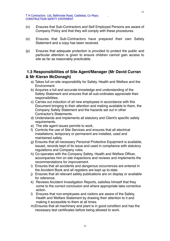- (n) Ensures that Sub-Contractors and Self Employed Persons are aware of Company Policy and that they will comply with these procedures.
- (o) Ensures that Sub-Contractors have prepared their own Safety Statement and a copy has been received.
- (p) Ensures that adequate protection is provided to protect the public and particular attention is given to ensure children cannot gain access to site as far as reasonably practicable.

# <span id="page-10-0"></span> **1.3 Responsibilities of Site Agent/Manager (Mr David Curran & Mr Kieran McDonagh)**

- a) Takes full on-site responsibility for Safety, Health and Welfare and the Environment.
- b) Acquires a full and accurate knowledge and understanding of the Safety Statement and ensures that all sub-ordinates appreciate their responsibilities.
- c) Carries out induction of all new employees in accordance with this Document bringing to their attention and making available to them, the Company Safety Statement and the hazards set out in other Contractor's Statements.
- d) Understands and implements all statutory and Client's specific safety requirements.
- e) The site agent issues permits to work.
- f) Controls the use of Site Services and ensures that all electrical installations, temporary or permanent are installed, used and maintained safely.
- g) Ensures that all necessary Personal Protective Equipment is available, issued, records kept of its issue and used in compliance with statutory regulations and Company rules.
- h) Co-operates with the Company Safety, Health and Welfare Officer, accompanies him on site inspections and reviews and implements the recommendations for improvement.
- i) Ensures that all accidents and dangerous occurrences are entered in the Accident Book and all registers are kept up to-date.
- j) Ensures that all relevant safety publications are on display or available for reference.
- k) Reviews Accident Investigation Reports, satisfies himself that they come to the correct conclusion and where appropriate take corrective action.
- l) Ensures that non-employees and visitors are aware of the Safety, Health and Welfare Statement by drawing their attention to it and making it accessible to them at all times.
- m)Ensures that all machinery and plant is in good condition and has the necessary test certificates before being allowed to work.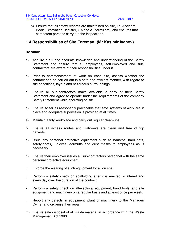12

n) Ensure that all safety records are maintained on site, i.e. Accident Book, Excavation Register, GA and AF forms etc., and ensures that competent persons carry out the inspections.

# <span id="page-11-0"></span>**1.4 Responsibilities of Site Foreman: (Mr Kasimir Ivanov)**

# **He shall:**

- a) Acquire a full and accurate knowledge and understanding of the Safety Statement and ensure that all employees, self-employed and subcontractors are aware of their responsibilities under it.
- b) Prior to commencement of work on each site, assess whether the contract can be carried out in a safe and efficient manner, with regard to site conditions, layout and hazardous surroundings.
- c) Ensure all sub-contractors make available a copy of their Safety Statement and agree to operate under the requirements of the company Safety Statement while operating on site.
- d) Ensure so far as reasonably practicable that safe systems of work are in place and adequate supervision is provided at all times.
- e) Maintain a tidy workplace and carry out regular clean-ups.
- f) Ensure all access routes and walkways are clean and free of trip hazards.
- g) Issue any personal protective equipment such as harness, hard hats, safety boots, gloves, earmuffs and dust masks to employees as is necessary.
- h) Ensure their employer issues all sub-contractors personnel with the same personal protective equipment.
- i) Enforce the wearing of such equipment for all on site.
- j) Perform a safety check on scaffolding after it is erected or altered and every day over the duration of the contract.
- k) Perform a safety check on all-electrical equipment, hand tools, and site equipment and machinery on a regular basis and at least once per week.
- l) Report any defects in equipment, plant or machinery to the Manager/ Owner and organise their repair.
- m) Ensure safe disposal of all waste material in accordance with the Waste Management Act 1996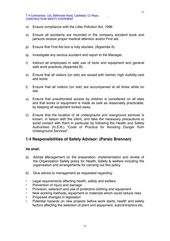- n) Ensure compliance with the Litter Pollution Act, 1996.
- o) Ensure all accidents are recorded in the company accident book and persons receive proper medical attention and/or First aid.
- p) Ensure that First Aid box is fully stocked. (Appendix A).
- q) Investigate any serious accident and report to the Manager.
- r) Instruct all employees in safe use of tools and equipment and general safe work practices (Appendix B).
- s) Ensure that all visitors (on site) are issued with helmet, high visibility vest and boots
- t) Ensure that all visitors (on site) are accompanied at all times while on site.
- u) Ensure that unauthorised access by children is considered on all sites and that works or equipment is made as safe as reasonably practicable, by keeping all equipment locked away.
- v) Ensure that the location of all underground and overground services is known, in liaison with the client, and take the necessary precautions to avoid contact with them in particular by following the Health and Safety Authorities (H.S.A.) "Code of Practice for Avoiding Danger from Underground Services".

# <span id="page-12-0"></span>**1.4 Responsibilities of Safety Advisor: (Paraic Brennan)**

# **He shall:**

- a) Advise Management on the preparation, implementation and review of the Organisation Safety policy for Health, Safety & welfare including the organisation and arrangements for carrying out this policy
- b) Give advice to management as requested regarding:
- Legal requirements affecting health, safety and welfare
- Prevention of injury and damage
- Provision, selection and use of protective clothing and equipment
- New working methods, equipment or materials which could reduce risks
- Proposed changes in legislation
- Potential hazards on new projects before work starts, health and safety factors affecting the selection of plant and equipment, subcontractors etc.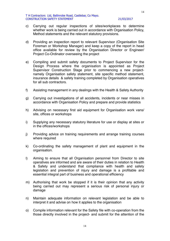- c) Carrying out regular inspections of sites/workplaces to determine whether work is being carried out in accordance with Organisation Policy. Method statements and the relevant statutory provisions.
- d) Providing an inspection report to relevant Supervisor (Organisation Site Foreman or Workshop Manager) and keep a copy of the report in head office available for review by the Organisation Director or Engineer/ Project Co-Ordinator overseeing the project
- e) Compiling and submit safety documents to Project Supervisor for the Design Process where the organisation is appointed as Project Supervisor Construction Stage prior to commencing a new projectnamely Organisation safety statement, site specific method statement, insurance details & safety training completed by Organisation operatives for all sub contractors.
- f) Assisting management in any dealings with the Health & Safety Authority
- g) Carrying out investigations of all accidents, incidents or near misses in accordance with Organisation Policy and prepare and provide statistics
- h) Advising on necessary first aid equipment for Organisation work vans/ site, offices or workshops
- i) Supplying any necessary statutory literature for use or display at sites or in the offices/workshops
- j) Providing advice on training requirements and arrange training courses where required
- k) Co-ordinating the safety management of plant and equipment in the organisation.
- l) Aiming to ensure that all Organisation personnel from Director to site operatives are informed and are aware of their duties in relation to Health & Safety and understand that compliance with health and safety legislation and prevention of injury and damage is a profitable and essential integral part of business and operational efficiency
- m) Authorising that work be stopped if it is their opinion that any activity being carried out may represent a serious risk of personal injury or damage
- n) Maintain adequate information on relevant legislation and be able to interpret it and advise on how it applies to the organisation
- o) Compile information relevant for the Safety file with co-operation from the those directly involved in the project- and submit for the attention of the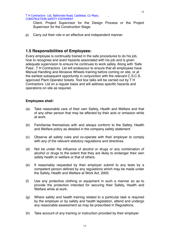Client, Project Supervisor for the Design Process or the Project Supervisor for the Construction Stage.

p) Carry out their role in an effective and independent manner

# <span id="page-14-0"></span>**1.5 Responsibilities of Employees:**

Every employee is continually trained in the safe procedures to do his job, how to recognise and avert hazards associated with his job and is given adequate supervision to ensure he continues to work safely. Along with 'Safe Pass', T H Contractors Ltd will endeavour to ensure that all employees have Manual Handling and Abrasive Wheels training before coming on site, or at the earliest subsequent opportunity in conjunction with the relevant C.S.C.S. approved Plant Operator tickets. Tool box talks will be carried out by T H Contractors Ltd on a regular basis and will address specific hazards and operations on site as required.

# **Employees shall:**

- (a) Take reasonable care of their own Safety, Health and Welfare and that of any other person that may be affected by their acts or omission while at work.
- (b) Familiarise themselves with and always conform to the Safety, Health and Welfare policy as detailed in the company safety statement.
- (c) Observe all safety rules and co-operate with their employer to comply with any of the relevant statutory regulations and directives.
- (d) Not be under the influence of alcohol or drugs or any combination of alcohol or drugs to the extent that they are likely to endanger their own safety health or welfare or that of others.
- (e) If reasonably requested by their employer submit to any tests by a competent person defined by any regulations which may be made under the Safety, Health and Welfare at Work Act, 2005.
- (f) Use any protective clothing or equipment in such a manner so as to provide the protection intended for securing their Safety, Health and Welfare while at work.
- (g) Where safety and health training related to a particular task is required by the employer or by safety and health legislation, attend and undergo any reasonable assessment as may be prescribed in Regulations.
- (h) Take account of any training or instruction provided by their employer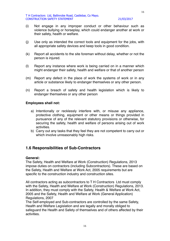- (i) Not engage in any improper conduct or other behaviour such as violence bullying or horseplay, which could endanger another at work or their safety, health or welfare.
- (j) Use only as intended the correct tools and equipment for the jobs, with all appropriate safety devices and keep tools in good condition.
- (k) Report all accidents to the site foreman without delay, whether or not the person is injured.
- (l) Report any instance where work is being carried on in a manner which might endanger their safety, health and welfare or that of another person
- (m) Report any defect in the place of work the systems of work or in any article or substance likely to endanger themselves or any other person.
- (n) Report a breach of safety and health legislation which is likely to endanger themselves or any other person

# **Employees shall not:**

- a) Intentionally or recklessly interfere with, or misuse any appliance, protective clothing, equipment or other means or things provided in pursuance of any of the relevant statutory provisions or otherwise, for securing the safety, health and welfare of persons arising out of work activities.
- b) Carry out any tasks that they feel they are not competent to carry out or which involve unreasonably high risks.

# <span id="page-15-0"></span>**1.6 Responsibilities of Sub-Contractors**

# **General:**

The Safety, Health and Welfare at Work (Construction) Regulations, 2013 impose duties on contractors (including Subcontractors). These are based on the Safety, Health and Welfare at Work Act, 2005 requirements but are specific to the construction industry and construction sites.

All contractors acting as subcontractors to T H Contractors Ltd must comply with the Safety, Health and Welfare at Work (Construction) Regulations, 2013. In addition, they must comply with the Safety, Health & Welfare at Work Act, 2005 and the Safety, Health and Welfare at Work (General Application) Regulations, 2007

The Self-employed and Sub-contractors are controlled by the same Safety, Health and Welfare Legislation and are legally and morally obliged to safeguard the Health and Safety of themselves and of others affected by their activities.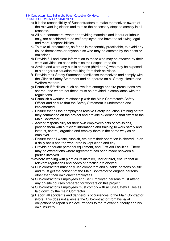# T H Contractors Ltd, Ballinrobe Road, Castlebar, Co Mayo. .

# CONSTRUCTION SAFETY STATEMENT

- a) It is the responsibility of Subcontractors to make themselves aware of the relevant legislation and to take the necessary steps to comply in all respects.
- b) All sub-contractors, whether providing materials and labour or labour only, are considered to be self-employed and have the following legal and moral responsibilities.
- c) To take all precautions, so far as is reasonably practicable, to avoid any risk to themselves or anyone else who may be affected by their acts or omissions.
- d) Provide full and clear information to those who may be affected by their work activities, so as to minimise their exposure to risk.
- e) Advise and warn any public persons (third party) who may be exposed to a dangerous situation resulting from their activities.
- f) Provide their Safety Statement, familiarise themselves and comply with the Client's Safety Statement and co-operate on all Safety, Health and Welfare matters.
- g) Establish if facilities, such as, welfare storage and fire precautions are shared, and where not these must be provided in compliance with the regulations.
- h) Establish a working relationship with the Main Contractor's Safety Officer and ensure that the Safety Statement is understood and implemented.
- i) Ensure that all their employees receive Safety Induction Training before they commence on the project and provide evidence to that effect to the Main Contractor.
- j) Accept responsibility for their own employees acts or omissions. provide them with sufficient information and training to work safely and instruct, control, organise and employ them in the same way as an employer.
- k) Ensure that all waste, rubbish, etc. from their operation is cleared up on a daily basis and the work area is kept clean and tidy.
- l) Provide adequate personal equipment, and First Aid Facilities. There may be exemptions where agreement has been made between all parties involved.
- m)Where working with plant as its installer, user or hirer, ensure that all relevant regulations and codes of practice are obeyed.
- n) Sub-contractors must only use competent and suitable persons on site and must get the consent of the Main Contractor to engage persons other than their own direct employees.
- o) Sub-contractor's Employees and Self Employed persons must attend any on-site courses prepared for workers on this project.
- p) Sub-contractor's Employees must comply with all Site Safety Rules as laid down by the main Contractor.
- q) Report all accidents and dangerous occurrences to the Main Contractor (Note: This does not alleviate the Sub-contractor from his legal obligations to report such occurrences to the relevant authority and his own Insurers.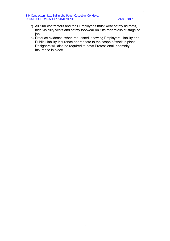- r) All Sub-contractors and their Employees must wear safety helmets, high visibility vests and safety footwear on Site regardless of stage of job.
- s) Produce evidence, when requested, showing Employers Liability and Public Liability Insurance appropriate to the scope of work in place. Designers will also be required to have Professional Indemnity Insurance in place.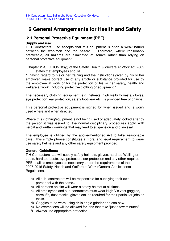19

# <span id="page-18-0"></span>**2 General Arrangements for Health and Safety**

# <span id="page-18-1"></span> **2.1 Personal Protective Equipment (PPE):**

# **Supply and use:**

T H Contractors Ltd accepts that this equipment is often a weak barrier between the workman and the hazard. Therefore, where reasonably practicable, all hazards are eliminated at source rather than relying on personal protective equipment.

 Chapter 2 -SECTION 13(g) of the Safety, Health & Welfare At Work Act 2005 states that employees should…….

" having regard to his or her training and the instructions given by his or her employer, make correct use of any article or substance provided for use by the employee at work or for the protection of his or her safety, health and welfare at work, including protective clothing or equipment,"

The necessary clothing, equipment, e.g. helmets, high visibility vests, gloves, eye protection, ear protection, safety footwear etc., is provided free of charge.

This personal protective equipment is signed for when issued and is worn/ used where and when directed.

Where this clothing/equipment is not being used or adequately looked after by the person it was issued to, the normal disciplinary procedures apply, with verbal and written warnings that may lead to suspension and dismissal.

The employee is obliged by the above-mentioned Act to take 'reasonable care'. This simple phrase constitutes a moral and legal requirement to wear/ use safety helmets and any other safety equipment provided.

# **General Guidelines:**

T H Contractors Ltd will supply safety helmets, gloves, hard toe Wellington boots, hard toe boots, eye protection, ear protection and any other required PPE to all its employees as necessary under the requirements of the 2007-2016 Safety, Health and Welfare at Work (General Applications) Regulations.

- a) All sub- contractors will be responsible for supplying their own personnel with the same..
- b) All persons on site will wear a safety helmet at all times.
- c) All employees and sub-contractors must wear High Vis vest goggles, earmuffs, dust masks, gloves etc. as required for their particular jobs or tasks.
- d) Goggles to be worn using drills angle grinder and con-saw.
- e) No exemptions will be allowed for jobs that take "just a few minutes".
- f) Always use appropriate protection.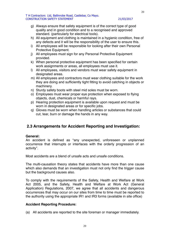- g) Always ensure that safety equipment is of the correct type of good quality and in good condition and to a recognised and approved standard. (particularly for electrical tools).
- h) All equipment and clothing is maintained in a hygienic condition, free of any defects and it will be the responsibility of the user to ensure this.
- i) All employees will be responsible for looking after their own Personal Protective Equipment.
- j) All employees must sign for any Personal Protective Equipment provided.
- k) When personal protective equipment has been specified for certain work assignments or areas, all employees must use it.
- l) All employees, visitors and vendors must wear safety equipment in designated areas.
- m) All employees and contractors must wear clothing suitable for the work they are doing and sufficiently tight fitting to avoid catching in objects or machinery.
- n) Sturdy safety boots with steel mid soles must be worn.
- o) Employees must wear proper eye protection when exposed to flying objects, dust, chemicals or harmful rays.
- p) Hearing protection equipment is available upon request and must be worn in designated areas or for specific jobs.
- q) Gloves must be worn when handling articles or substances that could cut, tear, burn or damage the hands in any way.

# <span id="page-19-0"></span> **2.3 Arrangements for Accident Reporting and Investigation:**

# **General:**

An accident is defined as "any unexpected, unforeseen or unplanned occurrence that interrupts or interfaces with the orderly progression of an activity".

Most accidents are a blend of unsafe acts and unsafe conditions.

The multi-causation theory states that accidents have more than one cause which also demands that an investigation must not only find the trigger cause but the background causes also.

To comply with the requirements of the Safety, Health and Welfare at Work Act 2005, and the Safety, Health and Welfare at Work Act (General Application) Regulations, 2007, we agree that all accidents and dangerous occurrences that may occur on our sites from time to time must be reported to the authority using the appropriate IR1 and IR3 forms (available in site office)

# **Accident Reporting Procedure:**

(a) All accidents are reported to the site foreman or manager immediately.

20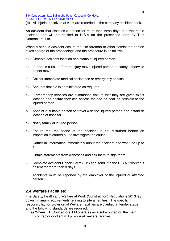(b) All injuries received at work are recorded in the company accident book.

An accident that disables a person for more than three days is a reportable accident and will be notified to H.S.A on the prescribed form by T H Contractors Ltd.

When a serious accident occurs the site foreman or other nominated person takes charge of the proceedings and the procedure is as follows:

- a) Observe accident location and status of injured person.
- b) If there is a risk of further injury move injured person to safety, otherwise do not move.
- c) Call for immediate medical assistance or emergency service.
- d) See that first aid is administered as required.
- e) If emergency services are summoned ensure that they are given exact location and ensure they can access the site as near as possible to the injured person.
- f) Appoint a suitable person to travel with the injured person and establish location of hospital.
- g) Notify family of injured person.
- h) Ensure that the scene of the accident is not disturbed before an inspection is carried out to investigate the cause.
- i) Gather all information immediately about the accident and what led up to it.
- j) Obtain statements from witnesses and ask them to sign them.
- k) Complete Accident Report Form (IR1) and send it to the H.S.A if worker is absent for more than 3 days.
- l) Accidents must be reported by the employer of the injured or affected person

# <span id="page-20-0"></span>**2.4 Welfare Facilities:**

The Safety, Health and Welfare at Work (Construction) Regulations 2013 lay down minimum requirements relating to site amenities. The specific responsibility for provision of Welfare Facilities are clarified at tender stage and the following standards are required:

a) Where T H Contractors Ltd operates as a sub-contractor, the main contractor or client will provide all welfare facilities.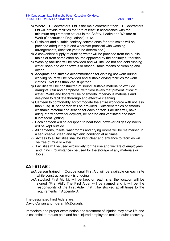- b) Where T H Contractors Ltd is the main contractor then T H Contractors Ltd will provide facilities that are at least in accordance with the minimum requirements set out in the Safety, Health and Welfare at Work (Construction Regulations) 2013.
- c) Sufficient and suitable sanitary convenience for both sexes will be provided adequately lit and wherever practical with washing arrangements, (location yet to be determined.)
- d) A convenient supply of drinking water will be provided from the public mains or from some other source approved by the sanitary authorities.
- e) Washing facilities will be provided and will include hot and cold running water, soap and clean towels or other suitable means of cleaning and drying.
- f) Adequate and suitable accommodation for clothing not worn during working hours will be provided and suitable drying facilities for work clothes. Not less than 2sq. ft./person.
- g) Facilities will be constructed of sound, suitable material to exclude draughts, rain and dampness, with floor levels that prevent inflow of water. Walls and floors will be of smooth impervious materials and designed to facilitate thorough and effective cleaning.
- h) Canteen to comfortably accommodate the entire workforce with not less than 10sq. ft. per person will be provided. Sufficient tables of smooth washable material and seating for each person. Facilities will, have adequate windows for daylight, be heated and ventilated and have fluorescent lighting.
- i) Each canteen will be equipped to heat food, however all gas cylinders will be kept outside.
- j) All canteens, toilets, washrooms and drying rooms will be maintained in a serviceable, clean and hygienic condition at all times.
- k) Access to all facilities shall be kept clear and entrance to facilities will be free of mud or water.
- l) Facilities will be used exclusively for the use and welfare of employees and in no circumstances be used for the storage of any materials or tools.

# <span id="page-21-0"></span>**2.5 First Aid:**

- a)A person trained in Occupational First Aid will be available on each site while construction work is ongoing
- b)A stocked First Aid kit will be kept on each site, the location will be signed "First Aid". The First Aider will be named and it will be the responsibility of the First Aider that it be stocked at all times to the requirements in Appendix A.

The designated First Aiders are; David Curran and Kieran McDonagh.

Immediate and proper examination and treatment of injuries may save life and is essential to reduce pain and help injured employees make a quick recovery.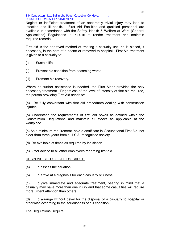Neglect or inefficient treatment of an apparently trivial injury may lead to infection and ill health. First Aid Facilities and qualified personnel are available in accordance with the Safety, Health & Welfare at Work (General Applications) Regulations 2007-2016 to render treatment and maintain required records.

First-aid is the approved method of treating a casualty until he is placed, if necessary, in the care of a doctor or removed to hospital. First Aid treatment is given to a casualty to:

- (i) Sustain life.
- (ii) Prevent his condition from becoming worse.
- (iii) Promote his recovery.

Where no further assistance is needed, the First Aider provides the only necessary treatment. Regardless of the level of intensity of first aid required, the person providing First Aid needs to:

(a) Be fully conversant with first aid procedures dealing with construction injuries.

(b) Understand the requirements of first aid boxes as defined within the Construction Regulations and maintain all stocks as applicable at the workplace.

(c) As a minimum requirement, hold a certificate in Occupational First Aid, not older than three years from a H.S.A. recognised society.

- (d) Be available at times as required by legislation.
- (e) Offer advice to all other employees regarding first aid.

# RESPONSIBILITY OF A FIRST AIDER:

(a) To assess the situation.

(b) To arrive at a diagnosis for each casualty or illness.

(c) To give immediate and adequate treatment, bearing in mind that a casualty may have more than one injury and that some casualties will require more urgent attention than others.

(d) To arrange without delay for the disposal of a casualty to hospital or otherwise according to the seriousness of his condition.

The Regulations Require: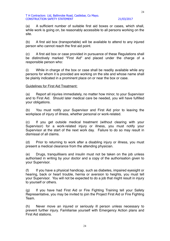(a) A sufficient number of suitable first aid boxes or cases, which shall, while work is going on, be reasonably accessible to all persons working on the site.

(b) A first aid box (transportable) will be available to attend to any injured person who cannot reach the first aid point.

(c) A first aid box or case provided in pursuance of these Regulations shall be distinctively marked "First Aid" and placed under the charge of a responsible person who:

(i) While in charge of the box or case shall be readily available while any persons for whom it is provided are working on the site and whose name shall be plainly indicated in a prominent place on or near the box or case.

# Guidelines for First Aid Treatment:

(a) Report all injuries immediately, no matter how minor, to your Supervisor and to First Aid. Should later medical care be needed, you will have fulfilled your obligations.

(b) You must notify your Supervisor and First Aid prior to leaving the workplace of injury of illness, whether personal or work-related.

(c) If you get outside medical treatment (without clearing with your Supervisor) for a work-related injury or illness, you must notify your Supervisor at the start of the next work day. Failure to do so may result in dismissal of all claims.

(d) Prior to returning to work after a disabling injury or illness, you must present a medical clearance from the attending physician.

(e) Drugs, tranquillisers and insulin must not be taken on the job unless authorised in writing by your doctor and a copy of the authorisation given to your Supervisor.

(f) If you have a physical handicap, such as diabetes, impaired eyesight or hearing, back or heart trouble, hernia or aversion to heights, you must tell your Supervisor. You will not be expected to do a job that might result in injury to yourself or others.

(g) If you have had First Aid or Fire Fighting Training tell your Safety Representative, you may be invited to join the Project First Aid or Fire Fighting Team.

(h) Never move an injured or seriously ill person unless necessary to prevent further injury. Familiarise yourself with Emergency Action plans and First Aid stations.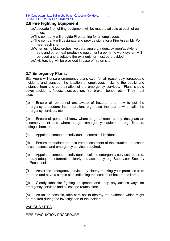25

### T H Contractors Ltd, Ballinrobe Road, Castlebar, Co Mayo. . CONSTRUCTION SAFETY STATEMENT

# <span id="page-24-0"></span>**2.6 Fire Fighting Equipment:**

- a)Adequate fire fighting equipment will be made available at each of our sites.
- b)The company will provide Fire training for all employees.
- c) The company will designate and provide signs for a Fire Assembly Point near each site.
- d)When using blowtorches, welders, angle grinders, oxygen/acetylene sets and other heat producing equipment a permit to work system will be used and a suitable fire extinguisher must be provided.
- e)A visitors log will be provided in case of fire on site.

# <span id="page-24-1"></span>**2.7 Emergency Plans:**

Site Agent will ensure emergency plans exist for all reasonably foreseeable incidents and consider the location of employees, risks to the public and distance from and co-ordination of the emergency services. Plans should cover accidents, floods, electrocution, fire, broken bones, etc. They must also:

(a) Ensure all personnel are aware of hazards and how to put the emergency procedure into operation, e.g. raise the alarm, who calls the emergency services, etc.

(b) Ensure all personnel know where to go to reach safety, designate an assembly point and where to get emergency equipment, e.g. first-aid, extinguishers, etc.

(c) Appoint a competent individual to control all incidents.

(d) Ensure immediate and accurate assessment of the situation, to assess its seriousness and emergency services required.

(e) Appoint a competent individual to call the emergency services required, to relay adequate information clearly and accurately, e.g. Supervisor, Security or Receptionist.

(f) Assist the emergency services by clearly marking your premises from the road and have a simple plan indicating the location of hazardous items.

(g) Clearly label fire fighting equipment and keep any access ways for emergency services and all escape routes clear.

(h) As far as possible, take care not to destroy the evidence which might be required during the investigation of the incident.

# VARIOUS SITES

FIRE EVACUATION PROCEDURE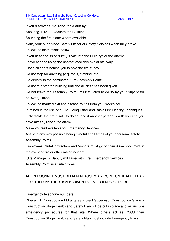26

If you discover a fire, raise the Alarm by: Shouting "Fire", "Evacuate the Building". Sounding the fire alarm where available Notify your supervisor, Safety Officer or Safety Services when they arrive. Follow the instructions below. If you hear shouts or "Fire", "Evacuate the Building" or the Alarm: Leave at once using the nearest available exit or stairway Close all doors behind you to hold the fire at bay Do not stop for anything (e.g. tools, clothing, etc) Go directly to the nominated "Fire Assembly Point" Do not re-enter the building until the all clear has been given. Do not leave the Assembly Point until instructed to do so by your Supervisor or Safety Officer. Follow the marked exit and escape routes from your workplace. If trained in the use of a Fire Extinguisher and Basic Fire Fighting Techniques. Only tackle the fire if safe to do so, and if another person is with you and you have already raised the alarm Make yourself available for Emergency Services Assist in any way possible being mindful at all times of your personal safety. Assembly Points Employees, Sub-Contractors and Visitors must go to their Assembly Point in the event of fire or other major incident. Site Manager or deputy will liaise with Fire Emergency Services Assembly Point: is at site offices.

# ALL PERSONNEL MUST REMAIN AT ASSEMBLY POINT UNTIL ALL CLEAR OR OTHER INSTRUCTION IS GIVEN BY EMERGENCY SERVICES

# Emergency telephone numbers

Where T H Construction Ltd acts as Project Supervisor Construction Stage a Construction Stage Health and Safety Plan will be put in place and will include emergency procedures for that site. Where others act as PSCS their Construction Stage Health and Safety Plan must include Emergency Plans.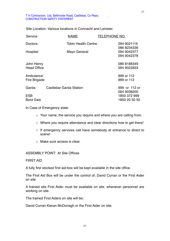| Service            | <b>NAME</b>             |                            | <b>TELEPHONE NO.</b> |               |  |
|--------------------|-------------------------|----------------------------|----------------------|---------------|--|
| Doctors:           |                         | <b>Tobin Health Centre</b> |                      | 094 9021119   |  |
|                    |                         |                            |                      | 086 8234336   |  |
| Hospital:          |                         | Mayo General               |                      | 094 9042377   |  |
|                    |                         |                            |                      | 094 9042378   |  |
| John Henry         |                         |                            |                      | 086 8188349   |  |
| <b>Head Office</b> |                         |                            |                      | 094 9022833   |  |
| Ambulance:         |                         |                            |                      | 999 or 112    |  |
| Fire Brigade:      |                         |                            |                      | 999 or 112    |  |
| Garda:             | Castlebar Garda Station |                            |                      | 999 or 112 or |  |
|                    |                         |                            |                      | 094 9038200   |  |
| <b>ESB</b>         |                         |                            |                      | 1850 372 999  |  |
| <b>Bord Gais</b>   |                         |                            |                      | 1850 20 50 50 |  |

Site Location: Various locations in Connacht and Leinster.

In Case of Emergency state:

- o Your name, the service you require and where you are calling from.
- o Where you require attendance and clear directions how to get there!
- o If emergency services call have somebody at entrance to direct to scene!
- o Make sure access is clear.

ASSEMBLY POINT: At Site Offices

### FIRST AID

A fully first stocked first aid-box will be kept available in the site office.

The First Aid Box will be under the control of; David Curran or the First Aider on site

A trained site First Aider must be available on site, whenever personnel are working on site.

The trained First Aiders on site will be;

David Curran Kieran McDonagh or the First Aider on site.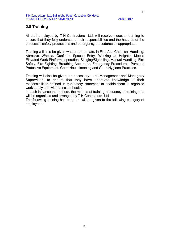# <span id="page-27-0"></span>**2.8 Training**

All staff employed by T H Contractors Ltd, will receive induction training to ensure that they fully understand their responsibilities and the hazards of the processes safety precautions and emergency procedures as appropriate.

Training will also be given where appropriate, in First Aid, Chemical Handling, Abrasive Wheels, Confined Spaces Entry, Working at Heights, Mobile Elevated Work Platforms operation, Slinging/Signalling, Manual Handling, Fire Safety, Fire Fighting, Breathing Apparatus, Emergency Procedures, Personal Protective Equipment. Good Housekeeping and Good Hygiene Practices.

Training will also be given, as necessary to all Management and Managers/ Supervisors to ensure that they have adequate knowledge of their responsibilities defined in this safety statement to enable them to organise work safely and without risk to health.

In each instance the trainers, the method of training, frequency of training etc. will be organised and arranged by T H Contractors Ltd

The following training has been or will be given to the following category of employees: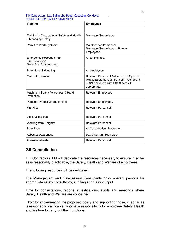| <b>Training</b>                                                           | <b>Employees</b>                                                                                                                                           |
|---------------------------------------------------------------------------|------------------------------------------------------------------------------------------------------------------------------------------------------------|
|                                                                           |                                                                                                                                                            |
| Training in Occupational Safety and Health<br>- Managing Safely           | Managers/Supervisors                                                                                                                                       |
| Permit to Work Systems:                                                   | Maintenance Personnel.<br>Managers/Supervisors & Relevant<br>Employees.                                                                                    |
| Emergency Response Plan.<br>Fire Prevention.<br>Basic Fire Extinguishing: | All Employees.                                                                                                                                             |
| Safe Manual Handling:                                                     | All employees.                                                                                                                                             |
| Mobile Equipment                                                          | Relevant Personnel Authorized to Operate<br>Mobile Equipment i.e. Fork Lift Truck (FLT),<br>360 <sup>0</sup> Excavators with CSCS cards if<br>appropriate. |
| Machinery Safety Awareness & Hand<br>Protection:                          | <b>Relevant Employees</b>                                                                                                                                  |
| Personal Protective Equipment:                                            | Relevant Employees.                                                                                                                                        |
| First Aid:                                                                | Relevant Personnel.                                                                                                                                        |
| Lockout/Tag out:                                                          | <b>Relevant Personnel</b>                                                                                                                                  |
| <b>Working from Heights:</b>                                              | <b>Relevant Personnel</b>                                                                                                                                  |
| Safe Pass                                                                 | All Construction Personnel.                                                                                                                                |
| <b>Asbestos Awareness</b>                                                 | David Curran, Sean Lisle,                                                                                                                                  |
| <b>Abrasive Wheels</b>                                                    | <b>Relevant Personnel</b>                                                                                                                                  |

# <span id="page-28-0"></span>**2.9 Consultation**

T H Contractors Ltd will dedicate the resources necessary to ensure in so far as is reasonably practicable, the Safety, Health and Welfare of employees.

The following resources will be dedicated:

The Management and if necessary Consultants or competent persons for appropriate safety consultancy, auditing and training input.

Time for consultations, reports, investigations, audits and meetings where Safety, Health and Welfare are concerned.

Effort for implementing the proposed policy and supporting those, in so far as is reasonably practicable, who have responsibility for employee Safety, Health and Welfare to carry out their functions.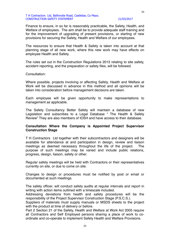Finance to ensure, in so far is reasonably practicable, the Safety, Health, and Welfare of employees. The aim shall be to provide adequate staff training and for the improvement of upgrading of present provisions, or starting of new provisions for securing the Safety, Health and Welfare of our employees.

The resources to ensure that Health & Safety is taken into account at that planning stage of all new work, where this new work may have effects on employee Health and Safety.

The rules set out in the Construction Regulations 2013 relating to site safety, accident reporting, and the preparation or safety files, will be followed.

### Consultation:

Where possible, projects involving or affecting Safety, Health and Welfare at Work will be discussed in advance in this method and all opinions will be taken into consideration before management decisions are taken.

Each employee will be given opportunity to make representations to management as applicable.

The Safety Consultancy Better Safety will maintain a database of new Legislation and subscribes to a Legal Database " The Health & Safety Review" They are also members of IOSH and have access to their database.

# **Consultation Where the Company is Appointed Project Supervisor Construction Stage**

T H Contractors Ltd together with their subcontractors and designers will be available for attendance at and participation in design, review and liaison meetings as deemed necessary throughout the life of the project. The purpose of such meetings may be varied and include public relations, progress, design, liaison, safety or other.

Regular safety meetings will be held with Contractors or their representatives currently on site, or due to come on site.

Changes to design or procedures must be notified by post or email or documented at such meetings.

The safety officer, will conduct safety audits at regular intervals and report in writing with action items outlined with a timescale included.

Addressing deviations from health and safety procedures will be the responsibility of the Project Supervisor Construction Stage (P.S.C.S.).

Suppliers of materials must supply manuals or MSDS sheets to the project with the product at time of delivery or before.

Part 2 Section 21 of the Safety, Health and Welfare at Work Act 2005 require all Contractors and Self Employed persons sharing a place of work to coordinate and co-operate to implement Safety Health and Welfare Provisions.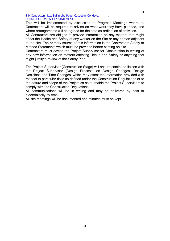This will be implemented by discussion at Progress Meetings where all Contractors will be required to advise on what work they have planned, and where arrangements will be agreed for the safe co-ordination of activities.

All Contractors are obliged to provide information on any matters that might affect the Health and Safety of any worker on the Site or any person adjacent to the site. The primary source of this information is the Contractors Safety or Method Statements which must be provided before coming on site.

Contractors must advise the Project Supervisor for Construction in writing of any new information on matters affecting Health and Safety or anything that might justify a review of the Safety Plan.

The Project Supervisor (Construction Stage) will ensure continued liaison with the Project Supervisor (Design Process) on Design Changes, Design Decisions and Time Changes, which may affect the information provided with respect to particular risks as defined under the Construction Regulations or to the nature and scope of the Project so as to enable the Project Supervisors to comply with the Construction Regulations

All communications will be in writing and may be delivered by post or electronically by email.

All site meetings will be documented and minutes must be kept.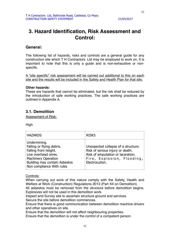# <span id="page-31-0"></span>**3. Hazard Identification, Risk Assessment and Control:**

# **General:**

The following list of hazards, risks and controls are a general guide for any construction site which T H Contractors Ltd may be employed to work on. It is important to note that this is only a guide and is non-exhaustive or nonspecific.

A "site specific" risk assessment will be carried out additional to this on each site and the results will be included in the Safety and Health Plan for that site.

# **Other hazards:**

These are hazards that cannot be eliminated, but the risk shall be reduced by the introduction of safe working practices. The safe working practices are outlined in Appendix A.

# <span id="page-31-1"></span>**3.1. Demolition**

Assessment of Risk:

High

| <b>HAZARDS</b>                                                                                                                                                                        | <b>RISKS</b>                                                                                                                                                 |
|---------------------------------------------------------------------------------------------------------------------------------------------------------------------------------------|--------------------------------------------------------------------------------------------------------------------------------------------------------------|
| Undermining.<br>Falling or flying debris.<br>Falling from height.<br>Live overhead wires.<br><b>Machinery Operation</b><br>Building may contain Asbestos<br>Non compliance With rules | Unexpected collapse of a structure.<br>Risk of serious injury or death.<br>Risk of amputation or laceration.<br>Fire, Explosion, Flooding,<br>Electrocution. |

Controls:

When carrying out work of this nature comply with the Safety, Health and Welfare at Work (Construction) Regulations 2013 (Part XII on Demolition).

All asbestos must be removed from the structure before demolition begins. Explosives will not be used in this demolition work.

Inspect and Survey site to ascertain structure ground and services.

Secure the site before demolition commences.

Ensure that there is good communication between demolition machine drivers and other operatives on site.

Ensure that the demolition will not affect neighbouring properties.

Ensure that the demolition is under the control of a competent person.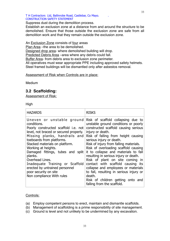Suppress dust during the demolition process.

Establish an exclusion zone at a distance from and around the structure to be demolished. Ensure that those outside the exclusion zone are safe from all demolition work and that they remain outside the exclusion zone.

An Exclusion Zone consists of four areas

Plan Area –the area to be demolished.

Designed drop area- where demolished building will drop.

Predicted Debris Area –area where any debris could fall.

Buffer Area- from debris area to exclusion zone perimeter.

All operatives must wear appropriate PPE including approved safety helmets. Steel framed buildings will be dismantled only after asbestos removal.

Assessment of Risk when Controls are in place:

Medium

# <span id="page-32-0"></span>**3.2 Scaffolding:**

Assessment of Risk:

High

# Controls:

- (a) Employ competent persons to erect, maintain and dismantle scaffolds.
- (b) Management of scaffolding is a prime responsibility of site management.
- (c) Ground is level and not unlikely to be undermined by any excavation.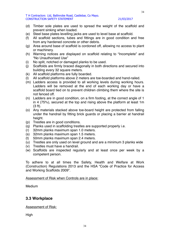- (d) Timber sole plates are used to spread the weight of the scaffold and prevent sinking when loaded.
- (e) Steel base plates levelling jacks are used to level base at scaffold.
- (f) All scaffold sections, tubes and fittings are in good condition and free from any hardened concrete or other debris.
- (g) Area around base of scaffold is cordoned off, allowing no access to plant or machinery.
- (h) Warning notices are displayed on scaffold relating to "Incomplete" and "No Unauthorised Use"
- (i) No split, notched or damaged planks to be used.
- (j) Scaffolds are firmly braced diagonally in both directions and secured into building every 32 square meters.
- (k) All scaffold platforms are fully boarded.
- (l) All scaffold platforms above 2 meters are toe-boarded and hand-railed.
- (m) Ladders access is provided to all working levels during working hours. Ladders will be removed at the end of each working day or have a scaffold board tied on to prevent children climbing them where the site is not fenced off.
- (n) Ladders are in good condition, on a firm footing, at the correct angle of 1 in 4 (75%), secured at the top and rising above the platform at least 1m (3 ft).
- (o) Any materials stacked above toe-board height are protected from falling under the handrail by fitting brick guards or placing a barrier at handrail height.
- (p) Trestles are in good conditions.
- (q) Planks used in scaffolding trestles are supported properly i.e.
- (r) 32mm planks maximum span 1.0 meters.
- (s) 32mm planks maximum span 1.5 meters.
- (t) 50mm planks maximum span 2.4 meters.
- (u) Trestles are only used on level ground and are a minimum 3 planks wide
- (v) Trestles must have a handrail.
- (w) Scaffolds are inspected regularly and at least once per week by a competent person.

To adhere to at all times the Safety, Health and Welfare at Work (Construction) Regulations 2013 and the HSA "Code of Practice for Access and Working Scaffolds 2009".

# Assessment of Risk when Controls are in place:

Medium

# <span id="page-33-0"></span>**3.3 Workplace**

Assessment of Risk:

**High**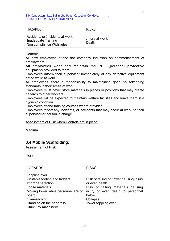| <b>HAZARDS</b>                                                                     | <b>RISKS</b>            |
|------------------------------------------------------------------------------------|-------------------------|
| Accidents or Incidents at work<br>Inadequate Training<br>Non compliance With rules | Injury at work<br>Death |

**Controls** 

All new employees attend the company induction on commencement of employment

All employees wear and maintain the PPE (personal protective equipment),provided to them

Employees inform their supervisor immediately of any defective equipment noted while at work.

All employees share a responsibility to maintaining good housekeeping standards in their areas of work.

Employees must never store materials in places or positions that may create hazards to other workers.

Employees will be expected to maintain welfare facilities and leave them in a hygienic condition.

Employees attend training courses where provided

Employees report any incidents, or accidents that may occur at work, to their supervisor or person in charge

Assessment of Risk when Controls are in place:

Medium

# <span id="page-34-0"></span>**3.4 Mobile Scaffolding:**

Assessment of Risk:

High

| <b>HAZARDS</b>                                                                                                                                                                                                   | <b>RISKS</b>                                                                                                                                                                      |
|------------------------------------------------------------------------------------------------------------------------------------------------------------------------------------------------------------------|-----------------------------------------------------------------------------------------------------------------------------------------------------------------------------------|
| Toppling over.<br>Unstable footing and ladders.<br>Improper erection.<br>Loose materials.<br>Moving tower while personnel are on<br>board.<br>Overreaching.<br>Standing on the handrails.<br>Struck by machinery | Risk of falling off tower causing injury<br>or even death.<br>Risk of falling materials causing<br>injury or even death to personnel<br>below.<br>Collapse<br>Tower toppling over |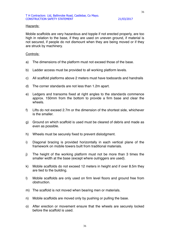### Hazards:

Mobile scaffolds are very hazardous and topple if not erected properly, are too high in relation to the base, if they are used on uneven ground, if material is not secured, if people do not dismount when they are being moved or if they are struck by machinery.

### Controls:

- a) The dimensions of the platform must not exceed those of the base.
- b) Ladder access must be provided to all working platform levels.
- c) All scaffold platforms above 2 meters must have toeboards and handrails
- d) The corner standards are not less than 1.2m apart.
- e) Ledgers and transoms fixed at right angles to the standards commence approx. 150mm from the bottom to provide a firm base and clear the wheels.
- f) Lifts do not exceed 2.7m or the dimension of the shortest side, whichever is the smaller.
- g) Ground on which scaffold is used must be cleared of debris and made as even as possible.
- h) Wheels must be securely fixed to prevent dislodgment.
- i) Diagonal bracing is provided horizontally in each vertical plane of the framework on mobile towers built from traditional materials.
- j) The height of the working platform must not be more than 3 times the smaller width at the base (except where outriggers are used).
- k) Mobile scaffolds do not exceed 12 meters in height and if over 8.5m they are tied to the building.
- l) Mobile scaffolds are only used on firm level floors and ground free from obstruction.
- m) The scaffold is not moved when bearing men or materials.
- n) Mobile scaffolds are moved only by pushing or pulling the base.
- o) After erection or movement ensure that the wheels are securely locked before the scaffold is used.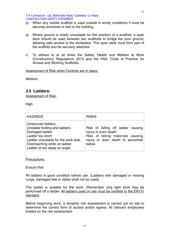- p) When any mobile scaffold is used outside in windy conditions it must be securely anchored or tied to the building.
- q) Where ground is totally unsuitable for the erection of a scaffold, a span deck should be used between two scaffolds to bridge the poor ground, allowing safe access to the workplace. This span deck must form part of the scaffold and be securely attached.
- r) To adhere to at all times the Safety, Health and Welfare at Work (Construction) Regulations 2013 and the HSA "Code of Practice for Access and Working Scaffolds.

Assessment of Risk when Controls are in place:

Medium

## **3.5 Ladders:**

Assessment of Risk:

High

| <b>HAZARDS</b>                                                                                                                                                                                        | <b>RISKS</b>                                                                                                                                    |
|-------------------------------------------------------------------------------------------------------------------------------------------------------------------------------------------------------|-------------------------------------------------------------------------------------------------------------------------------------------------|
| Unsecured ladders.<br>Unstable footing and ladders.<br>Damaged ladder.<br>Ladder too short.<br>Ladder unsuitable for the work task.<br>Overreaching while on ladder.<br>Ladder at too steep an angle. | Risk of falling off ladder causing<br>injury or even death.<br>Risk of falling materials causing<br>injury or even death to personnel<br>below. |

Precautions:

Ensure that:

All ladders in good condition before use. (Ladders with damaged or missing rungs, damaged feet or styles shall not be used).

The ladder is suitable for the work. (Remember only light work may be performed off a ladder. All ladders used on site must be certified to the EN131 standard.

Before beginning work, a dynamic risk assessment is carried out on site to determine the correct form of access and/or egress. All relevant employees briefed on the risk assessment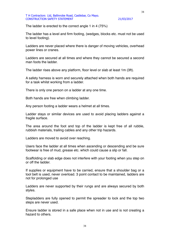The ladder is erected to the correct angle 1 in 4 (75%)

The ladder has a level and firm footing, (wedges, blocks etc. must not be used to level footing).

Ladders are never placed where there is danger of moving vehicles, overhead power lines or cranes.

Ladders are secured at all times and where they cannot be secured a second man foots the ladder.

The ladder rises above any platform, floor level or slab at least 1m (3ft).

A safety harness is worn and securely attached when both hands are required for a task whilst working from a ladder.

There is only one person on a ladder at any one time.

Both hands are free when climbing ladder.

Any person footing a ladder wears a helmet at all times.

Ladder stays or similar devices are used to avoid placing ladders against a fragile surface.

The area around the foot and top of the ladder is kept free of all rubble, rubbish materials, trailing cables and any other trip hazards.

Ladders are moved to avoid over reaching.

Users face the ladder at all times when ascending or descending and be sure footwear is free of mud, grease etc. which could cause a slip or fall.

Scaffolding or slab edge does not interfere with your footing when you step on or off the ladder.

If supplies or equipment have to be carried, ensure that a shoulder bag or a tool belt is used, never overload. 3 point contact to be maintained, ladders are not for prolonged use

Ladders are never supported by their rungs and are always secured by both styles.

Stepladders are fully opened to permit the spreader to lock and the top two steps are never used.

Ensure ladder is stored in a safe place when not in use and is not creating a hazard to others.

38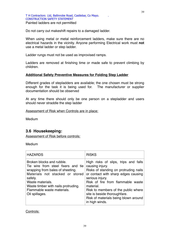Do not carry out makeshift repairs to a damaged ladder.

When using metal or metal reinforcement ladders, make sure there are no electrical hazards in the vicinity. Anyone performing Electrical work must **not** use a metal ladder or step ladder.

Ladder rungs must not be used as improvised ramps.

Ladders are removed at finishing time or made safe to prevent climbing by children.

## **Additional Safety Preventive Measures for Folding Step Ladder**

Different grades of stepladders are available; the one chosen must be strong enough for the task it is being used for. The manufacturer or supplier documentation should be observed

At any time there should only be one person on a stepladder and users should never straddle the step ladder

Assessment of Risk when Controls are in place:

Medium

## **3.6 Housekeeping:**

Assessment of Risk before controls:

Medium

| <b>HAZARDS</b>                                                                                                                                                                                                                                               | <b>RISKS</b>                                                                                                                                                                                                                                                                                                                                  |
|--------------------------------------------------------------------------------------------------------------------------------------------------------------------------------------------------------------------------------------------------------------|-----------------------------------------------------------------------------------------------------------------------------------------------------------------------------------------------------------------------------------------------------------------------------------------------------------------------------------------------|
| Broken blocks and rubble.<br>Tie wire from steel fixers and tie<br>wrapping from bales of sheeting.<br>Materials not stacked or stored<br>safely.<br>Waste materials.<br>Waste timber with nails protruding.<br>Flammable waste materials.<br>Oil spillages. | High risks of slips, trips and falls<br>causing injury.<br>Risks of standing on protruding nails<br>or contact with sharp edges causing<br>serious injury.<br>Risk of fire from flammable waste<br>material.<br>Risk to members of the public where<br>site is beside thoroughfare.<br>Risk of materials being blown around<br>in high winds. |

Controls: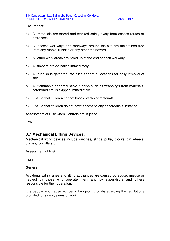### Ensure that:

- a) All materials are stored and stacked safely away from access routes or entrances.
- b) All access walkways and roadways around the site are maintained free from any rubble, rubbish or any other trip hazard.
- c) All other work areas are tidied up at the end of each workday.
- d) All timbers are de-nailed immediately.
- e) All rubbish is gathered into piles at central locations for daily removal of skip.
- f) All flammable or combustible rubbish such as wrappings from materials, cardboard etc. is skipped immediately.
- g) Ensure that children cannot knock stacks of materials.
- h) Ensure that children do not have access to any hazardous substance

Assessment of Risk when Controls are in place:

Low

## **3.7 Mechanical Lifting Devices:**

Mechanical lifting devices include winches, slings, pulley blocks, gin wheels, cranes, fork lifts etc.

### Assessment of Risk:

High

## **General:**

Accidents with cranes and lifting appliances are caused by abuse, misuse or neglect by those who operate them and by supervisors and others responsible for their operation.

It is people who cause accidents by ignoring or disregarding the regulations provided for safe systems of work.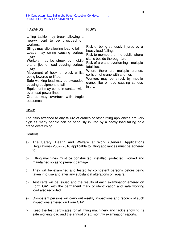| <b>HAZARDS</b>                                                                                                                                                                                                                                                                                                                                                                                                                                                                                                | <b>RISKS</b>                                                                                                                                                                                                                                                                                                                                             |
|---------------------------------------------------------------------------------------------------------------------------------------------------------------------------------------------------------------------------------------------------------------------------------------------------------------------------------------------------------------------------------------------------------------------------------------------------------------------------------------------------------------|----------------------------------------------------------------------------------------------------------------------------------------------------------------------------------------------------------------------------------------------------------------------------------------------------------------------------------------------------------|
| Lifting tackle may break allowing a<br>heavy load to be dropped on<br>workers.<br>Slings may slip allowing load to fall.<br>Loads may swing causing serious<br>injury.<br>Workers may be struck by mobile<br>crane, jibe or load causing serious<br>injury.<br>Movement of hook or block whilst<br>being lowered or lifted.<br>Safe working load may be exceeded<br>causing equipment to fail.<br>Equipment may come in contact with<br>overhead power lines.<br>Cranes may overturn with tragic<br>outcomes. | Risk of being seriously injured by a<br>heavy load falling.<br>Risk to members of the public where<br>site is beside thoroughfare.<br>Risk of a crane overturning - multiple<br>fatalities.<br>Where there are multiple cranes,<br>collision of crane with another.<br>Workers may be struck by mobile<br>crane, jibe or load causing serious<br>injury. |

## Risks:

The risks attached to any failure of cranes or other lifting appliances are very high as many people can be seriously injured by a heavy load falling or a crane overturning.

## Controls:

- a) The Safety, Health and Welfare at Work (General Applications Regulations) 2007- 2016 applicable to lifting appliances must be adhered to.
- b) Lifting machines must be constructed, installed, protected, worked and maintained so as to prevent damage.
- c) They will be examined and tested by competent persons before being taken into use and after any substantial alterations or repairs.
- d) Test certs will be issued and the results of each examination entered on Form GA1 with the permanent mark of identification and safe working load also recorded.
- e) Competent persons will carry out weekly inspections and records of such inspections entered on Form GA2.
- f) Keep the test certificates for all lifting machinery and tackle showing its safe working load and the annual or six monthly examination reports.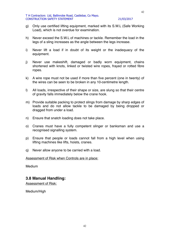- g) Only use certified lifting equipment, marked with its S.W.L (Safe Working Load), which is not overdue for examination.
- h) Never exceed the S.W.L of machines or tackle. Remember the load in the legs of a sling increases as the angle between the legs increase.
- i) Never lift a load if in doubt of its weight or the inadequacy of the equipment.
- j) Never use makeshift, damaged or badly worn equipment, chains shortened with knots, linked or twisted wire ropes, frayed or rotted fibre ropes.
- k) A wire rope must not be used if more than five percent (one in twenty) of the wires can be seen to be broken in any 10-centimetre length.
- l) All loads, irrespective of their shape or size, are slung so that their centre of gravity falls immediately below the crane hook.
- m) Provide suitable packing to protect slings from damage by sharp edges of loads and do not allow tackle to be damaged by being dropped or dragged from under a load.
- n) Ensure that snatch loading does not take place.
- o) Cranes must have a fully competent slinger or banksman and use a recognised signalling system.
- p) Ensure that people or loads cannot fall from a high level when using lifting machines like lifts, hoists, cranes.
- q) Never allow anyone to be carried with a load.

Assessment of Risk when Controls are in place:

Medium

## **3.8 Manual Handling:**

Assessment of Risk:

Medium/High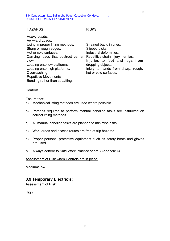| <b>HAZARDS</b>                                                                                                                                                                                                                                                                                                        | <b>RISKS</b>                                                                                                                                                                                                                      |
|-----------------------------------------------------------------------------------------------------------------------------------------------------------------------------------------------------------------------------------------------------------------------------------------------------------------------|-----------------------------------------------------------------------------------------------------------------------------------------------------------------------------------------------------------------------------------|
| Heavy Loads.<br>Awkward Loads.<br>Using improper lifting methods.<br>Sharp or rough edges.<br>Hot or cold surfaces.<br>Carrying loads that obstruct carrier<br>view.<br>Loading onto low platforms.<br>Loading onto high platforms.<br>Overreaching.<br><b>Repetitive Movements</b><br>Bending rather than squatting. | Strained back, injuries.<br>Slipped disks.<br>Industrial deformities.<br>Repetitive strain injury, hernias.<br>Injuries to feet and legs from<br>dropping objects.<br>Injury to hands from sharp, rough,<br>hot or cold surfaces. |

## Controls:

Ensure that:

- a) Mechanical lifting methods are used where possible.
- b) Persons required to perform manual handling tasks are instructed on correct lifting methods.
- c) All manual handling tasks are planned to minimise risks.
- d) Work areas and access routes are free of trip hazards.
- e) Proper personal protective equipment such as safety boots and gloves are used.
- f) Always adhere to Safe Work Practice sheet. (Appendix A)

Assessment of Risk when Controls are in place:

Medium/Low

## **3.9 Temporary Electric's:**

Assessment of Risk:

High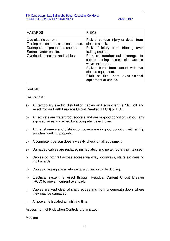| <b>HAZARDS</b>                                                                                                                                               | <b>RISKS</b>                                                                                                                                                                                                                                                                                                                     |
|--------------------------------------------------------------------------------------------------------------------------------------------------------------|----------------------------------------------------------------------------------------------------------------------------------------------------------------------------------------------------------------------------------------------------------------------------------------------------------------------------------|
| Live electric current.<br>Trailing cables across access routes.<br>Damaged equipment and cables.<br>Surface water on site.<br>Overloaded sockets and cables. | Risk of serious injury or death from<br>electric shock.<br>Risk of injury from tripping over<br>trailing cables.<br>Risk of mechanical damage to<br>cables trailing across site access<br>ways and roads.<br>Risk of burns from contact with live<br>electric equipment.<br>Risk of fire from overloaded<br>equipment or cables. |

### Controls:

Ensure that:

- a) All temporary electric distribution cables and equipment is 110 volt and wired into an Earth Leakage Circuit Breaker (ELCB) or RCD.
- b) All sockets are waterproof sockets and are in good condition without any exposed wires and wired by a competent electrician.
- c) All transformers and distribution boards are in good condition with all trip switches working properly.
- d) A competent person does a weekly check on all equipment.
- e) Damaged cables are replaced immediately and no temporary joints used.
- f) Cables do not trail across access walkway, doorways, stairs etc causing trip hazards.
- g) Cables crossing site roadways are buried in cable ducting.
- h) Electrical system is wired through Residual Current Circuit Breaker (RCD) to prevent current overload.
- i) Cables are kept clear of sharp edges and from underneath doors where they may be damaged.
- j) All power is isolated at finishing time.

### Assessment of Risk when Controls are in place:

Medium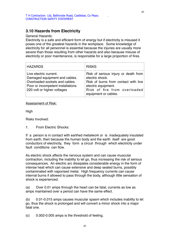## **3.10 Hazards from Electricity**

General Hazards:

Electricity is a safe and efficient form of energy but if electricity is misused it poses one of the greatest hazards in the workplace. Some knowledge of electricity for all personnel is essential because the injuries are usually more severe than those resulting from other hazards and also because misuse of electricity or poor maintenance, is responsible for a large proportion of fires.

| <b>HAZARDS</b>                                                                                                                                                | <b>RISKS</b>                                                                                                                                                                   |
|---------------------------------------------------------------------------------------------------------------------------------------------------------------|--------------------------------------------------------------------------------------------------------------------------------------------------------------------------------|
| Live electric current.<br>Damaged equipment and cables.<br>Overloaded sockets and cables.<br>Poor or incompetent installations<br>220 volt or higher voltages | Risk of serious injury or death from<br>electric shock.<br>Risk of burns from contact with live<br>electric equipment.<br>Risk of fire from overloaded<br>equipment or cables. |

Assessment of Risk:

High

Risks Involved:

1. From Electric Shocks:

If a person is in contact with earthed metalwork or is inadequately insulated from earth, then because the human body and the earth itself are good conductors of electricity, they form a circuit through which electricity under fault conditions can flow.

As electric shock affects the nervous system and can cause muscular contraction, including the inability to let go, thus increasing the risk of serious consequences. An electric arc dissipates considerable energy in the form of intense heat which can cause extensive and deep seated burns, possibly contaminated with vaporised metal. High frequency currents can cause internal burns if allowed to pass through the body, although little sensation of shock is experienced.

(a) Over 0.01 amps through the heart can be fatal, currents as low as amps maintained over a period can have the same effect.

(b) 0.01-0.015 amps causes muscular spasm which includes inability to let go, thus the shock is prolonged and will convert a minor shock into a major fatal one.

(c) 0.002-0.005 amps is the threshold of feeling.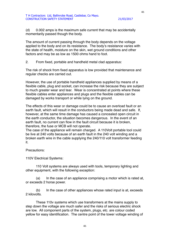(d) 0.002 amps is the maximum safe current that may be accidentally momentarily passed though the body.

The amount of current passing through the body depends on the voltage applied to the body and on its resistance. The body's resistance varies with the state of health, moisture on the skin, wet ground conditions and other factors and may be as low as 1500 ohms hand to foot.

2. From fixed, portable and handheld metal clad apparatus:

The risk of shock from fixed apparatus is low provided that maintenance and regular checks are carried out.

However, the use of portable handheld appliances supplied by means of a flexible cable, plug and socket, can increase the risk because they are subject to much greater wear and tear. Wear is concentrated at points where these flexible cables enter appliances and plugs and the flexible cables can be damaged by works transport or while lying on the ground.

The effects of this wear or damage could be to cause an overload fault or an earth fault, which will result in the conductors being made dead and safe. If, however, at the same time damage has caused a concealed open circuit in the earth conductor, the situation becomes dangerous. In the event of an earth fault, no current can flow in the fault circuit because it is broken, therefore, the fuse or MCB will not operate.

The case of the appliance will remain charged. A 110Volt portable tool could be live at 240 volts because of an earth fault in the 240 volt winding and a broken earth wire in the cable supplying the 240/110 volt transformer feeding it.

Precautions:

110V Electrical Systems:

110 Volt systems are always used with tools, temporary lighting and other equipment, with the following exception:

(a) In the case of an appliance comprising a motor which is rated at, or exceeds 2 horse power.

(b) In the case of other appliances whose rated input is at, exceeds 2 kilovolts.

These 110v systems which use transformers at the mains supply to step down the voltage are much safer and the risks of serious electric shock are low. All component parts of the system, plugs, etc. are colour coded yellow for easy identification. The centre point of the lower voltage winding of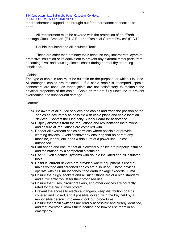the transformer is tapped and brought out for a permanent connection to earth.

All transformers must be covered with the protection of an "Earth Leakage Circuit Breaker" (E.L.C.B.) or a "Residual Current Device" (R.C.D).

- Double Insulated and all Insulated Tools:

These are safer than ordinary tools because they incorporate layers of protective insulation or its equivalent to prevent any external metal parts from becoming "live" and causing electric shock during normal dry operating conditions.

## -Cables:

The type of cable in use must be suitable for the purpose for which it is used. All damaged cables are replaced. If a cable repair is attempted, special connectors are used, as taped joints are not satisfactory to maintain the physical properties of the cable. Cable drums are fully unwound to prevent overheating and subsequent damage.

### **Controls**

- a) Be aware of all buried services and cables and trace the position of the cables as accurately as possible with cable plans and cable location devices. Contact the Electricity Supply Board for assistance.
- b) Display abstracts from the regulations and resuscitation instructions, and ensure all regulations are complied with.
- c) Render all overhead cables harmless where possible or provide warning devices. Avoid flashover by ensuring that no part of any machine, ladder, etc. does within 10m of a power line, unless authorised.
- d) Plan ahead and ensure that all electrical supplies are properly installed and maintained by a competent electrician.
- e) Use 110 volt electrical systems with double insulated and all insulated tools.
- f) Residual current devices are provided where equipment is used at mains voltage and screened cables are also used. These devices operate within 30 milliseconds if the earth leakage exceeds 30 ma.
- g) Ensure the plugs, sockets and all such fittings are of a high standard and sufficiently robust for their proposed use.
- h) Ensure that fuses, circuit breakers, and other devices are correctly rated for the circuit they protect.
- i) Prevent the access to electrical dangers, keep distribution boards covered and closed, and if possible locked, with the key held by a responsible person. implement lock out procedures.
- j) Ensure that main switches are readily accessible and clearly identified, and that everyone knows their location and how to use them in an emergency.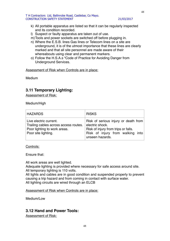- k) All portable apparatus are listed so that it can be regularly inspected and its condition recorded.
- l) Suspect or faulty apparatus are taken out of use.
- m)Tools and power sockets are switched off before plugging in.
- n) Where the E.S.B. lines Gas lines or Telecom lines on a site are underground, it is of the utmost importance that these lines are clearly marked and that all site personnel are made aware of their whereabouts using clear and permanent markers.
- o) Follow the H.S.A.s "Code of Practice for Avoiding Danger from Underground Services.

Assessment of Risk when Controls are in place:

Medium

## **3.11 Temporary Lighting:**

Assessment of Risk:

Medium/High

| <b>HAZARDS</b>                                                                                                         | <b>RISKS</b>                                                                                                                                          |
|------------------------------------------------------------------------------------------------------------------------|-------------------------------------------------------------------------------------------------------------------------------------------------------|
| Live electric current.<br>Trailing cables across access routes.<br>Poor lighting to work areas.<br>Poor site lighting. | Risk of serious injury or death from<br>electric shock.<br>Risk of injury from trips or falls.<br>Risk of injury from walking into<br>unseen hazards. |

Controls:

Ensure that:

All work areas are well lighted. Adequate lighting is provided where necessary for safe access around site. All temporary lighting is 110 volts. All lights and cables are in good condition and suspended properly to prevent causing a trip hazard and from coming in contact with surface water. All lighting circuits are wired through an ELCB

Assessment of Risk when Controls are in place:

Medium/Low

## **3.12 Hand and Power Tools:**

Assessment of Risk: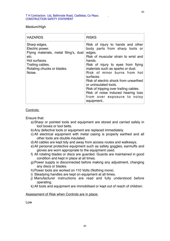### Medium/High

| <b>HAZARDS</b>                                                                                                                                                 | <b>RISKS</b>                                                                                                                                                                                                                                                                                                                                                                                                                                          |
|----------------------------------------------------------------------------------------------------------------------------------------------------------------|-------------------------------------------------------------------------------------------------------------------------------------------------------------------------------------------------------------------------------------------------------------------------------------------------------------------------------------------------------------------------------------------------------------------------------------------------------|
| Sharp edges.<br>Electric power.<br>Flying materials, metal filing's, dust<br>etc.<br>Hot surfaces.<br>Trailing cables.<br>Rotating chucks or blades.<br>Noise. | Risk of injury to hands and other<br>body parts from sharp tools or<br>edges.<br>Risk of muscular strain to wrist and<br>hands.<br>Risk of injury to eyes from flying<br>materials such as sparks or dust.<br>Risk of minor burns from hot<br>surfaces.<br>Risk of electric shock from unearthed<br>or uninsulated tools.<br>Risk of tripping over trailing cables.<br>Risk of noise induced hearing loss<br>from over exposure to noisy<br>equipment |

## Controls:

Ensure that:

- a)Sharp or pointed tools and equipment are stored and carried safely in tool boxes or tool belts.
- b)Any defective tools or equipment are replaced immediately.
- c) All electrical equipment with metal casing is properly earthed and all other tools are double insulated.
- d)All cables are kept tidy and away from access routes and walkways.
- e)All personal protective equipment such as safety goggles, earmuffs and gloves are worn appropriate to the equipment used.
- f) All rotating blades or discs are guarded. Guards are maintained in good condition and kept in place at all times.
- g)Power supply is disconnected before making any adjustment, changing any discs or blades.
- h)Power tools are worked on 110 Volts (Nothing more).
- i) Steadying handles are kept on equipment at all times.
- j) Manufacturer instructions are read and fully understood before operating.
- k) All tools and equipment are immobilised or kept out of reach of children.

### Assessment of Risk when Controls are in place:

Low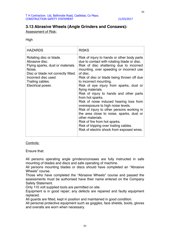# **3.13 Abrasive Wheels (Angle Grinders and Consaws):**

Assessment of Risk:

High

| <b>HAZARDS</b>                                                                                                                                                                                   | <b>RISKS</b>                                                                                                                                                                                                                                                                                                                                                                                                                                                                                                                                                                                                                                                                                                                  |
|--------------------------------------------------------------------------------------------------------------------------------------------------------------------------------------------------|-------------------------------------------------------------------------------------------------------------------------------------------------------------------------------------------------------------------------------------------------------------------------------------------------------------------------------------------------------------------------------------------------------------------------------------------------------------------------------------------------------------------------------------------------------------------------------------------------------------------------------------------------------------------------------------------------------------------------------|
| Rotating disc or blade.<br>Abrasive disc.<br>Flying sparks, dust or materials.<br>Noise.<br>Disc or blade not correctly fitted.<br>Incorrect disc used.<br>Trailing cables.<br>Electrical power. | Risk of injury to hands or other body parts<br>due to contact with rotating blade or disc.<br>Risk of disc shattering due to incorrect<br>mounting, over speeding or incorrect use<br>of disc.<br>Risk of disc or blade being thrown off due<br>to incorrect mounting.<br>Risk of eye injury from sparks, dust or<br>flying materials.<br>Risk of injury to hands and other parts<br>from hot sparks.<br>Risk of noise induced hearing loss from<br>overexposure to high noise levels.<br>Risk of injury to other persons working in<br>the area close to noise, sparks, dust or<br>other materials.<br>Risk of fire from hot sparks.<br>Risk of tripping over trailing cables.<br>Risk of electric shock from exposed wires. |

## Controls:

Ensure that:

All persons operating angle grinders/consaws are fully instructed in safe mounting of blades and discs and safe operating of machine.

All persons mounting blades or discs should have completed an "Abrasive Wheels" course.

Those who have completed the "Abrasive Wheels" course and passed the assessments must be authorised have their name entered on the Company Safety Statement.

Only 110 volt supplied tools are permitted on site.

Equipment is in good repair; any defects are repaired and faulty equipment replaced.

All guards are fitted, kept in position and maintained in good condition.

All personal protective equipment such as goggles, face shields, boots, gloves and overalls are worn when necessary.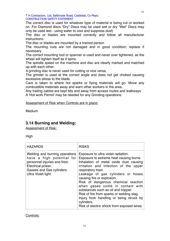The correct disc is used for whatever type of material is being cut or worked on. For Diamond discs "Dry" Discs may be used wet or dry "Wet" Discs may only be used wet - using water to cool and suppress dust)

The disc or blades are mounted correctly and follow all manufacturer instructions.

The disc or blades are mounted by a trained person

The mounting nuts are not damaged and in good condition; replace if necessary.

The correct mounting tool or spanner is used and never over tightened, as the wheel will tighten itself as it spins.

The spindle speed on the machine and disc are clearly marked and matched up with each other.

A grinding disc is never used for cutting or vice versa.

The grinder is used at the correct angle and does not get choked causing excessive stress to the blade.

Care is taken to where hot sparks or flying materials will go. Move any combustible materials away and warn other workers in the area.

Any trailing cables are kept tidy and away from access routes and walkways. A 'Hot work Permit' may be needed for any Grinding operations

Assessment of Risk when Controls are in place:

Medium

## **3.14 Burning and Welding:**

Assessment of Risk:

High

| <b>HAZARDS</b>                                                                                                                                                             | <b>RISKS</b>                                                                                                                                                                                                                                                                                                                                                                                                                                                                                                                   |
|----------------------------------------------------------------------------------------------------------------------------------------------------------------------------|--------------------------------------------------------------------------------------------------------------------------------------------------------------------------------------------------------------------------------------------------------------------------------------------------------------------------------------------------------------------------------------------------------------------------------------------------------------------------------------------------------------------------------|
| Welding and burning operations<br>have a high potential for<br>personnel injuries and fires.<br>Electrical power.<br><b>Gasses and Gas cylinders</b><br>Ultra Violet light | Exposure to ultra violet radiation.<br>Exposure to extreme heat causing burns.<br>Inhalation of metal oxide dust causing<br>irritation and infection of the upper<br>respiratory tract.<br>Leakage of gas cylinders or hoses<br>causing fire or explosion.<br>Risk of dangerous chemical reaction<br>when gases come in contact with<br>substances such as oil and copper.<br>Risk of fire from sparks or welding slag.<br>Injury from handling or being struck by<br>cylinders.<br>Risk of electric shock from exposed wires. |

Controls: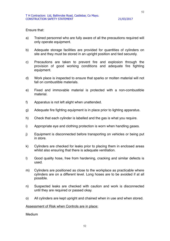Ensure that:

- a) Trained personnel who are fully aware of all the precautions required will only operate equipment.
- b) Adequate storage facilities are provided for quantities of cylinders on site and they must be stored in an upright position and tied securely.
- c) Precautions are taken to prevent fire and explosion through the provision of good working conditions and adequate fire fighting equipment.
- d) Work place is inspected to ensure that sparks or molten material will not fall on combustible materials.
- e) Fixed and immovable material is protected with a non-combustible material.
- f) Apparatus is not left alight when unattended.
- g) Adequate fire fighting equipment is in place prior to lighting apparatus.
- h) Check that each cylinder is labelled and the gas is what you require.
- i) Appropriate eye and clothing protection is worn when handling gases.
- j) Equipment is disconnected before transporting on vehicles or being put in store.
- k) Cylinders are checked for leaks prior to placing them in enclosed areas whilst also ensuring that there is adequate ventilation.
- l) Good quality hose, free from hardening, cracking and similar defects is used.
- m) Cylinders are positioned as close to the workplace as practicable where cylinders are on a different level. Long hoses are to be avoided if at all possible.
- n) Suspected leaks are checked with caution and work is disconnected until they are required or passed okay.
- o) All cylinders are kept upright and chained when in use and when stored.

## Assessment of Risk when Controls are in place:

Medium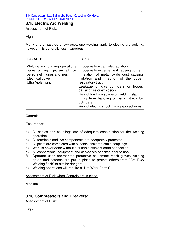## **3.15 Electric Arc Welding:**

Assessment of Risk:

## **High**

Many of the hazards of oxy-acetylene welding apply to electric arc welding, however it is generally less hazardous.

| <b>HAZARDS</b>                                                                                                                          | <b>RISKS</b>                                                                                                                                                                                                                                                                                                                                                                                                   |
|-----------------------------------------------------------------------------------------------------------------------------------------|----------------------------------------------------------------------------------------------------------------------------------------------------------------------------------------------------------------------------------------------------------------------------------------------------------------------------------------------------------------------------------------------------------------|
| Welding and burning operations<br>have a high potential for<br>personnel injuries and fires.<br>Electrical power.<br>Ultra Violet light | Exposure to ultra violet radiation.<br>Exposure to extreme heat causing burns.<br>Inhalation of metal oxide dust causing<br>irritation and infection of the upper<br>respiratory tract.<br>Leakage of gas cylinders or hoses<br>causing fire or explosion.<br>Risk of fire from sparks or welding slag.<br>Injury from handling or being struck by<br>cylinders.<br>Risk of electric shock from exposed wires. |

## Controls:

Ensure that:

- a) All cables and couplings are of adequate construction for the welding operation.
- b) All terminals and live components are adequately protected.
- c) All joints are completed with suitable insulated cable couplings.
- d) Work is never done without a suitable efficient earth connection.
- e) All connections, equipment and cables are checked prior to use.
- f) Operator uses appropriate protective equipment mask gloves welding apron and screens are put in place to protect others from "Arc Eye/ Welding flash" or similar dangers.
- g) Welding operations will require a "Hot Work Permit'

Assessment of Risk when Controls are in place:

Medium

## **3.16 Compressors and Breakers:**

Assessment of Risk:

High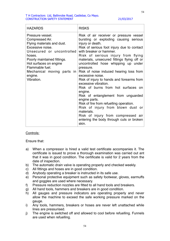| <b>HAZARDS</b>                                                                                                                                                                                                                                                  | <b>RISKS</b>                                                                                                                                                                                                                                                                                                                                                                                                                                                                                                                                                                                                                                                                                                                                                 |
|-----------------------------------------------------------------------------------------------------------------------------------------------------------------------------------------------------------------------------------------------------------------|--------------------------------------------------------------------------------------------------------------------------------------------------------------------------------------------------------------------------------------------------------------------------------------------------------------------------------------------------------------------------------------------------------------------------------------------------------------------------------------------------------------------------------------------------------------------------------------------------------------------------------------------------------------------------------------------------------------------------------------------------------------|
| Pressure vessel.<br>Compressed Air.<br>Flying materials and dust.<br>Excessive noise.<br>Unsecured or uncontrolled<br>hoses.<br>Poorly maintained fittings.<br>Hot surfaces on engine<br>Flammable fuel.<br>Mechanical moving parts in<br>engine.<br>Vibration. | Risk of air receiver or pressure vessel<br>bursting or exploding causing serious<br>injury or death.<br>Risk of serious foot injury due to contact<br>with breaker or hammer.<br>Risk of serious injury from flying<br>materials, unsecured fittings flying off or<br>uncontrolled hose whipping up under<br>pressure.<br>Risk of noise induced hearing loss from<br>excessive noise.<br>Risk of injury to hands and forearms from<br>excessive vibration.<br>Risk of burns from hot surfaces on<br>engine.<br>Risk of entanglement from unguarded<br>engine parts.<br>Risk of fire from refuelling operation.<br>Risk of injury from blown dust or<br>materials.<br>Risk of injury from compressed air<br>entering the body through cuts or broken<br>skin. |

## Controls:

Ensure that:

- a) When a compressor is hired a valid test certificate accompanies it. The certificate is issued to prove a thorough examination was carried out ant that it was in good condition. The certificate is valid for 2 years from the date of inspection.
- b) The automatic drain valve is operating properly and checked weekly.
- c) All fittings and hoses are in good condition.
- d) Anybody operating a breaker is instructed in its safe use.
- e) Personal protective equipment such as safety footwear, gloves, earmuffs and goggles are used where necessary.
- f) Pressure reduction nozzles are fitted to all hand tools and breakers.
- g) All hand tools, hammers and breakers are in good condition.
- h) All gauges and pressure indicators are operating properly and never allow the machine to exceed the safe working pressure marked on the gauge.
- i) Any tools, hammers, breakers or hoses are never left unattached while lines are pressurised.
- j) The engine is switched off and allowed to cool before refuelling. Funnels are used when refuelling.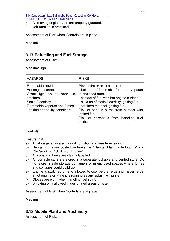- k) All moving engine parts are properly guarded.
- l) Job rotation is practiced

Assessment of Risk when Controls are in place:

Medium

## **3.17 Refuelling and Fuel Storage:**

Assessment of Risk:

Medium/High

| <b>HAZARDS</b>                                                                                                                                                                               | <b>RISKS</b>                                                                                                                                                                                                                                                                                                                                          |
|----------------------------------------------------------------------------------------------------------------------------------------------------------------------------------------------|-------------------------------------------------------------------------------------------------------------------------------------------------------------------------------------------------------------------------------------------------------------------------------------------------------------------------------------------------------|
| Flammable liquids.<br>Hot engine surfaces.<br>Other ignition sources <i>i.e.</i><br>smokers.<br><b>Static Electricity.</b><br>Flammable vapours and fumes.<br>Leaking and faulty containers. | Risk of fire or explosion from:<br>- build up of flammable fumes or vapours<br>in enclosed area.<br>- contact of fuel with hot engine surface.<br>- build up of static electricity igniting fuel.<br>- smokers material igniting fuel.<br>Risk of serious burns from contact with<br>ignited fuel.<br>Risk of dermatitis from handling fuel<br>spirit |

## Controls:

Ensure that:

- a) All storage tanks are in good condition and free from leaks.
- b) Danger signs are posted on tanks, i.e. "Danger Flammable Liquids" and "No Smoking" "Switch off Engine".
- c) All cans and tanks are clearly labelled.
- d) All portable cans are stored in a separate lockable and vented store. Do not store inside storage containers or in enclosed spaces where fumes and spillages could build up.
- e) Engine is switched off and allowed to cool before refuelling, never refuel a hot engine or while it is running as any splash will ignite.
- f) Gloves are worn when handling fuel spirit.
- g) Smoking only allowed in designated areas on site

Assessment of Risk when Controls are in place:

Medium

## **3.18 Mobile Plant and Machinery:**

Assessment of Risk: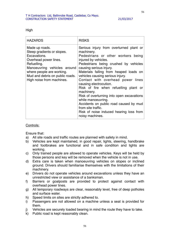**High** 

| <b>HAZARDS</b>                                                                                                                                                                                                                   | <b>RISKS</b>                                                                                                                                                                                                                                                                                                                                                                                                                                                                                                                                                                                 |
|----------------------------------------------------------------------------------------------------------------------------------------------------------------------------------------------------------------------------------|----------------------------------------------------------------------------------------------------------------------------------------------------------------------------------------------------------------------------------------------------------------------------------------------------------------------------------------------------------------------------------------------------------------------------------------------------------------------------------------------------------------------------------------------------------------------------------------------|
| Made up roads.<br>Steep gradients or slopes.<br>Excavations.<br>Overhead power lines.<br>Refuelling.<br>Manoeuvring vehicles around<br>where people are working.<br>Mud and debris on public roads.<br>High noise from machines. | Serious injury from overturned plant or<br>machinery.<br>Pedestrians or other workers being<br>injured by vehicles.<br>Pedestrians being crushed by vehicles<br>causing serious injury.<br>Materials falling from heaped loads on<br>vehicles causing serious injury.<br>Contact with overhead power lines<br>causing electrocution.<br>Risk of fire when refuelling plant or<br>machinery.<br>Risk of overturning into open excavations<br>while manoeuvring.<br>Accidents on public road caused by mud<br>from site traffic.<br>Risk of noise induced hearing loss from<br>noisy machines. |

## Controls:

Ensure that:

- a) All site roads and traffic routes are planned with safety in mind.
- b) Vehicles are kept maintained, in good repair, lights, steering, handbrake and footbrakes are functional and in safe condition and lights are working.
- c) Only trained people are allowed to operate vehicles. Keys will be held by those persons and key will be removed when the vehicle is not in use.
- d) Extra care is taken when manoeuvring vehicles on slopes or inclined ground. Drivers should familiarise themselves with the limitations of their machinery.
- e) Drivers do not operate vehicles around excavations unless they have an unrestricted view or assistance of a banksman.
- f) Barriers or goalposts are provided to protect against contact with overhead power lines.
- g) All temporary roadways are clear, reasonably level, free of deep potholes and surface water.
- h) Speed limits on sites are strictly adhered to.
- i) Passengers are not allowed on a machine unless a seat is provided for them.
- j) Vehicles are securely loaded bearing in mind the route they have to take.
- k) Public road is kept reasonably clean.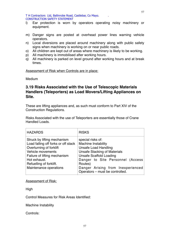- l) Ear protection is worn by operators operating noisy machinery or equipment.
- m) Danger signs are posted at overhead power lines warning vehicle operators.
- n) Local diversions are placed around machinery along with public safety signs when machinery is working on or near public roads.
- o) All children are kept out of areas where machinery is likely to be working.
- p) All machinery is immobilised after working hours.
- q) All machinery is parked on level ground after working hours and at break times.

Assessment of Risk when Controls are in place:

Medium

## **3.19 Risks Associated with the Use of Telescopic Materials Handlers (Teleporters) as Load Movers/Lifting Appliances on Site.**

These are lifting appliances and, as such must conform to Part XIV of the Construction Regulations.

Risks Associated with the use of Teleporters are essentially those of Crane Handled Loads.

| <b>HAZARDS</b>                                                                                                                                                                                                          | <b>RISKS</b>                                                                                                                                                                                                                                                                   |
|-------------------------------------------------------------------------------------------------------------------------------------------------------------------------------------------------------------------------|--------------------------------------------------------------------------------------------------------------------------------------------------------------------------------------------------------------------------------------------------------------------------------|
| Struck by lifting mechanism<br>Load falling off forks or off stack<br>Overturning of forklift<br>Vehicle movements<br>Failure of lifting mechanism<br>Hot exhaust.<br>Refuelling of forklift.<br>Maintenance operations | special risks of:<br><b>Machine Instability</b><br><b>Unsafe Load Handling</b><br><b>Unsafe Stacking of Materials</b><br><b>Unsafe Scaffold Loading</b><br>Danger to Site Personnel (Access<br>Routes)<br>Danger Arising from Inexperienced<br>Operators - must be controlled. |

Assessment of Risk:

High

Control Measures for Risk Areas Identified:

Machine Instability

Controls: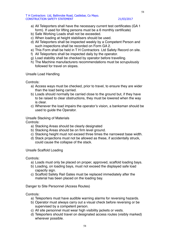- a) All Teleporters shall have the necessary current test certificates (GA 1 form). If used for lifting persons must be a 6 monthly certificate)
- b) Safe Working Loads shall not be exceeded.
- c) When loading at height stabilisers should be used.
- d) All Teleporters shall be inspected weekly by a Competent Person and such inspections shall be recorded on Form GA 2.
- e) This Form shall be held in T H Contractors Ltd Safety Record on site.
- f) All Teleporters shall be inspected daily by the operator.
- g) Load stability shall be checked by operator before travelling.
- h) The Machine manufacturers recommendations must be scrupulously followed for travel on slopes.

## Unsafe Load Handling

Controls:

- a) Access ways must be checked, prior to travel, to ensure they are wider than the load being carried.
- b) Loads should normally be carried close to the ground but, if they have to be raised to clear obstructions, they must be lowered when the way is clear.
- c) Whenever the load impairs the operator's vision, a banksman should be used to guide the Operator.

## Unsafe Stacking of Materials

Controls:

- a) Stacking Areas should be clearly designated
- b) Stacking Areas should be on firm level ground.
- c) Stacking height must not exceed three times the narrowest base width.
- d) Stack projections must not be allowed as these, if accidentally struck, could cause the collapse of the stack.

## Unsafe Scaffold Loading

Controls:

- a) Loads must only be placed on proper, approved, scaffold loading bays.
- b) Loading, on loading bays, must not exceed the displayed safe load capacity sign.
- c) Scaffold Safety Rail Gates must be replaced immediately after the material has been placed on the loading bay.

Danger to Site Personnel (Access Routes)

Controls:

- a) Teleporters must have audible warning alarms for reversing hazards.
- b) Operator must always carry out a visual check before reversing or be supervised by a competent person.
- c) All site personnel must wear high visibility jackets or vests.
- d) Teleporters should travel on designated access routes (visibly marked) wherever possible.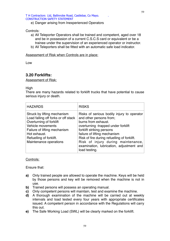e) Danger arising from Inexperienced Operators

Controls:

- a) All Teleporter Operators shall be trained and competent, aged over 18 and be in possession of a current C.S.C.S card or equivalent or be a trainee under the supervision of an experienced operator or instructor.
- b) All Teleporters shall be fitted with an automatic safe load indicator.

## Assessment of Risk when Controls are in place:

Low

## **3.20 Forklifts:**

Assessment of Risk:

## High

There are many hazards related to forklift trucks that have potential to cause serious injury or death.

| <b>HAZARDS</b>                                                                                                                                                                                                          | <b>RISKS</b>                                                                                                                                                                                                                                                                                                                                       |
|-------------------------------------------------------------------------------------------------------------------------------------------------------------------------------------------------------------------------|----------------------------------------------------------------------------------------------------------------------------------------------------------------------------------------------------------------------------------------------------------------------------------------------------------------------------------------------------|
| Struck by lifting mechanism<br>Load falling off forks or off stack<br>Overturning of forklift<br>Vehicle movements<br>Failure of lifting mechanism<br>Hot exhaust.<br>Refuelling of forklift.<br>Maintenance operations | Risks of serious bodily injury to operator<br>and other persons from;<br>burns from exhaust.<br>overturning -trapped under forklift<br>forklift striking persons<br>failure of lifting mechanism<br>Risk of fire during refuelling of forklift.<br>Risk of injury during maintenance,<br>examination, lubrication, adjustment and<br>load testing. |

Controls:

Ensure that:

- **a)** Only trained people are allowed to operate the machine. Keys will be held by those persons and key will be removed when the machine is not in use.
- **b)** Trained persons will possess an operating manual.
- **c)** Only competent persons will maintain, test and examine the machine.
- **d)** A thorough examination of the machine will be carried out at weekly intervals and load tested every four years with appropriate certificates issued. A competent person in accordance with the Regulations will carry this out.
- **e)** The Safe Working Load (SWL) will be clearly marked on the forklift.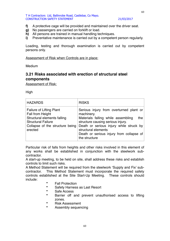- **f)** A protective cage will be provided and maintained over the driver seat.
- **g)** No passengers are carried on forklift or load.
- **h)** All persons are trained in manual handling techniques.
- **i)** Preventative maintenance is carried out by a competent person regularly.

Loading, testing and thorough examination is carried out by competent persons only.

Assessment of Risk when Controls are in place:

Medium

## **3.21 Risks associated with erection of structural steel components**

Assessment of Risk:

High

| <b>HAZARDS</b>                                                                                                                                                | <b>RISKS</b>                                                                                                                                                                                                                                                               |
|---------------------------------------------------------------------------------------------------------------------------------------------------------------|----------------------------------------------------------------------------------------------------------------------------------------------------------------------------------------------------------------------------------------------------------------------------|
| <b>Failure of Lifting Plant</b><br>Fall from Height<br>Structural elements falling<br><b>Structural Failure</b><br>Collapse of the structure being<br>erected | Serious injury from overturned plant or<br>machinery.<br>Materials falling while assembling<br>the $ $<br>structure causing serious injury.<br>Death or serious injury while struck by<br>structural elements<br>Death or serious injury from collapse of<br>the structure |

Particular risk of falls from heights and other risks involved in this element of any works shall be established in conjunction with the steelwork subcontractor.

A start-up meeting, to be held on site, shall address these risks and establish controls to limit such risks.

A Method Statement will be required from the steelwork 'Supply and Fix' subcontractor. This Method Statement must incorporate the required safety controls established at the Site Start-Up Meeting. These controls should include:

- Fall Protection
- Safety Harness as Last Resort
- Safe Access
- Barrier off and prevent unauthorised access to lifting zones.
- Risk Assessment
- Assembly sequencing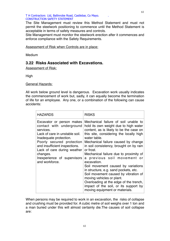61

#### T H Contractors Ltd, Ballinrobe Road, Castlebar, Co Mayo. . CONSTRUCTION SAFETY STATEMENT

The Site Management must review this Method Statement and must not permit the steelwork positioning to commence until the Method Statement is acceptable in terms of safety measures and controls.

Site Management must monitor the steelwork erection after it commences and enforce compliance with the Safety Requirements.

Assessment of Risk when Controls are in place:

Medium

## **3.22 Risks Associated with Excavations.**

Assessment of Risk:

High

## General Hazards:

All work below ground level is dangerous. Excavation work usually indicates the commencement of work but, sadly, it can equally become the termination of life for an employee. Any one, or a combination of the following can cause accidents:

| <b>HAZARDS</b>                                                                                                                                                                                                                                                                           | <b>RISKS</b>                                                                                                                                                                                                                                                                                                                                                                                                                                                                                                                                                                                                                                        |
|------------------------------------------------------------------------------------------------------------------------------------------------------------------------------------------------------------------------------------------------------------------------------------------|-----------------------------------------------------------------------------------------------------------------------------------------------------------------------------------------------------------------------------------------------------------------------------------------------------------------------------------------------------------------------------------------------------------------------------------------------------------------------------------------------------------------------------------------------------------------------------------------------------------------------------------------------------|
| Excavator or person makes<br>contact with underground<br>services.<br>Lack of care in unstable soil.<br>Inadequate protection.<br>Poorly secured protection<br>and insufficient inspections.<br>Lack of care during weather<br>changes.<br>Inexperience of supervisors<br>and workforce. | Mechanical failure of soil unable to<br>hold its own weight due to high water<br>content, as is likely to be the case on<br>this site, considering the locally high<br>water table.<br>Mechanical failure caused by change<br>in soil consistency, brought on by rain<br>or frost.<br>Mechanical failure due to proximity of<br>a previous soil movement or<br>excavation.<br>Soil movement caused by variations<br>in structure, e.g. sand pockets, etc.<br>Soil movement caused by vibration of<br>moving vehicles or plant.<br>Overloading at the edge of the trench,<br>impact of the soil, or its support by<br>moving equipment or materials. |

When persons may be required to work in an excavation, the risks of collapse and crushing must be provided for. A cubic metre of soil weighs over 1 ton and a man buried under this will almost certainly die.The causes of soil collapse are: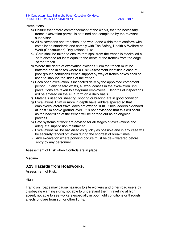62

**Precautions** 

- a) Ensure that before commencement of the works, that the necessary trench excavation permit is obtained and completed by the relevant supervisor.
- b) All excavations and trenches, and work done within them conform with established standards and comply with The Safety, Health & Welfare at Work (Construction) Regulations 2013.
- c) Care shall be taken to ensure that spoil from the trench is stockpiled a safe distance (at least equal to the depth of the trench) from the edge of the trench.
- d) Where the depth of excavation exceeds 1.2m the trench must be battered and in cases where a Risk Assessment identifies a case of poor ground conditions trench support by way of trench boxes shall be used to stabilise the sides of the trench.
- e) Each open excavation is inspected daily by the appointed competent person. If any hazard exists, all work ceases in the excavation until precautions are taken to safeguard employees. Records of inspections will be entered on the AF 1 form on a daily basis.
- f) Materials used for sheeting, shoring or bracing are in good condition.
- g) Excavations 1.2m or more in depth have ladders spaced so that employees lateral travel does not exceed 10m. Such ladders extended at least 1m above ground level. It is not envisaged that this will occur as the backfilling of the trench will be carried out as an ongoing process.
- h) Safe systems of work are devised for all stages of excavations and adequate supervision maintained.
- i) Excavations will be backfilled as quickly as possible and in any case will be securely fenced off, even during the shortest of break times.
- j) Any excavation where ponding occurs must be de watered before entry by any personnel.

Assessment of Risk when Controls are in place:

Medium

## **3.23 Hazards from Roadworks.**

Assessment of Risk:

High

Traffic on roads may cause hazards to site workers and other road users by disobeying warning signs, not able to understand them, travelling at high speed, not able to see workers especially in poor light conditions or through affects of glare from sun or other lights.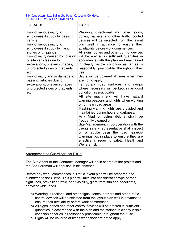| <b>HAZARDS</b>                                                                                                                                                                                                                                                                                                                                                                                                                                    | <b>RISKS</b>                                                                                                                                                                                                                                                                                                                                                                                                                                                                                                                                                                                                                                                                                                                                                                                                                                                                                                                                                                                                                                                                                                                                   |
|---------------------------------------------------------------------------------------------------------------------------------------------------------------------------------------------------------------------------------------------------------------------------------------------------------------------------------------------------------------------------------------------------------------------------------------------------|------------------------------------------------------------------------------------------------------------------------------------------------------------------------------------------------------------------------------------------------------------------------------------------------------------------------------------------------------------------------------------------------------------------------------------------------------------------------------------------------------------------------------------------------------------------------------------------------------------------------------------------------------------------------------------------------------------------------------------------------------------------------------------------------------------------------------------------------------------------------------------------------------------------------------------------------------------------------------------------------------------------------------------------------------------------------------------------------------------------------------------------------|
| Risk of serious injury to<br>employees if struck by passing<br>vehicle.<br>Risk of serious injury to<br>employees if struck by flying<br>stones or chippings.<br>Risk of injury caused by collision<br>of site vehicles due to<br>excavations, uneven surfaces,<br>unprotected sides of gradients<br>etc.<br>Risk of injury and or damage to<br>passing vehicles due to<br>excavations, uneven surfaces<br>unprotected sides of gradients<br>etc. | Warning, directional and other signs,<br>cones, barriers and other traffic control<br>devices will be selected from the layout<br>plan well in advance to ensure their<br>availability before work commences.<br>All signs, cones and other control devices<br>will be erected in sufficient quantities in<br>accordance with the plan and maintained<br>in clearly visible condition as far as is<br>reasonably practicable throughout their<br>use.<br>Signs will be covered at times when they<br>are not to apply.<br>Temporary road surfaces and ramps<br>where necessary will be kept in as good<br>condition as practicable.<br>All site machinery will have hazard<br>warning beacons and lights when working<br>on or near road areas.<br>Flashing warning lights are provided and<br>maintained during hours of darkness.<br>Any Mud or other debris shall be<br>frequently cleaned off.<br>Site Management in co-operation with the<br>clients safety representative shall inspect<br>on a regular basis the road hazards/<br>warnings put in place to ensure they are<br>effective in reducing safety, Health and<br>Welfare risk. |

## Arrangement to Guard Against Risks:

The Site Agent or the Contracts Manager will be in charge of the project and the Site Foreman will deputise in his absence.

Before any work, commences, a Traffic layout plan will be prepared and submitted to the Client. This plan will take into consideration type of road, sight lines, prevailing traffic, poor visibility, glare from sun and headlights, heavy or wide loads.

- a) Warning, directional and other signs, cones, barriers and other traffic control devices will be selected from the layout plan well in advance to ensure their availability before work commences.
- b) All signs, cones and other control devices will be erected in sufficient quantities in accordance with the plan and maintained in clearly visible condition as far as is reasonably practicable throughout their use.
- c) Signs will be covered at times when they are not to apply.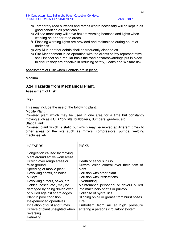- d) Temporary road surfaces and ramps where necessary will be kept in as good condition as practicable.
- e) All site machinery will have hazard warning beacons and lights when working on or near road areas.
- f) Flashing warning lights are provided and maintained during hours of darkness.
- g) Any Mud or other debris shall be frequently cleaned off.
- h) Site Management in co-operation with the clients safety representative shall inspect on a regular basis the road hazards/warnings put in place to ensure they are effective in reducing safety, Health and Welfare risk.

Assessment of Risk when Controls are in place:

Medium

## **3.24 Hazards from Mechanical Plant.**

Assessment of Risk:

**High** 

This may include the use of the following plant:

Mobile Plant:

Powered plant which may be used in one area for a time but constantly moving such as J.C.B./fork lifts, bulldozers, dumpers, graders, etc. Static Plant:

Powered plant which is static but which may be moved at different times to other areas of the site such as mixers, compressors, pumps, welding machines, etc.

| <b>HAZARDS</b>                                                                                                                                                                                                                                                                                                                                                                                                                                                                  | <b>RISKS</b>                                                                                                                                                                                                                                                                                                                                                                                                      |
|---------------------------------------------------------------------------------------------------------------------------------------------------------------------------------------------------------------------------------------------------------------------------------------------------------------------------------------------------------------------------------------------------------------------------------------------------------------------------------|-------------------------------------------------------------------------------------------------------------------------------------------------------------------------------------------------------------------------------------------------------------------------------------------------------------------------------------------------------------------------------------------------------------------|
| Congestion caused by moving<br>plant around active work areas.<br>Driving over rough areas or<br>false ground.<br>Speeding of mobile plant.<br>Revolving shafts, spindles,<br>pulleys<br>Revolving cutters, saws, etc.<br>Cables, hoses, etc., may be<br>damaged by being driven over<br>or pulled against sharp edges.<br>Plant in poor condition.<br>Inexperienced operatives.<br>Inhalation of dust and fumes.<br>Drivers of plant unsighted when<br>reversing.<br>Refueling | Death or serious injury<br>Drivers losing control over their item of<br>plant.<br>Collision with other plant.<br><b>Collision with Pedestrians</b><br>Overturning<br>Maintenance personnel or drivers pulled<br>into machinery shafts or pulleys<br>Collapse of hydraulics.<br>Slipping on oil or grease from burst hoses<br>Fire<br>Embolism from air at high pressure<br>entering a persons circulatory system. |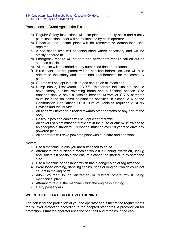## Precautions to Guard Against the Risks:

- a) Regular Safety Inspections will take place on a daily basis and a daily plant inspection sheet will be maintained by each operator.
- b) Defective and unsafe plant will be removed or demobilised until repaired.
- c) A site speed limit will be established where necessary and will be strictly adhered to.
- d) Emergency repairs will be safe and permanent repairs carried out as soon as possible.
- e) All repairs will be carried out by authorised dealer personnel.
- f) Hired plant and equipment will be checked before use, and will also adhere to the safety and operational requirements for the company plant.
- g) Guards will be kept in position and secure on all machines.
- h) Dump trucks, Excavators, J.C.B.'s, Teleporters fork lifts etc. should have clearly audible reversing horns and a flashing beacon. Site transport should have a flashing beacon. Mirrors or CCTV cameras must be fitted on items of plant as specified in Schedule 6 of the Construction Regulations 2013, "List of Vehicles requiring Auxiliary Devices and Visual Aids".
- i) Air lines will never be directed towards other persons or any part of the body.
- j) Hoses, pipes and cables will be kept clear of traffic.
- k) All drivers of plant must be proficient in their use or otherwise trained to an acceptable standard. Personnel must be over 18 years to drive any powered plant.
- l) All operators will drive powered plant with due care and attention.

Never:

- 1. Use a machine unless you are authorised to do so.
- 2. Attempt to free or clean a machine while it is running, switch off, unplug and isolate it if possible and ensure it cannot be started up by someone else.
- 3. Use a machine or appliance which has a danger sign or tag attached.
- 4. Wear loose clothing, dangling chains, rings or long hair which could get caught in moving parts.
- 5. Allow yourself to be distracted or distract others whilst using mechanical plant.
- 6. Attempt to re-fuel the machine whilst the engine is running.
- 7. Carry passengers.

## **WHEN THERE IS A RISK OF OVERTURNING**

The cab is for the protection of you the operator and it meets the requirements for roll over protection according to the adopted standards. A precondition for protection is that the operator uses the seat belt and remains in the cab.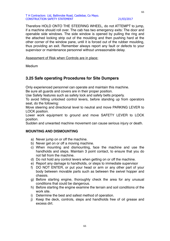Therefore HOLD ONTO THE STEERING WHEEL, do not ATTEMPT to jump, if a machine should roll over. The cab has two emergency exits: The door and openable side windows. The side window is opened by pulling the ring and the attached locking strip out of the moulding and then pushing hard at the other corner of the window pane, until it is forced out of the rubber moulding, thus providing an exit. Remember always report any fault or defects to your supervisor or maintenance personnel without unreasonable delay.

Assessment of Risk when Controls are in place:

Medium

## **3.25 Safe operating Procedures for Site Dumpers**

Only experienced personnel can operate and maintain this machine.

Be sure all guards and covers are in their proper position.

Use Safety features such as safety lock and safety belts properly.

To avoid hitting unlocked control levers, before standing up from operators seat, do the following:

Move steering and directional level to neutral and move PARKING LEVER to LOCK position.

Lower work equipment to ground and move SAFETY LEVER to LOCK position.

Sudden and unwanted machine movement can cause serious injury or death.

## **MOUNTING AND DISMOUNTING**

- a) Never jump on or off the machine.
- b) Never get on or off a moving machine.
- c) When mounting and dismounting, face the machine and use the handholds and steps. Maintain 3 point contact, to ensure that you do not fall from the machine.
- d) Do not hold any control levers when getting on or off the machine.
- e) Report any damage to handholds, or steps to immediate supervisor
- f) DO NOT ENTER, or put your head or arm or any other part of your body between movable parts such as between the swivel hopper and chassis.
- g) Before starting engine, thoroughly check the area for any unusual conditions that could be dangerous.
- h) Before starting the engine examine the terrain and soil conditions of the work site.
- i) Determine the best and safest method of operation.
- j) Keep the deck, controls, steps and handholds free of oil grease and excess dirt.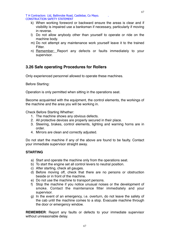- k) When working foreword or backward ensure the areas is clear and if visibility is impaired use a banksman if necessary, particularly if moving in reverse.
- l) Do not allow anybody other than yourself to operate or ride on the machine body.
- m) Do not attempt any maintenance work yourself leave it to the trained **Fitter**
- n) Remember: Report any defects or faults immediately to your supervisor.

## **3.26 Safe operating Procedures for Rollers**

Only experienced personnel allowed to operate these machines.

Before Starting:

Operation is only permitted when sitting in the operations seat.

Become acquainted with the equipment, the control elements, the workings of the machine and the area you will be working in.

Check Before Starting Whether:

- 1. The machine shows any obvious defects.
- 2. All protective devices are properly secured in their place.
- 3. Steering, brakes, control elements, lighting and warning horns are in order.
- 4. Mirrors are clean and correctly adjusted.

Do not start the machine if any of the above are found to be faulty. Contact your immediate supervisor straight away.

## **STARTING**

- a) Start and operate the machine only from the operations seat.
- b) To start the engine set all control levers to neutral position.
- c) After starting, check all gauges.
- d) Before moving off, check that there are no persons or obstruction beside or in front of the machine.
- e) Do not use the machine to transport persons.
- f) Stop the machine if you notice unusual noises or the development of smoke. Contact the maintenance fitter immediately and your supervisor.
- g) In the event of an emergency, i.e. overturn, do not leave the safety of the cab until the machine comes to a stop. Evacuate machine through the door or emergency window.

**REMEMBER**: Report any faults or defects to your immediate supervisor without unreasonable delay.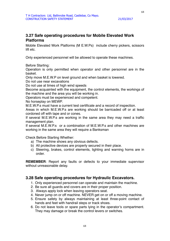## **3.27 Safe operating procedures for Mobile Elevated Work Platforms**

Mobile Elevated Work Platforms (M E.W.Ps) include cherry pickers, scissors lift etc.

Only experienced personnel will be allowed to operate these machines.

Before Starting:

Operation is only permitted when operator and other personnel are in the basket.

Only move M.E.W.P on level ground and when basket is lowered.

Do not use near excavations

Do not use at times of high wind speeds

Become acquainted with the equipment, the control elements, the workings of the machine and the area you will be working in.

Operators must be experienced and competent.

No horseplay on MEWP.

M.E.W.P.s must have a current test certificate and a record of inspection.

Areas in which M.E.W.P.s are working should be barricaded off or at least cordoned off with tape and or cones.

If several M.E.W.P.s are working in the same area they may need a traffic management plan.

If several M.E.W.P.s or a combination of M.E.W.P.s and other machines are working in the same area they will require a Banksman

Check Before Starting Whether:

- a) The machine shows any obvious defects.
- b) All protective devices are properly secured in their place.
- c) Steering, brakes, control elements, lighting and warning horns are in order.

**REMEMBER**: Report any faults or defects to your immediate supervisor without unreasonable delay.

## **3.28 Safe operating procedures for Hydraulic Excavators.**

- 1. Only experienced personnel can operate and maintain the machine.
- 2. Be sure all guards and covers are in their proper position.
- 3. Always apply lock when leaving operators seat.
- 4. Never jump on or off machine. NEVER get on or off a moving machine.
- 5. Ensure safety by always maintaining at least three-point contact of hands and feet with handrail steps or track shoes.
- 6. Do not leave tools or spare parts lying in the operator's compartment. They may damage or break the control levers or switches.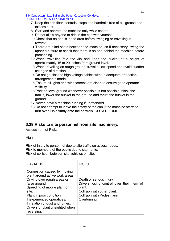## T H Contractors Ltd, Ballinrobe Road, Castlebar, Co Mayo. .

## CONSTRUCTION SAFETY STATEMENT

- 7. Keep the cab floor, controls, steps and handrails free of oil, grease and excess dust.
- 8. Start and operate the machine only while seated.
- 9. Do not allow anyone to ride in the cab with yourself.
- 10.Check that no one is in the area before swinging or travelling in reverse.
- 11.There are blind spots between the machine, so if necessary, swing the upper structure to check that there is no one behind the machine before proceeding.
- 12.When travelling fold the Jib and keep the bucket at a height of approximately 16 to 20 inches from ground level.
- 13.When travelling on rough ground, travel at low speed and avoid sudden changes of direction.
- 14.Do not go close to high voltage cables without adequate protection arrangements made.
- 15.Ensure all lights and windscreens are clean to ensure good operator visibility.
- 16.Park on level ground whenever possible. If not possible, block the tracks, lower the bucket to the ground and thrust the bucket in the ground.
- 17.Never leave a machine running if unattended.
- 18.Do not attempt to leave the safety of the cab if the machine starts to turn over. Hold firmly onto the controls. DO NOT JUMP.

## **3.29 Risks to site personnel from site machinery.**

Assessment of Risk:

High

Risk of injury to personnel due to site traffic on access roads. Risk to members of the public due to site traffic. Risk of collision between site vehicles on site.

| <b>HAZARDS</b>                                                                                                                                                                                                                                                                                    | <b>RISKS</b>                                                                                                                                                      |
|---------------------------------------------------------------------------------------------------------------------------------------------------------------------------------------------------------------------------------------------------------------------------------------------------|-------------------------------------------------------------------------------------------------------------------------------------------------------------------|
| Congestion caused by moving<br>plant around active work areas.<br>Driving over rough areas or<br>false ground.<br>Speeding of mobile plant on<br>site.<br>Plant in poor condition.<br>Inexperienced operatives.<br>Inhalation of dust and fumes.<br>Drivers of plant unsighted when<br>reversing. | Death or serious injury<br>Drivers losing control over their item of<br>plant.<br>Collision with other plant.<br><b>Collision with Pedestrians</b><br>Overturning |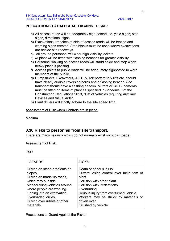## **PRECAUTIONS TO SAFEGUARD AGAINST RISKS:**

- a) All access roads will be adequately sign posted, i.e. yield signs, stop signs, directional signs.
- b) Excavations, trenches at side of access roads will be fenced and warning signs erected. Stop blocks must be used where excavations are beside site roadways.
- c) All ground personnel will wear high visibility jackets.
- d) All plant will be fitted with flashing beacons for greater visibility.
- e) Personnel walking on access roads will stand aside and stop when heavy plant is passing.
- f) Access points to public roads will be adequately signposted to warn members of the public.
- g) Dump trucks, Excavators, J.C.B.'s, Teleporters fork lifts etc. should have clearly audible reversing horns and a flashing beacon. Site transport should have a flashing beacon. Mirrors or CCTV cameras must be fitted on items of plant as specified in Schedule 6 of the Construction Regulations 2013, "List of Vehicles requiring Auxiliary Devices and Visual Aids".
- h) Plant drivers will strictly adhere to the site speed limit.

Assessment of Risk when Controls are in place:

Medium

## **3.30 Risks to personnel from site transport.**

There are many hazards which do not normally exist on public roads:

## Assessment of Risk:

High

| <b>HAZARDS</b>                | <b>RISKS</b>                              |
|-------------------------------|-------------------------------------------|
| Driving on steep gradients or | Death or serious injury                   |
| slopes.                       | Drivers losing control over their item of |
| Driving on made-up roads,     | plant.                                    |
| which may subside.            | Collision with other plant.               |
| Manoeuvring vehicles around   | <b>Collision with Pedestrians</b>         |
| where people are working.     | Overturning                               |
| Tipping into an excavation.   | Serious injury from overturned vehicle.   |
| Overloaded lorries.           | Workers may be struck by materials or     |
| Driving over rubble or other  | driven over.                              |
| materials                     | Crushed by vehicle                        |

**Precautions to Guard Against the Risks:** 

70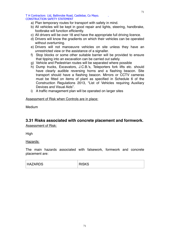## CONSTRUCTION SAFETY STATEMENT

- a) Plan temporary routes for transport with safety in mind.
- b) All vehicles will be kept in good repair and lights, steering, handbrake, footbrake will function efficiently.
- c) All drivers will be over 18 and have the appropriate full driving licence.
- d) Drivers will know the gradients on which their vehicles can be operated without overturning.
- e) Drivers will not manoeuvre vehicles on site unless they have an unrestricted view or the assistance of a signaller.
- f) Stop blocks or some other suitable barrier will be provided to ensure that tipping into an excavation can be carried out safely.
- g) Vehicle and Pedestrian routes will be separated where possible
- h) Dump trucks, Excavators, J.C.B.'s, Teleporters fork lifts etc. should have clearly audible reversing horns and a flashing beacon. Site transport should have a flashing beacon. Mirrors or CCTV cameras must be fitted on items of plant as specified in Schedule 6 of the Construction Regulations 2013, "List of Vehicles requiring Auxiliary Devices and Visual Aids".
- i) A traffic management plan will be operated on larger sites

Assessment of Risk when Controls are in place:

**Medium** 

# **3.31 Risks associated with concrete placement and formwork.**

Assessment of Risk:

High

Hazards:

The main hazards associated with falsework, formwork and concrete placement are:

| <b>HAZARDS</b> | <b>RISKS</b> |
|----------------|--------------|
|                |              |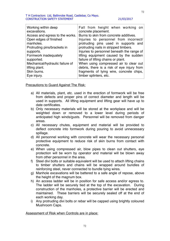| Working within deep<br>excavations. | Fall from height when working on<br>concrete placement. |
|-------------------------------------|---------------------------------------------------------|
| Access and egress to the works.     | Burns to skin from concrete additives.                  |
| Open edges of finished              | Injuries to personnel from incorrect/                   |
| manholes.                           | protruding pins used in supports and                    |
| Protruding pins/brackets in         | protruding nails in stripped timbers.                   |
| supports.                           | Injuries to personnel beneath the range of              |
| Formwork inadequately               | lifting equipment caused by the sudden                  |
| supported.                          | failure of lifting chains or plant.                     |
| Mechanical/hydraulic failure of     | When using compressed air to clear out                  |
| lifting plant.                      | debris, there is a risk of eye injury from              |
| Skin burns.                         | fragments of tying wire, concrete chips,                |
| Eye injury.                         | timber splinters, etc.                                  |

## Precautions to Guard Against The Risk:

- a) All materials, plant, etc. used in the erection of formwork will be free from defects and proper pins of correct diameter and length will be used in supports. All lifting equipment and lifting gear will have up to date certificates.
- b) Only necessary materials will be stored at the workplace and will be weighted down or removed to a lower level during periods of anticipated high winds/gusts. Personnel will be removed from danger areas.
- c) All necessary chutes, equipment and material will be provided to deflect concrete into formwork during pouring to avoid unnecessary spillage.
- d) All personnel working with concrete will wear the necessary personal protective equipment to reduce risk of skin burns from contact with concrete.
- e) When using compressed air, blow pipes to clean out shutters, eye protection will be worn by operator and material will be blown away from other personnel in the area.
- f) Steel divi bolts or suitable equivalent will be used to attach lifting chains to timber shutters and chains will be wrapped around bundles of reinforcing steel, never connected to bundle tying wires.
- g) Manhole excavations will be battered to a safe angle of repose, above the height of the magnum box.
- h) An access ladder will be in position for safe access and/or egress to. The ladder will be securely tied at the top of the excavation. During construction of the manholes, a protective barrier will be erected and maintained. These barriers will be securely sealed off at the end of each working day.
- i) Any protruding divi bolts or rebar will be capped using brightly coloured Mushroom Caps.

Assessment of Risk when Controls are in place: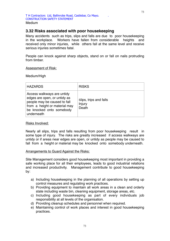# **3.32 Risks associated with poor housekeeping**

Many accidents such as trips, slips and falls are due to poor housekeeping in the workplace. Workers have fallen from considerable heights and received only minor injuries, while others fall at the same level and receive serious injuries sometimes fatal.

People can knock against sharp objects, stand on or fall on nails protruding from timber.

## Assessment of Risk:

Medium/High

| <b>HAZARDS</b>                                                                                                                                                        | <b>RISKS</b>                              |
|-----------------------------------------------------------------------------------------------------------------------------------------------------------------------|-------------------------------------------|
| Access walkways are untidy<br>edges are open, or untidy as<br>people may be caused to fall<br>from a height or material may<br>be knocked onto somebody<br>underneath | slips, trips and falls<br>Injury<br>Death |

### Risks Involved:

Nearly all slips, trips and falls resulting from poor housekeeping result in some type of injury. The risks are greatly increased if access walkways are untidy or if areas near edges are open, or untidy as people may be caused to fall from a height or material may be knocked onto somebody underneath.

## Arrangements to Guard Against the Risks:

Site Management considers good housekeeping most important in providing a safe working place for all their employees, leads to good industrial relations and increased productivity. Management contribute to good housekeeping by:

- a) Including housekeeping in the planning of all operations by setting up control measures and regulating work practices.
- b) Providing equipment to maintain all work areas in a clean and orderly state including waste bin, cleaning equipment, storage areas, etc.
- c) Including good housekeeping as part of every individuals job responsibility at all levels of the organisation.
- d) Providing cleanup schedules and personnel when required.
- e) Maintaining control of work places and interest in good housekeeping practices.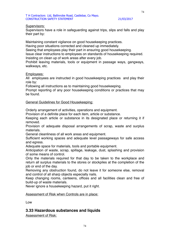### Supervisors:

Supervisors have a role in safeguarding against trips, slips and falls and play their part by:

Maintaining constant vigilance on good housekeeping practices.

Having poor situations corrected and cleaned up immediately.

Seeing that employees play their part in ensuring good housekeeping.

Issue clear instructions to employees on standards of housekeeping required. Insisting on clean up of work areas after every job.

Prohibit leaving materials, tools or equipment in passage ways, gangways, walkways, etc.

## Employees:

All employees are instructed in good housekeeping practices and play their role by:

Following all instructions as to maintaining good housekeeping.

Prompt reporting of any poor housekeeping conditions or practices that may be found.

## General Guidelines for Good Housekeeping:

Orderly arrangement of activities, operations and equipment.

Provision of a definite place for each item, article or substance.

Keeping each article or substance in its designated place or returning it if removed.

Provision of adequate disposal arrangements of scrap, waste and surplus materials.

General cleanliness of all work areas and equipment.

Sufficient working spaces and adequate level passageways for safe access and egress.

Adequate space for materials, tools and portable equipment.

Anticipation of waste, scrap, spillage, leakage, dust, splashing and provision of some means of control.

Only the materials required for that day to be taken to the workplace and return all surplus materials to the stores or stockpiles at the completion of the job or end of the day.

Removing any obstruction found, do not leave it for someone else, removal and control of all sharp objects especially nails.

Keep changing rooms, canteens, offices and all facilities clean and free of build-up of waste materials.

Never ignore a housekeeping hazard, put it right.

Assessment of Risk when Controls are in place:

Low

# **3.33 Hazardous substances and liquids**

Assessment of Risk: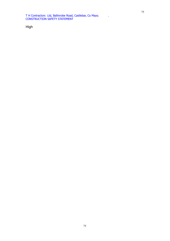High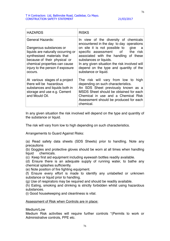| <b>HAZARDS</b>                                                                                                                                                                                                                  | <b>RISKS</b>                                                                                                                                                                                                                                                                                                                                               |
|---------------------------------------------------------------------------------------------------------------------------------------------------------------------------------------------------------------------------------|------------------------------------------------------------------------------------------------------------------------------------------------------------------------------------------------------------------------------------------------------------------------------------------------------------------------------------------------------------|
| General Hazards:<br>Dangerous substances or<br>liquids are naturally occurring or<br>synthesised materials that<br>because of their physical or<br>chemical properties can cause<br>injury to the person if exposure<br>occurs. | In view of the diversity of chemicals<br>encountered in the day to day operations<br>on site it is not possible to give<br>- a<br>specific assessment of<br>the risk<br>associated with the handling of these<br>substances or liquids.<br>In any given situation the risk involved will<br>depend on the type and quantity of the<br>substance or liquid. |
| At various stages of a project<br>there will be hazardous<br>substances and liquids both in<br>storage and use e.g. Cement<br>and Mould Oil.                                                                                    | The risk will vary from low to high<br>depending on such characteristics.<br>An SDS Sheet previously known as a<br>MSDS Sheet should be obtained for each<br>Chemical in use and a Chemical Risk<br>Assessment should be produced for each<br>chemical.                                                                                                    |

In any given situation the risk involved will depend on the type and quantity of the substance or liquid.

The risk will vary from low to high depending on such characteristics.

Arrangements to Guard Against Risks:

(a) Read safety data sheets (SDS Sheets) prior to handling. Note any precautions

(b) Goggles and protective gloves should be worn at all times when handling liquid chemicals.

(c) Keep first aid equipment including eyewash bottles readily available.

(d) Ensure there is an adequate supply of running water, to bathe any chemical splashes sufficiently.

(e) Note position of fire fighting equipment.

(f) Ensure every effort is made to identify any unlabelled or unknown substance or liquid prior to handling.

(g) Use of respirators may be required and should be readily available.

(h) Eating, smoking and drinking is strictly forbidden whilst using hazardous substances.

(i) Good housekeeping and cleanliness is vital.

### Assessment of Risk when Controls are in place:

Medium/Low

Medium Risk activities will require further controls \*(Permits to work or Administrative controls, PPE etc.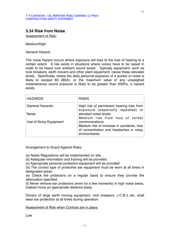# **3.34 Risk from Noise**

Assessment of Risk:

Medium/High

General Hazard:

The noise hazard occurs where exposure will lead to the loss of hearing to a certain extent. A risk exists in situations where voices have to be raised in order to be heard over ambient sound levels. Typically equipment, such as rock breakers, earth movers and other plant equipment, cause these elevated levels. Specifically, where the daily personal exposure of a worker to noise is likely to exceed 80 dB(A), or the maximum value of any unweighed instantaneous sound pressure is likely to be greater than 200Pa, a hazard exists.

| <b>RISKS</b>                                                                  |
|-------------------------------------------------------------------------------|
| High risk of permanent hearing loss from<br>exposure (especially repeated) to |
| elevated noise levels.                                                        |
| Medium risk from loss of verbal                                               |
| communications.                                                               |
| Medium risk of increase in accidents, loss                                    |
| of concentration and headaches in noisy<br>environments.                      |
|                                                                               |

Arrangement to Guard Against Risks:

(a) Noise Regulations will be implemented on site.

(b) Adequate information and training will be provided.

(c) Appropriate personal protective equipment will be provided

(d) The correct type of protective ear equipment must be worn at all times in designated areas.

(e) Check the protectors on a regular basis to ensure they provide the attenuation specified.

(f) Never remove ear protectors (even for a few moments) in high noise areas, instead move an appropriate distance away.

Drivers of large earth moving equipment, rock breakers, J.C.B.'s etc. shall wear ear protection at all times during operation.

## Assessment of Risk when Controls are in place:

Low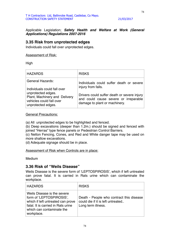Applicable Legislation; *Safety Health and Welfare at Work (General Applications) Regulations 2007-2016*

# **3.35 Risk from unprotected edges**

Individuals could fall over unprotected edges.

### Assessment of Risk:

High

| <b>HAZARDS</b>                                                                                        | <b>RISKS</b>                                                                                                          |
|-------------------------------------------------------------------------------------------------------|-----------------------------------------------------------------------------------------------------------------------|
| <b>General Hazards:</b><br>Individuals could fall over                                                | Individuals could suffer death or severe<br>injury from falls.                                                        |
| unprotected edges.<br>Plant, Machinery and Delivery<br>vehicles could fall over<br>unprotected edges. | Drivers could suffer death or severe injury<br>and could cause severe or irreparable<br>damage to plant or machinery. |

## General Precautions:

(a) All unprotected edges to be highlighted and fenced.

(b) Deep excavations (deeper than 1.2m.) should be signed and fenced with joined "Herras" type fence panels or Pedestrian Control Barriers.

(c) Netlon Fencing, Cones, and Red and White danger tape may be used on more shallow excavations.

(d) Adequate signage should be in place.

## Assessment of Risk when Controls are in place:

Medium

# **3.36 Risk of "Weils Disease"**

Weils Disease is the severe form of 'LEPTOSPIROSIS', which if left untreated can prove fatal. It is carried in Rats urine which can contaminate the workplace.

| <b>HAZARDS</b>                                                                                                                                                                | <b>RISKS</b>                                                                                        |
|-------------------------------------------------------------------------------------------------------------------------------------------------------------------------------|-----------------------------------------------------------------------------------------------------|
| Weils Disease is the severe<br>form of 'LEPTOSPIROSIS',<br>which if left untreated can prove<br>fatal. It is carried in Rats urine<br>which can contaminate the<br>workplace. | Death - People who contract this disease<br>could die if it is left untreated<br>Long term illness. |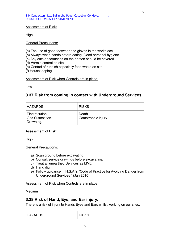Assessment of Risk:

High

General Precautions:

- (a) The use of good footwear and gloves in the workplace.
- (b) Always wash hands before eating. Good personal hygiene.
- (c) Any cuts or scratches on the person should be covered.
- (d) Vermin control on site
- (e) Control of rubbish especially food waste on site.
- (f) Housekeeping

Assessment of Risk when Controls are in place:

Low

# **3.37 Risk from coming in contact with Underground Services**

| <b>HAZARDS</b>                                         | <b>RISKS</b>                   |
|--------------------------------------------------------|--------------------------------|
| Electrocution.<br><b>Gas Suffocation.</b><br>Drowning. | Death -<br>Catastrophic injury |

Assessment of Risk:

High

General Precautions:

- a) Scan ground before excavating.
- b) Consult service drawings before excavating.
- c) Treat all unearthed Services as LIVE.
- d) Hand dig.
- e) Follow guidance in H.S.A.'s "Code of Practice for Avoiding Danger from Underground Services " (Jan 2010).

Assessment of Risk when Controls are in place:

Medium

# **3.38 Risk of Hand, Eye, and Ear injury.**

There is a risk of injury to Hands Eyes and Ears whilst working on our sites.

| <b>HAZARDS</b> | DICIZO<br>טחטור |
|----------------|-----------------|
|                |                 |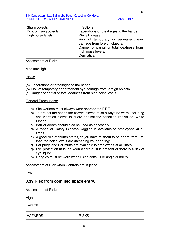#### Sharp objects Dust or flying objects. High noise levels. Infections Lacerations or breakages to the hands Weils Disease Risk of temporary or permanent eye damage from foreign objects. Danger of partial or total deafness from high noise levels. Dermatitis.

## Assessment of Risk:

Medium/High

Risks:

- (a) Lacerations or breakages to the hands.
- (b) Risk of temporary or permanent eye damage from foreign objects.
- (c) Danger of partial or total deafness from high noise levels.

General Precautions:

- a) Site workers must always wear appropriate P.P.E.
- b) To protect the hands the correct gloves must always be worn, including anti vibration gloves to guard against the condition known as 'White Finger'.
- c) Barrier cream should also be used as necessary.
- d) A range of Safety Glasses/Goggles is available to employees at all times.
- e) A good rule of thumb states, 'if you have to shout to be heard from 2m. than the noise levels are damaging your hearing'.
- f) Ear plugs and Ear muffs are available to employees at all times.
- g) Eye protection must be worn where dust is present or there is a risk of eye injury
- h) Goggles must be worn when using consuls or angle grinders.

Assessment of Risk when Controls are in place:

Low

# **3.39 Risk from confined space entry.**

Assessment of Risk:

High

**Hazards** 

| <b>HAZARDS</b> | <b>DIOIZO</b><br>טחטור |
|----------------|------------------------|
|----------------|------------------------|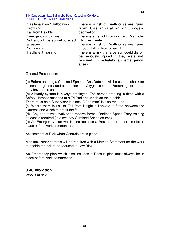| Gas Inhalation / Suffocation.<br>Drowning. | There is a risk of Death or severe injury<br>from Gas inhalation or Oxygen |
|--------------------------------------------|----------------------------------------------------------------------------|
| Fall from Heights.                         | deprivation.                                                               |
| Emergency situations.                      | There is a risk of Drowning, e.g. Manhole                                  |
| Not enough personnel to effect             | filling with water.                                                        |
| a rescue.                                  | There is a risk of Death or severe injury                                  |
| No Training                                | through falling from a height.                                             |
| <b>Insufficient Training</b>               | There is a risk that a person could die or                                 |
|                                            | be seriously injured if they were not                                      |
|                                            | rescued immediately an emergency<br>arises                                 |
|                                            |                                                                            |

## General Precautions:

(a) Before entering a Confined Space a Gas Detector will be used to check for poisonous gasses and to monitor the Oxygen content. Breathing apparatus may have to be used.

(b) A buddy system is always employed. The person entering is fitted with a Safety Harness attached to a Tri-Pod and winch on the outside.

There must be a Supervisor in place. A "top man" is also required.

(c) Where there is risk of Fall from Height a Lanyard is fitted between the Harness and winch to break the fall.

(d) Any operatives involved to receive formal Confined Space Entry training at least is required (ie a two day Confined Space course).

(e) An Emergency plan which also includes a Rescue plan must also be in place before work commences.

Assessment of Risk when Controls are in place:

Medium - other controls will be required with a Method Statement for the work to enable the risk to be reduced to Low Risk.

An Emergency plan which also includes a Rescue plan must always be in place before work commences

# **3.40 Vibration**

Who is at risk?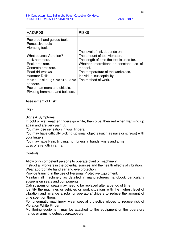| <b>HAZARDS</b>                                                                                                                                                                                                              | <b>RISKS</b>                                                                                                                                                                                                                |
|-----------------------------------------------------------------------------------------------------------------------------------------------------------------------------------------------------------------------------|-----------------------------------------------------------------------------------------------------------------------------------------------------------------------------------------------------------------------------|
| Powered hand guided tools.<br>Percussive tools<br>Vibrating tools;                                                                                                                                                          | The level of risk depends on;                                                                                                                                                                                               |
| What causes Vibration?<br>Jack hammers.<br>Rock breakers.<br>Concrete breakers.<br>Road drills/saws.<br>Hammer Drills<br>Hand held grinders and<br>sanders.<br>Power hammers and chisels.<br>Riveting hammers and bolsters. | The amount of tool vibration,<br>The length of time the tool is used for,<br>Whether intermittent or constant use of<br>the tool,<br>The temperature of the workplace,<br>Individual susceptibility,<br>The method of work. |

#### Assessment of Risk:

High

Signs & Symptoms

In cold or wet weather fingers go white, then blue, then red when warming up again and are very painful.

You may lose sensation in your fingers.

You may have difficulty picking up small objects (such as nails or screws) with your fingers.

You may have Pain, tingling, numbness in hands wrists and arms. Loss of strength in arms.

### **Controls**

Allow only competent persons to operate plant or machinery.

Instruct all workers in the potential sources and the health effects of vibration. Wear appropriate hand ear and eye protection.

Provide training in the use of Personal Protective Equipment.

Maintain all machinery as detailed in manufacturers handbook particularly suspension seats and components.

Cab suspension seats may need to be replaced after a period of time.

Identify the machines or vehicles or work situations with the highest level of vibration and arrange a rota for operators/ drivers to reduce the amount of time spent on them.

For pneumatic machinery, wear special protective gloves to reduce risk of Vibration White Finger.

Monitoring equipment may be attached to the equipment or the operators hands or arms to detect overexposure.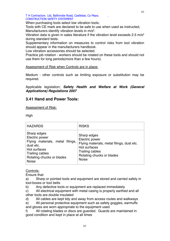When purchasing tools select low vibration tools;

Tools with CE mark are declared to be safe to use when used as instructed, Manufacturers identify vibration levels in m/s<sup>2</sup>.

Vibration data is given in sales literature if the vibration level exceeds 2.5 m/s2 during standard tests.

Supplementary information on measures to control risks from tool vibration should appear in the manufacturers handbook.

Low vibration accessories should be selected.

Practice job rotation - workers should be rotated on these tools and should not use them for long periods(more than a few hours).

## Assessment of Risk when Controls are in place:

Medium - other controls such as limiting exposure or substitution may be required.

Applicable legislation; *Safety Health and Welfare at Work (General Applications) Regulations 2007*

# **3.41 Hand and Power Tools:**

Assessment of Risk:

High

| <b>HAZARDS</b>                                                                                                                                                 | <b>RISKS</b>                                                                                                                                                       |
|----------------------------------------------------------------------------------------------------------------------------------------------------------------|--------------------------------------------------------------------------------------------------------------------------------------------------------------------|
| Sharp edges<br>Electric power<br>Flying materials, metal filings,<br>dust etc.<br>Hot surfaces<br>Trailing cables<br>Rotating chucks or blades<br><b>Noise</b> | Sharp edges<br>Electric power<br>Flying materials, metal filings, dust etc.<br>Hot surfaces<br><b>Trailing cables</b><br>Rotating chucks or blades<br><b>Noise</b> |

Controls:

Ensure that:

a) Sharp or pointed tools and equipment are stored and carried safely in tool-boxes or tool belts

b) Any defective tools or equipment are replaced immediately

c) All electrical equipment with metal casing is properly earthed and all other tools are double insulated

d) All cables are kept tidy and away from access routes and walkways

e) All personal protective equipment such as safety goggles, earmuffs and gloves are worn appropriate to the equipment used

f) All rotating blades or discs are guarded. Guards are maintained in good condition and kept in place at all times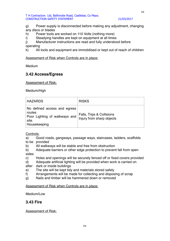g) Power supply is disconnected before making any adjustment, changing any discs or blades

h) Power tools are worked on 110 Volts (nothing more)

i) Steadying handles are kept on equipment at all times

j) Manufacturer instructions are read and fully understood before operating

k) All tools and equipment are immobilised or kept out of reach of children

Assessment of Risk when Controls are in place:

Medium

# **3.42 Access/Egress**

Assessment of Risk:

Medium/High

| <b>HAZARDS</b>                                                                                   | <b>RISKS</b>                                           |
|--------------------------------------------------------------------------------------------------|--------------------------------------------------------|
| No defined access and egress<br>routes<br>Poor Lighting of walkways and<br>site.<br>Housekeeping | Falls, Trips & Collisions<br>Injury from sharp objects |

Controls:

a) Good roads, gangways, passage ways, staircases, ladders, scaffolds to be provided

b) All walkways will be stable and free from obstruction

b) Adequate barriers or other edge protection to prevent fall from open sides

c) Holes and openings will be securely fenced off or fixed covers provided

d) Adequate artificial lighting will be provided when work is carried on

after dark or inside buildings

e) The site will be kept tidy and materials stored safely

f) Arrangements will be made for collecting and disposing of scrap

g) Nails and timber will be hammered down or removed

### Assessment of Risk when Controls are in place:

Medium/Low

# **3.43 Fire**

Assessment of Risk: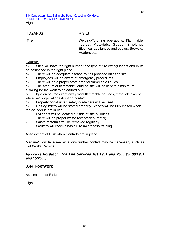| <b>HAZARDS</b> | <b>RISKS</b>                                                                                                                                |
|----------------|---------------------------------------------------------------------------------------------------------------------------------------------|
| Fire           | Welding/Torching operations, Flammable<br>liquids, Materials, Gases, Smoking,<br>Electrical appliances and cables, Sockets,<br>Heaters etc. |

## Controls:

a) Sites will have the right number and type of fire extinguishers and must be positioned in the right place

- b) There will be adequate escape routes provided on each site
- c) Employees will be aware of emergency procedures
- d) There will be a proper store area for flammable liquids

e) The amount of flammable liquid on site will be kept to a minimum allowing for the work to be carried out

f) Ignition sources kept away from flammable sources, materials except where work operations demand contact

g) Properly constructed safety containers will be used

h) Gas cylinders will be stored properly. Valves will be fully closed when the cylinder is not in use

- i) Cylinders will be located outside of site buildings
- j) There will be proper waste receptacles (metal)
- k) Waste materials will be removed regularly.
- l) Workers will receive basic Fire awareness training

Assessment of Risk when Controls are in place:

Medium/ Low In some situations further control may be necessary such as Hot Works Permits.

Applicable legislation; *The Fire Services Act 1981 and 2003 (SI 30/1981 and 15/2003)*

## **3.44 Roofwork**

Assessment of Risk:

High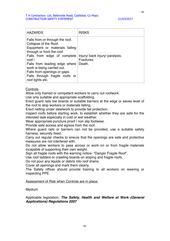| <b>HAZARDS</b>                                                                                                                                                                                                                                                                                                                 | <b>RISKS</b>                                            |
|--------------------------------------------------------------------------------------------------------------------------------------------------------------------------------------------------------------------------------------------------------------------------------------------------------------------------------|---------------------------------------------------------|
| Falls from or through the roof.<br>Collapse of the Roof.<br>Equipment or materials falling<br>through or from the roof.<br>Falls from edge of complete<br>roof. $\lambda$<br>Falls from leading edge where<br>work is being carried out.<br>Falls from openings or gaps.<br>Falls through fragile roofs or<br>roof lights etc. | Injury/ back injury/ paralysis.<br>Fractures.<br>Death. |

### **Controls**

Allow only trained or competent workers to carry out roofwork.

Use only suitable and appropriate scaffolding.

Erect guard rails toe boards or suitable barriers at the edge or eaves level of the roof to stop workers or materials falling.

Erect netting under steelwork to provide fall protection.

Inspect roofs before starting work, to establish whether they are safe for the intended task especially in cold or wet weather.

Wear appropriate puncture proof / non slip footwear.

Provide safe access and egress from the roof.

Where guard rails or barriers can not be provided, use a suitable safety harness, securely fixed.

Carry out regular checks to ensure that the openings are safe and protective measures are not interfered with.

Do not allow workers to pass across or work on or from fragile materials incapable of supporting their own weight.

Sign all fragile roofs with the warning notice- "Danger Fragile Roof".

Use roof ladders or crawling boards on sloping and fragile roofs.

Do not pour any liquids or debris into roof drains.

Cover all openings and mark them clearly.

The Safety officer should provide training to all workers on wearing or inspecting PPE.

Assessment of Risk when Controls are in place:

### Medium

Applicable legislation; *The Safety, Health and Welfare at Work (General Applications) Regulations 2007*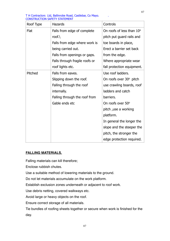| T H Contractors Ltd, Ballinrobe Road, Castlebar, Co Mayo. |  |
|-----------------------------------------------------------|--|
| <b>CONSTRUCTION SAFETY STATEMENT</b>                      |  |

| Roof Type | <b>Hazards</b>                 | Controls                   |
|-----------|--------------------------------|----------------------------|
| Flat      | Falls from edge of complete    | On roofs of less than 10°  |
|           | roof. $\setminus$              | pitch put guard rails and  |
|           | Falls from edge where work is  | toe boards in place,       |
|           | being carried out.             | Erect a barrier set back   |
|           | Falls from openings or gaps.   | from the edge.             |
|           | Falls through fragile roofs or | Where appropriate wear     |
|           | roof lights etc.               | fall protection equipment. |
| Pitched   | Falls from eaves.              | Use roof ladders.          |
|           | Slipping down the roof.        | On roofs over 30° pitch    |
|           | Falling through the roof       | use crawling boards, roof  |
|           | internally.                    | ladders and catch          |
|           | Falling through the roof from  | barriers.                  |
|           | Gable ends etc                 | On roofs over 50°          |
|           |                                | pitch, use a working       |
|           |                                | platform.                  |
|           |                                | In general the longer the  |
|           |                                | slope and the steeper the  |
|           |                                | pitch, the stronger the    |
|           |                                | edge protection required.  |

## **FALLING MATERIALS.**

Falling materials can kill therefore;

Enclose rubbish chutes.

Use a suitable method of lowering materials to the ground.

Do not let materials accumulate on the work platform.

Establish exclusion zones underneath or adjacent to roof work.

Use debris netting, covered walkways etc.

Avoid large or heavy objects on the roof.

Ensure correct storage of all materials.

Tie bundles of roofing sheets together or secure when work is finished for the day.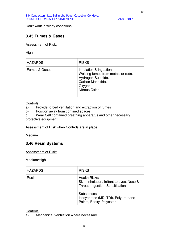Don't work in windy conditions.

# **3.45 Fumes & Gases**

Assessment of Risk:

High

| <b>HAZARDS</b>           | <b>RISKS</b>                                                                                                                             |
|--------------------------|------------------------------------------------------------------------------------------------------------------------------------------|
| <b>Fumes &amp; Gases</b> | Inhalation & Ingestion<br>Welding fumes from metals or rods,<br>Hydrogen Sulphide,<br>Carbon Monoxide,<br>Oxygen<br><b>Nitrous Oxide</b> |

Controls:

a) Provide forced ventilation and extraction of fumes

b) Position away from confined spaces

c) Wear Self contained breathing apparatus and other necessary

protective equipment

Assessment of Risk when Controls are in place:

Medium

# **3.46 Resin Systems**

Assessment of Risk:

Medium/High

| <b>HAZARDS</b> | <b>RISKS</b>                                                                                                                                          |
|----------------|-------------------------------------------------------------------------------------------------------------------------------------------------------|
| Resin          | Health Risks:<br>Skin, Inhalation, Irritant to eyes, Nose &<br>Throat, Ingestion, Sensitisation<br>Substances:<br>Isocyanates (MDI:TDI), Polyurethane |
|                | Paints, Epoxy, Polyester                                                                                                                              |

Controls:

a) Mechanical Ventilation where necessary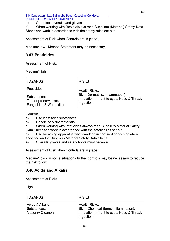b) One piece overalls and gloves

c) When working with Resin always read Suppliers (Material) Safety Data Sheet and work in accordance with the safety rules set out.

Assessment of Risk when Controls are in place:

Medium/Low - Method Statement may be necessary.

# **3.47 Pesticides**

Assessment of Risk:

Medium/High

| <b>HAZARDS</b>           | <b>RISKS</b>                                 |
|--------------------------|----------------------------------------------|
| Pesticides               | <b>Health Risks:</b>                         |
| Substances:              | Skin (Dermatitis, inflammation),             |
| Timber preservatives,    | Inhalation, Irritant to eyes, Nose & Throat, |
| Fungicides & Weed killer | Ingestion                                    |

Controls:

- a) Use least toxic substances
- b) Handle only dry materials

c) When working with Pesticides always read Suppliers Material Safety Data Sheet and work in accordance with the safety rules set out

- d) Use breathing apparatus when working in confined spaces or when specified on the Suppliers Material Safety Data Sheet.
- e) Overalls, gloves and safety boots must be worn

Assessment of Risk when Controls are in place:

Medium/Low - In some situations further controls may be necessary to reduce the risk to low.

# **3.48 Acids and Alkalis**

Assessment of Risk:

High

| <b>HAZARDS</b>                                                       | <b>RISKS</b>                                                                                                              |
|----------------------------------------------------------------------|---------------------------------------------------------------------------------------------------------------------------|
| <b>Acids &amp; Alkalis</b><br>Substances:<br><b>Masonry Cleaners</b> | <b>Health Risks:</b><br>Skin (Chemical Burns, inflammation),<br>Inhalation, Irritant to eyes, Nose & Throat,<br>Ingestion |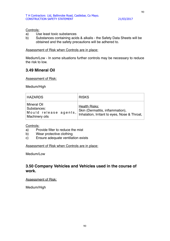## Controls:

- a) Use least toxic substances
- b) Substances containing acids & alkalis the Safety Data Sheets will be obtained and the safety precautions will be adhered to.

## Assessment of Risk when Controls are in place:

Medium/Low - In some situations further controls may be necessary to reduce the risk to low.

# **3.49 Mineral Oil**

Assessment of Risk:

Medium/High

| <b>HAZARDS</b>                                                               | <b>RISKS</b>                                                                                      |
|------------------------------------------------------------------------------|---------------------------------------------------------------------------------------------------|
| <b>Mineral Oil</b><br>Substances:<br>Mould release agents,<br>Machinery oils | Health Risks:<br>Skin (Dermatitis, inflammation),<br>Inhalation, Irritant to eyes, Nose & Throat. |

Controls:

- a) Provide filter to reduce the mist
- b) Wear protective clothing
- c) Ensure adequate ventilation exists

Assessment of Risk when Controls are in place:

Medium/Low

# **3.50 Company Vehicles and Vehicles used in the course of work.**

Assessment of Risk:

Medium/High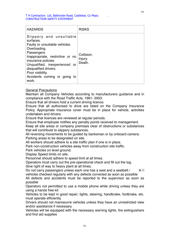| <b>HAZARDS</b>                                                                                                                                                                                                                                                                          | <b>RISKS</b>                    |
|-----------------------------------------------------------------------------------------------------------------------------------------------------------------------------------------------------------------------------------------------------------------------------------------|---------------------------------|
| Slippery and unsuitable<br>surfaces.<br>Faulty or unsuitable vehicles.<br>Overloading.<br>Passengers.<br>Inappropriate, restrictive or no<br>insurance policies.<br>Unqualified, inexperienced or<br>disqualified drivers.<br>Poor visibility.<br>Accidents coming or going to<br>work. | Collision.<br>Injury.<br>Death. |

## General Precautions

Maintain all Company Vehicles according to manufacturers guidance and in compliance with the Road Traffic Acts, 1961- 2003.

Ensure that all drivers hold a current driving licence.

Ensure that all authorised to drive are listed on the Company Insurance Policy. Appropriate insurance cover must be in place for vehicle, activities undertaken and drivers.

Ensure that licences are reviewed at regular periods.

Ensure that employee notifies any penalty points received to management. Keep all site areas or company premises clear of obstructions or substances that will contribute to slippery substances.

All reversing movements to be guided by banksman or by onboard camera. Parking areas to be designated on site.

All workers should adhere to a site traffic plan if one is in place.

Park non-construction vehicles away from construction site traffic.

Park vehicles on level ground.

Display Speed limits on site.

Personnel should adhere to speed limit at all times.

Operators must carry out the pre-operational check and fill out the log.

Give right of way to heavy plant at all times.

Do not carry passengers unless each one has a seat and a seatbelt. All vehicles checked regularly with any defects corrected as soon as possible

All defects and accidents must be reported to the supervisor as soon as possible

Operators not permitted to use a mobile phone while driving unless they are using a hands free kit.

Vehicles to be kept in good repair; lights, steering, handbrake, footbrake, etc. must operate efficiently.

Drivers should not manoeuvre vehicles unless they have an unrestricted view and/or assistance if necessary.

Vehicles will be equipped with the necessary warning lights, fire extinguishers and first aid supplies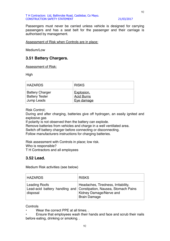Passengers must never be carried unless vehicle is designed for carrying passengers and has a seat belt for the passenger and their carriage is authorised by management.

Assessment of Risk when Controls are in place:

Medium/Low

# **3.51 Battery Chargers.**

Assessment of Risk:

**High** 

| <b>HAZARDS</b>         | <b>RISKS</b>      |
|------------------------|-------------------|
| <b>Battery Charger</b> | Explosion.        |
| <b>Battery Tester</b>  | <b>Acid Burns</b> |
| Jump Leads             | Eye damage        |

Risk Control;

During and after charging, batteries give off hydrogen, an easily ignited and explosive gas

If polarity is not observed then the battery can explode.

Remove batteries from vehicles and charge in a well ventilated area.

Switch off battery charger before connecting or disconnecting.

Follow manufacturers instructions for charging batteries.

Risk assessment with Controls in place; low risk. Who is responsible? T H Contractors and all employees

# **3.52 Lead.**

Medium Risk activities (see below)

| <b>HAZARDS</b>                   | <b>RISKS</b>                                                                                                                                                |
|----------------------------------|-------------------------------------------------------------------------------------------------------------------------------------------------------------|
| <b>Leading Roofs</b><br>disposal | Headaches, Tiredness, Irritability,<br>Lead-acid battery handling and Constipation, Nausea, Stomach Pains<br>Kidney Damage/Nerve and<br><b>Brain Damage</b> |

**Controls** 

Wear the correct PPE at all times...

• Ensure that employees wash their hands and face and scrub their nails before eating, drinking or smoking. .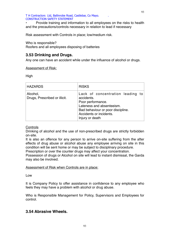• Provide training and information to all employees on the risks to health and the precautions/controls necessary in relation to lead if necessary

Risk assessment with Controls in place; low/medium risk.

Who is responsible?

Roofers and all employees disposing of batteries

# **3.53 Drinking and Drugs.**

Any one can have an accident while under the influence of alcohol or drugs.

## Assessment of Risk:

High

| <b>HAZARDS</b>                            | <b>RISKS</b>                                                                                                                                                                        |
|-------------------------------------------|-------------------------------------------------------------------------------------------------------------------------------------------------------------------------------------|
| Alcohol,<br>Drugs, Prescribed or illicit. | Lack of concentration leading to<br>accidents.<br>Poor performance.<br>Lateness and absenteeism.<br>Bad behaviour or poor discipline.<br>Accidents or incidents.<br>Injury or death |

## **Controls**

Drinking of alcohol and the use of non-prescribed drugs are strictly forbidden on-site.

It is also an offence for any person to arrive on-site suffering from the after effects of drug abuse or alcohol abuse any employee arriving on site in this condition will be sent home or may be subject to disciplinary procedure.

Prescription or over the counter drugs may affect your concentration.

Possession of drugs or Alcohol on site will lead to instant dismissal, the Garda may also be involved.

## Assessment of Risk when Controls are in place:

Low

It is Company Policy to offer assistance in confidence to any employee who feels they may have a problem with alcohol or drug abuse.

Who is Responsible Management for Policy, Supervisors and Employees for control.

# **3.54 Abrasive Wheels.**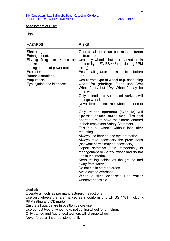#### Assessment of Risk:

High

| <b>HAZARDS</b>                                                                                                                                                                          | <b>RISKS</b>                                                                                                                                                                                                                                                                                                                                                                                                                                                                                                                                                                                                                                                                                                                                                                                                                                                                                                                                                                                                                                                                                                         |
|-----------------------------------------------------------------------------------------------------------------------------------------------------------------------------------------|----------------------------------------------------------------------------------------------------------------------------------------------------------------------------------------------------------------------------------------------------------------------------------------------------------------------------------------------------------------------------------------------------------------------------------------------------------------------------------------------------------------------------------------------------------------------------------------------------------------------------------------------------------------------------------------------------------------------------------------------------------------------------------------------------------------------------------------------------------------------------------------------------------------------------------------------------------------------------------------------------------------------------------------------------------------------------------------------------------------------|
| Shattering,<br>Entanglement,<br>Flying fragments/ molten<br>sparks,<br>Losing control of power tool,<br>Explosions,<br>Burns/lacerations,<br>Amputation,<br>Eye injuries and blindness. | Operate all tools as per manufacturers<br>instructions<br>Use only wheels that are marked as in<br>conformity to EN BS 4481 (including RPM<br>rating)<br>Ensure all guards are in position before<br>use.<br>Use correct type of wheel (e.g. not cutting<br>wheel for grinding). Don't use "Wet<br>Wheels" dry but "Dry Wheels" may be<br>used wet.<br>Only trained and Authorised workers will<br>change wheel.<br>Never force an incorrect wheel or stone to<br>fit.<br>Only trained operators (over 18) will<br>operate these machines. Trained<br>operators must have their name entered<br>in their employers Safety Statement.<br>Test run all wheels without load after<br>mounting.<br>Always use hearing and eye protection.<br>Always take necessary fire precautions<br>(hot work permit may be necessary).<br>Report defective tools immediately to<br>management or Safety officer and do not<br>use in the interim.<br>Keep trailing cables off the ground and<br>away from water.<br>Do not cut in storage areas.<br>Avoid cutting overhead.<br>When cutting concrete use water<br>whenever possible. |

## **Controls**

Operate all tools as per manufacturers instructions

Use only wheels that are marked as in conformity to EN BS 4481 (including RPM rating and CE mark)

Ensure all guards are in position before use.

Use correct type of wheel (e.g. not cutting wheel for grinding).

Only trained and Authorised workers will change wheel.

Never force an incorrect stone to fit.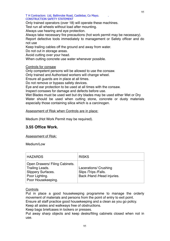Only trained operators (over 18) will operate these machines.

Test run all wheels without load after mounting.

Always use hearing and eye protection.

Always take necessary fire precautions (hot work permit may be necessary).

Report defective tools immediately to management or Safety officer and do not use

Keep trailing cables off the ground and away from water.

Do not cut in storage areas.

Avoid cutting over your head.

When cutting concrete use water whenever possible.

Controls for consaw

Only competent persons will be allowed to use the consaw.

Only trained and Authorised workers will change wheel.

Ensure all guards are in place at all times.

Do not remove or bypass safety devices.

Eye and ear protection to be used at all times with the consaw.

Inspect consaws for damage and defects before use.

Wet Blades must be used wet but dry blades may be used either Wet or Dry Water should be used when cutting stone, concrete or dusty materials especially those containing silica which is a carcinogen.

## Assessment of Risk when Controls are in place:

Medium (Hot Work Permit may be required).

# **3.55 Office Work.**

## Assessment of Risk:

Medium/Low

| <b>HAZARDS</b>                                                                                                         | <b>RISKS</b>                                                                |
|------------------------------------------------------------------------------------------------------------------------|-----------------------------------------------------------------------------|
| Open Drawers/ Filing Cabinets.<br><b>Trailing Leads.</b><br>Slippery Surfaces.<br>Poor Lighting.<br>Poor Housekeeping. | Lacerations/ Crushing<br>Slips /Trips /Falls.<br>Back /Hand /Head injuries. |

## **Controls**

Put in place a good housekeeping programme to manage the orderly movement of materials and persons from the point of entry to exit point. Ensure all staff practice good housekeeping and a clean as you go policy. Keep all aisles and walkways free of obstructions.

Keep bags briefcases in lockers or presses.

Put away sharp objects and keep desks/filing cabinets closed when not in use.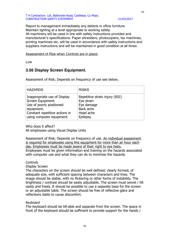Report to management immediately any defects in office furniture. Maintain lighting at a level appropriate to working safely. All machinery will be used in line with safety instructions provided and manufacturer's specifications. Paper shredders, photocopiers, fax machines, printing machines etc. will be used in accordance with safety instructions and suppliers instructions and will be maintained in good condition at all times.

## Assessment of Risk when Controls are in place:

Low

# **3.56 Display Screen Equipment.**

Assessment of Risk; Depends on frequency of use see below;

| <b>HAZARDS</b>                 | <b>RISKS</b>                   |
|--------------------------------|--------------------------------|
| Inappropriate use of Display   | Repetitive strain injury (RSI) |
| Screen Equipment.              | Eye strain                     |
| Use of poorly positioned       | Eye damage                     |
| equipment.                     | Back ache                      |
| Constant repetitive actions in | Head ache                      |
| using computer equipment.      | Epilepsy                       |

Who does it affect?

All employees using Visual Display Units

Assessment of Risk; Depends on frequency of use. An individual assessment is required for employees using this equipment for more than an hour each day. Employees must be made aware of their right to eye tests. Employees must be given information and training on the hazards associated with computer use and what they can do to minimise the hazards.

## **Controls**

Display Screen

The characters on the screen should be well defined; clearly formed, of adequate size, with sufficient spacing between characters and lines. The image should be stable, with no flickering or other forms of instability. The brightness / contrast should be easily adjustable. The screen must swivel / tilt easily and freely. It should be possible to use a separate base for the screen or an adjustable table. The screen should be free of reflective glare and reflections liable to cause discomfort.

## Keyboard

The keyboard should be tilt-able and separate from the screen. The space in front of the keyboard should be sufficient to provide support for the hands /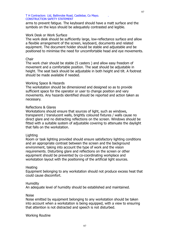arms to prevent fatigue. The keyboard should have a matt surface and the symbols on the keys should be adequately contrasted and legible.

## Work Desk or Work Surface

The work desk should be sufficiently large, low-reflectance surface and allow a flexible arrangement of the screen, keyboard, documents and related equipment. The document holder should be stable and adjustable and be positioned to minimise the need for uncomfortable head and eye movements.

### Chair

The work chair should be stable (5 casters ) and allow easy freedom of movement and a comfortable position. The seat should be adjustable in height. The seat back should be adjustable in both height and tilt. A footrest should be made available if needed.

## Working Space & Hazards

The workstation should be dimensioned and designed so as to provide sufficient space for the operator or user to change position and vary movements. Any hazards identified should be reported and action taken as necessary.

## Reflections & Glares

Workstations should ensure that sources of light, such as windows, transparent / translucent walls, brightly coloured fixtures / walls cause no direct glare and no distracting reflections on the screen. Windows should be fitted with a suitable system of adjustable covering to attenuate the daylight that falls on the workstation.

## **Lighting**

Room or task lighting provided should ensure satisfactory lighting conditions and an appropriate contrast between the screen and the background environment, taking into account the type of work and the vision requirements. Disturbing glare and reflections on the screen or other equipment should be prevented by co-coordinating workplace and workstation layout with the positioning of the artificial light sources.

### **Heating**

Equipment belonging to any workstation should not produce excess heat that could cause discomfort.

### **Humidity**

An adequate level of humidity should be established and maintained.

## Noise

Noise emitted by equipment belonging to any workstation should be taken into account when a workstation is being equipped, with a view to ensuring that attention is not distracted and speech is not disturbed.

### Working Routine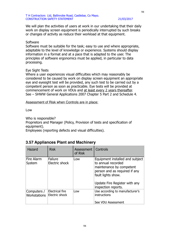We will plan the activities of users at work in our undertaking that their daily work on display screen equipment is periodically interrupted by such breaks or changes of activity as reduce their workload at that equipment.

## **Software**

Software must be suitable for the task; easy to use and where appropriate, adaptable to the level of knowledge or experience. Systems should display information in a format and at a pace that is adapted to the user. The principles of software ergonomics must be applied, in particular to data processing.

## Eye Sight Tests

Where a user experiences visual difficulties which may reasonably be considered to be caused by work on display screen equipment an appropriate eye and eyesight test will be provided, any such test to be carried out by a competent person as soon as practicable. Eye tests will be provided at commencement of work on VDUs and at least every 2 years thereafter. See – SHWW General Applications 2007 Chapter 5 Part 2 and Schedule 4.

## Assessment of Risk when Controls are in place:

Low

Who is responsible?

Proprietors and Manager (Policy, Provision of tests and specification of equipment).

Employees (reporting defects and visual difficulties).

# **3.57 Appliances Plant and Machinery**

| Hazard                      | <b>Risk</b>                       | Assessment<br>of Risk | Controls                                                                                                                                                                                         |
|-----------------------------|-----------------------------------|-----------------------|--------------------------------------------------------------------------------------------------------------------------------------------------------------------------------------------------|
| Fire Alarm<br>System        | Failure<br>Electric shock         | Low                   | Equipment installed and subject<br>to annual recorded<br>maintenance by competent<br>person and as required if any<br>fault lights show.<br>Update Fire Register with any<br>inspection reports. |
| Computers /<br>Workstations | Electrical fire<br>Electric shock | Low                   | Use according to manufacturer's<br>instructions                                                                                                                                                  |
|                             |                                   |                       | See VDU Assessment                                                                                                                                                                               |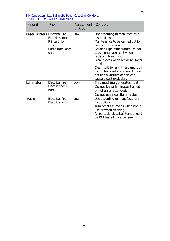| Hazard                         | <b>Risk</b>                                                                | Assessment  <br>of Risk | Controls                                                                                                                                                                                                                                                                                                                                                                                  |
|--------------------------------|----------------------------------------------------------------------------|-------------------------|-------------------------------------------------------------------------------------------------------------------------------------------------------------------------------------------------------------------------------------------------------------------------------------------------------------------------------------------------------------------------------------------|
| Laser Printers Electrical fire | Electric shock<br>Printer Ink-<br>Toner<br><b>Burns from laser</b><br>unit | Low                     | Use according to manufacturer's<br>instructions<br>Maintenance to be carried out by<br>competent person.<br>Caution High temperature-Do not<br>touch inner laser unit when<br>replacing toner unit.<br>Wear gloves when replacing Toner<br>or ink<br>Clean spilt toner with a damp cloth<br>as the fine dust can cause fire do<br>not use a vacuum as this can<br>cause a dust explosion. |
| Laminator                      | Electrical fire<br>Electric shock<br><b>Burns</b>                          | Low                     | This machine generates heat.<br>Do not leave laminator turned<br>on when unattended.<br>Do not use near flammables.                                                                                                                                                                                                                                                                       |
| Radio                          | Electrical fire<br>Electric shock                                          | Low                     | Use according to manufacturer's<br>instructions<br>Turn off at the mains when not in<br>use or when cleaning.<br>All portable electrical items should<br>be PAT tested once per year                                                                                                                                                                                                      |

T H Contractors Ltd, Ballinrobe Road, Castlebar, Co Mayo. . CONSTRUCTION SAFETY STATEMENT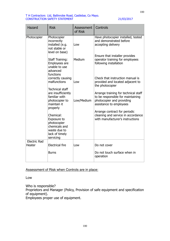100

| Hazard                        | <b>Risk</b>                                                                                                | Assessment<br>of Risk | Controls                                                                                                                          |
|-------------------------------|------------------------------------------------------------------------------------------------------------|-----------------------|-----------------------------------------------------------------------------------------------------------------------------------|
| Photocopier                   | Photocopier<br>incorrectly<br>installed (e.g.<br>not stable or<br>level on base)                           | Low                   | Have photocopier installed, tested<br>and demonstrated before<br>accepting delivery                                               |
|                               | Staff Training:<br>Employees are<br>unable to use<br>advanced<br>functions                                 | Medium                | Ensure that installer provides<br>operator training for employees<br>following installation                                       |
|                               | correctly causing<br>malfunctions                                                                          | Low                   | Check that instruction manual is<br>provided and located adjacent to<br>the photocopier                                           |
|                               | <b>Technical staff</b><br>are insufficiently<br>familiar with<br>photocopier to<br>maintain it<br>properly | Low/Medium            | Arrange training for technical staff<br>to be responsible for maintaining<br>photocopier and providing<br>assistance to employees |
|                               | Chemical:<br>Exposure to<br>photocopier<br>chemicals and<br>waste due to<br>lack of timely<br>servicing    |                       | Arrange contract for periodic<br>cleaning and service in accordance<br>with manufacturer's instructions                           |
| <b>Electric Rad</b><br>Heater | <b>Electrical fire</b>                                                                                     | Low                   | Do not cover                                                                                                                      |
|                               | <b>Burns</b>                                                                                               |                       | Do not touch surface when in<br>operation                                                                                         |

## Assessment of Risk when Controls are in place:

Low

Who is responsible? Proprietors and Manager (Policy, Provision of safe equipment and specification of equipment).

Employees proper use of equipment.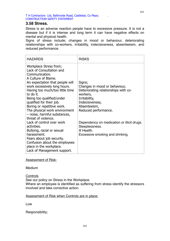# **3.58 Stress.**

Stress is an adverse reaction people have to excessive pressure. It is not a disease but if it is intense and long term it can have negative effects on mental and physical health.

Signs of stress include; changes in mood or behaviour, deteriorating relationships with co-workers, irritability, indecisiveness, absenteeism, and reduced performance.

| <b>HAZARDS</b>                                                                                                                                                                                                                                                                                                                                                                                | <b>RISKS</b>                                                                                                                                                            |
|-----------------------------------------------------------------------------------------------------------------------------------------------------------------------------------------------------------------------------------------------------------------------------------------------------------------------------------------------------------------------------------------------|-------------------------------------------------------------------------------------------------------------------------------------------------------------------------|
| Workplace Stress from;<br>Lack of Consultation and<br>Communication.<br>A Culture of Blame.<br>An expectation that people will<br>work excessively long hours.<br>Having too much/too little time<br>to do it.<br>Being too qualified/under<br>qualified for their job.<br>Boring or repetitive work.<br>The physical work environment<br>- noise, harmful substances,<br>threat of violence. | Signs;<br>Changes in mood or behaviour,<br>Deteriorating relationships with co-<br>workers,<br>Irritability,<br>Indecisiveness,<br>Absenteeism,<br>Reduced performance. |
| Lack of control over work<br>activities.<br>Bullying, racial or sexual<br>harassment.<br>Fears about job security.<br>Confusion about the employees<br>place in the workplace.<br>Lack of Management support.                                                                                                                                                                                 | Dependency on medication or illicit drugs.<br>Sleeplessness.<br>III Health.<br>Excessive smoking and drinking.                                                          |

## Assessment of Risk:

## Medium

### **Controls**

See our policy on Stress in the Workplace. Where an employee is identified as suffering from stress identify the stressors involved and take corrective action.

### Assessment of Risk when Controls are in place:

Low

Responsibility;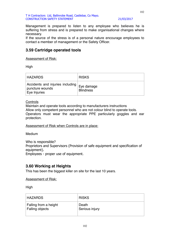Management is prepared to listen to any employee who believes he is suffering from stress and is prepared to make organisational changes where necessary.

If the source of the stress is of a personal nature encourage employees to contact a member of management or the Safety Officer.

# **3.59 Cartridge operated tools**

Assessment of Risk:

High

| <b>HAZARDS</b>                                                      | <b>RISKS</b>                   |
|---------------------------------------------------------------------|--------------------------------|
| Accidents and injuries including<br>puncture wounds<br>Eye Injuries | Eye damage<br><b>Blindness</b> |

## **Controls**

Maintain and operate tools according to manufacturers instructions Allow only competent personnel who are not colour blind to operate tools. Operators must wear the appropriate PPE particularly goggles and ear protection.

## Assessment of Risk when Controls are in place:

Medium

Who is responsible? Proprietors and Supervisors (Provision of safe equipment and specification of equipment). Employees - proper use of equipment.

# **3.60 Working at Heights**

This has been the biggest killer on site for the last 10 years.

### Assessment of Risk:

High

| <b>HAZARDS</b>        | <b>RISKS</b>   |
|-----------------------|----------------|
| Falling from a height | Death          |
| Falling objects       | Serious injury |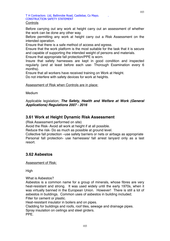Before carrying out any work at height carry out an assessment of whether the work can be done any other way.

Before permitting any work at height carry out a Risk Assessment on the intended operation.

Ensure that there is a safe method of access and egress.

Ensure that the work platform is the most suitable for the task that it is secure and capable of supporting the intended weight of persons and materials.

Ensure that appropriate fall protection/PPE is worn.

Insure that safety harnesses are kept in good condition and inspected regularly (and at least before each use- Thorough Examination every 6 months).

Ensure that all workers have received training on Work at Height.

Do not interfere with safety devices for work at heights.

Assessment of Risk when Controls are in place:

Medium

Applicable legislation; *The Safety, Health and Welfare at Work (General Applications) Regulations 2007 - 2016*

# **3.61 Work at Height Dynamic Risk Assessment**

(Risk Assessment performed on site)

Avoid the Risk- Avoid all work at height if at all possible.

Reduce the risk- Do as much as possible at ground level.

Collective fall protection –use safety barriers or nets or airbags as appropriate Personal fall protection- use harnesses/ fall arrest lanyard only as a last resort.

# **3.62 Asbestos**

Assessment of Risk:

High

What is Asbestos?

Asbestos is a common name for a group of minerals, whose fibres are very heat-resistant and strong. It was used widely until the early 1970s, when it was virtually banned in the European Union. However! There is still a lot of asbestos in buildings. Common uses of asbestos in building included;

Filler for cement or plastic.

Heat-resistant insulator in boilers and on pipes.

Cladding for buildings and roofs, roof tiles, sewage and drainage pipes.

Spray insulation on ceilings and steel girders.

PPE.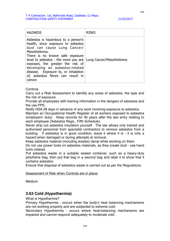| <b>HAZARDS</b>                                                                                                                                                                                                                                                                                                                                                                               | <b>RISKS</b> |
|----------------------------------------------------------------------------------------------------------------------------------------------------------------------------------------------------------------------------------------------------------------------------------------------------------------------------------------------------------------------------------------------|--------------|
| Asbestos is hazardous to a person's<br>health, since exposure to asbestos<br>dust can cause Lung Cancer/<br>Mesothelioma.<br>There is no known safe exposure<br>level to asbestos - the more you are   Lung Cancer/Mesothelioma<br>exposed, the greater the risk of<br>developing an asbestos-related<br>disease. Exposure to, or inhalation<br>of, asbestos fibres can result in<br>cancer. |              |

**Controls** 

Carry out a Risk Assessment to identify any areas of asbestos, the type and the risk of exposure.

Provide all employees with training information in the dangers of asbestos and the use PPE.

Notify HSA 28 days in advance of any work involving exposure to asbestos.

Maintain an Occupational Health Register of all workers exposed to asbestos (employers' duty). Keep records for 40 years after the last entry relating to each employee (Asbestos Regs., Fifth Schedule).

Never strip out asbestos insulation yourself. The law allows only trained and authorised personnel from specialist contractors to remove asbestos from a building. If asbestos is in good condition, leave it where it is - it is only a hazard when damaged or during attempts at removal.

Keep asbestos material (including wastes) damp while working on them.

Do not use power tools on asbestos materials, as they create dust - use hand tools instead.

Put asbestos waste in a suitable sealed container, such as a heavy-duty polythene bag, then put that bag in a second bag and label it to show that it contains asbestos.

Ensure that disposal of asbestos waste is carried out as per the Regulations.

Assessment of Risk when Controls are in place:

Medium

# **3.63 Cold (Hypothermia)**

What is Hypothermia?

Primary Hypothermia - occurs when the body's heat balancing mechanisms are not working properly and are subjected to extreme cold.

Secondary Hypothermia - occurs where heat-balancing mechanisms are impaired and cannot respond adequately to moderate cold.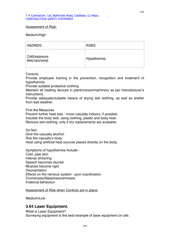### Assessment of Risk:

### Medium/High

| <b>HAZARDS</b>                 | <b>RISKS</b> |
|--------------------------------|--------------|
| Cold/exposure<br>Wet/rain/wind | Hypothermia  |

**Controls** 

Provide employee training in the prevention, recognition and treatment of hypothermia.

Provide suitable protective clothing.

Maintain all heating devices in plant/cranes/machinery as per manufacturer's instructions.

Provide adequate/suitable means of drying wet clothing, as well as shelter from bad weather.

First Aid Measures

Prevent further heat loss - move casualty indoors, if possible. Insulate the body well, using clothing, plastic and body heat. Remove wet clothing, only if dry replacements are available.

Do Not: Give the casualty alcohol. Rub the casualty's body. Heat using artificial heat sources placed directly on the body.

Symptoms of hypothermia Include - Cold, pale skin. Intense shivering Speech becomes slurred Muscles become rigid **Disorientation** Effects on the nervous system - poor coordination Clumsiness/Sleepiness/amnesia Irrational behaviour

Assessment of Risk when Controls are in place:

Medium/Low

# **3.64 Laser Equipment.**

What is Laser Equipment? Surveying equipment is the best example of laser equipment on site.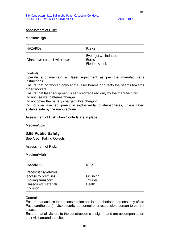## Assessment of Risk:

### Medium/High

| <b>HAZARDS</b>                | <b>RISKS</b>                                           |
|-------------------------------|--------------------------------------------------------|
| Direct eye-contact with laser | Eye injury/blindness<br><b>Burns</b><br>Electric shock |

**Controls** 

Operate and maintain all laser equipment as per the manufacturer's instructions.

Ensure that no worker looks at the laser beams or directs the beams towards other workers.

Ensure that laser equipment is serviced/repaired only by the manufacturer. Do not use wet batteries/charger.

Do not cover the battery charger while charging.

Do not use laser equipment in explosive/damp atmospheres, unless rated suitable/safe by the manufacturer.

Assessment of Risk when Controls are in place:

Medium/Low

# **3.65 Public Safety**

See Also: Falling Objects

Assessment of Risk:

Medium/High

| <b>HAZARDS</b>                                                                                                 | <b>RISKS</b>                  |
|----------------------------------------------------------------------------------------------------------------|-------------------------------|
| Pedestrians/Vehicles-<br>access to premises $-$<br>moving transport<br><b>Unsecured materials</b><br>Collision | Crushing<br>Injuries<br>Death |

**Controls** 

Ensure that access to the construction site is to authorised persons only (Safe Pass cardholders). Use security personnel or a responsible person to control access.

Ensure that all visitors to the construction site sign-in and are accompanied on their visit around the site.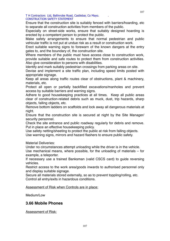# T H Contractors Ltd, Ballinrobe Road, Castlebar, Co Mayo. .

CONSTRUCTION SAFETY STATEMENT

Ensure that the construction site is suitably fenced with barriers/hoarding, etc to separate all construction activities from members of the public.

Especially on street-side works, ensure that suitably designed hoarding is erected by a competent person to protect the public.

Make safety arrangements to ensure that normal pedestrian and public vehicular traffic is not put at undue risk as a result or construction work.

Erect suitable warning signs to forewarn of the known dangers at the entry gates to, and the boundary of, the construction site.

Where members of the public must have access close to construction work, provide suitable and safe routes to protect them from construction activities. Also give consideration to persons with disabilities.

Identify and mark suitably pedestrian crossings from parking areas on site.

Devise and implement a site traffic plan, including speed limits posted with appropriate signage.

Keep all areas along traffic routes clear of obstructions, plant & machinery, materials, etc.

Protect all open or partially backfilled excavations/manholes and prevent access by suitable barriers and warning signs.

Adhere to good housekeeping practices at all times. Keep all public areas clear of construction-related debris such as muck, dust, trip hazards, sharp objects, falling objects, etc.

Remove bottom ladders on scaffolds and lock away all dangerous materials at night.

Ensure that the construction site is secured at night by the Site Manager/ security personnel.

Check the site entrance and public roadway regularly for debris and remove. Put in place an effective housekeeping policy.

Use safety netting/sheeting to protect the public at risk from falling objects.

Use warning signs, mirrors and hazard flashers to ensure public safety.

Material Deliveries:

Under no circumstances attempt unloading while the driver is in the vehicle.

Use mechanical means, where possible, for the unloading of materials – for example, a teleporter.

If necessary use a trained Banksman (valid CSCS card) to guide reversing vehicles.

Restrict access to the work area/goods inwards to authorised personnel only and display suitable signage.

Secure all materials stored externally, so as to prevent toppling/rolling, etc. Control all entry/exits in hazardous conditions.

Assessment of Risk when Controls are in place:

Medium/Low

# **3.66 Mobile Phones**

Assessment of Risk: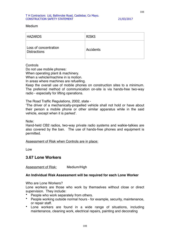#### Medium

| <b>HAZARDS</b>                               | <b>RISKS</b> |
|----------------------------------------------|--------------|
| Loss of concentration<br><b>Distractions</b> | Accidents    |

**Controls** 

Do not use mobile phones:

When operating plant & machinery.

When a vehicle/machine in is motion.

In areas where machines are refuelling.

Keep the overall use of mobile phones on construction sites to a minimum. The preferred method of communication on-site is via hands-free two-way radio - especially for lifting operations.

The Road Traffic Regulations, 2002, state -

'The driver of a mechanically-propelled vehicle shall not hold or have about their person a mobile phone or other similar apparatus while in the said vehicle, except when it is parked'.

Note:

Hand-held CB2 radios, two-way private radio systems and walkie-talkies are also covered by the ban. The use of hands-free phones and equipment is permitted.

Assessment of Risk when Controls are in place:

Low

## **3.67 Lone Workers**

Assessment of Risk: Medium/High

### **An Individual Risk Assessment will be required for each Lone Worker**

Who are Lone Workers?

Lone workers are those who work by themselves without close or direct supervision. They include:

- People who work separately from others.
- People working outside normal hours for example, security, maintenance, or repair staff.
- Lone workers are found in a wide range of situations, including maintenance, cleaning work, electrical repairs, painting and decorating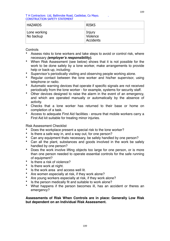| <b>HAZARDS</b>            | <b>RISKS</b>                    |
|---------------------------|---------------------------------|
| Lone working<br>No backup | Injury<br>Violence<br>Accidents |

**Controls** 

- Assess risks to lone workers and take steps to avoid or control risk, where necessary *(employer's responsibility).*
- When Risk Assessment (see below) shows that it is not possible for the work to be done safely by a lone worker, make arrangements to provide help or back-up, including:
- Supervisor's periodically visiting and observing people working alone.
- Regular contact between the lone worker and his/her supervisor, using telephone or radio.
- Automatic warning devices that operate if specific signals are not received periodically from the lone worker - for example, systems for security staff.
- Other devices designed to raise the alarm in the event of an emergency, and which are operated manually or automatically by the absence of activity.
- Checks that a lone worker has returned to their base or home on completion of a task.
- Access to adequate First Aid facilities ensure that mobile workers carry a First Aid kit suitable for treating minor injuries.

Risk Assessment Checklist

- Does the workplace present a special risk to the lone worker?
- Is there a safe way in, and a way out, for one person?<br>• Can any cquinment thats necessary he safely handled
- Can any equipment thats necessary, be safely handled by one person?
- Can all the plant, substances and goods involved in the work be safely handled by one person?
- Does the work involve lifting objects too large for one person, or is more than one person needed to operate essential controls for the safe running of equipment?
- Is there a risk of violence?
- Is there work at night.
- Is the work area and access well lit.
- Are women especially at risk, if they work alone?<br>• Are veing workers especially at risk, if they work
- Are young workers especially at risk, if they work alone?
- Is the person medically fit and suitable to work alone?
- What happens if the person becomes ill, has an accident or theres an emergency?

## **Assessments of Risk When Controls are in place: Generally Low Risk but dependent on an Individual Risk Assessment.**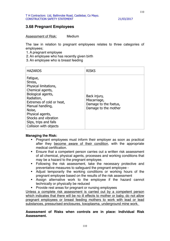## **3.68 Pregnant Employees**

### Assessment of Risk: Medium

The law in relation to pregnant employees relates to three categories of employees;

- 1.A pregnant employee
- 2.An employee who has recently given birth
- 3.An employee who is breast feeding

| <b>HAZARDS</b>                                                                                                                                                                                                                                                  | <b>RISKS</b>                                                                  |
|-----------------------------------------------------------------------------------------------------------------------------------------------------------------------------------------------------------------------------------------------------------------|-------------------------------------------------------------------------------|
| Fatigue,<br>Stress,<br>Physical limitations,<br>Chemical agents,<br>Biological agents,<br>Radiation,<br>Extremes of cold or heat,<br>Manual handling,<br>Noise,<br>Physical agents,<br>Shocks and vibration<br>Slips, trips and falls<br>Collision with objects | Back injury,<br>Miscarriage,<br>Damage to the foetus,<br>Damage to the mother |

### **Managing the Risk:**

- § Pregnant employees must inform their employer as soon as practical after they become aware of their condition, with the appropriate medical certification.
- Ensure that a competent person carries out a written risk assessment of all chemical, physical agents, processes and working conditions that may be a hazard to the pregnant employee.
- § Following the risk assessment, take the necessary protective and preventative measures to safeguard the pregnant employee -
- **•** Adjust temporarily the working conditions or working hours of the pregnant employee based on the results of the risk assessment
- § Assign alternative work to the employee if the hazard cannot technically or physically be reduced
- § Provide rest areas for pregnant or nursing employees

Unless a complete risk assessment is carried out by a competent person which indicates that there will be no ill effects to mother or baby, do not allow pregnant employees or breast feeding mothers to work with lead or lead substances, pressurised enclosures, toxoplasma, underground mine work.

### **Assessment of Risks when controls are in place: Individual Risk Assessment.**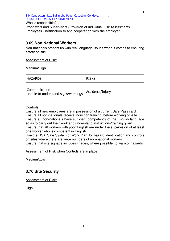T H Contractors Ltd, Ballinrobe Road, Castlebar, Co Mayo. . CONSTRUCTION SAFETY STATEMENT Who is responsible? Proprietors and Supervisors (Provision of individual Risk Assessment). Employees - notification to and cooperation with the employer.

## **3.69 Non National Workers**

Non-nationals present us with real language issues when it comes to ensuring safety on site.'

Assessment of Risk:

Medium/High

| <b>HAZARDS</b>                                         | <b>RISKS</b>     |
|--------------------------------------------------------|------------------|
| Communication -<br>unable to understand signs/warnings | Accidents/Injury |

### **Controls**

Ensure all new employees are in possession of a current Safe Pass card. Ensure all non-nationals receive Induction training, before working on-site. Ensure all non-nationals have sufficient competency of the English language so as to carry out their work and understand instructions/training given.

Ensure that all workers with poor English are under the supervision of at least one worker who is competent in English.

Use the HSA 'Safe System of Work Plan' for hazard identification and controls on sites where there are large numbers of non-national workers.

Ensure that site signage includes images, where possible, to warn of hazards.

Assessment of Risk when Controls are in place:

Medium/Low

## **3.70 Site Security**

Assessment of Risk:

High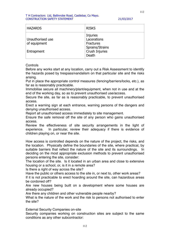**Controls** 

Before any works start at any location, carry out a Risk Assessment to identify the hazards posed by trespass/vandalism on that particular site and the risks arising.

Put in place the appropriate control measures (fencing/barriers/locks, etc.), as far as is reasonably practicable.

Immobilise secure all machinery/plant/equipment, when not in use and at the end of the working day, so as to prevent unauthorised use/access.

Secure the site, as far as is reasonably practicable, to prevent unauthorised access.

Erect a warning sign at each entrance, warning persons of the dangers and denying unauthorised access.

Report all unauthorised access immediately to site management.

Ensure the safe removal off the site of any person who gains unauthorised access.

Review the effectiveness of site security arrangements in the light of experience. In particular, review their adequacy if there is evidence of children playing on, or near the site.

How access is controlled depends on the nature of the project, the risks, and the location. Physically define the boundaries of the site, where practical, by suitable barriers that reflect the nature of the site and its surroundings. In deciding on the most appropriate exclusion methods to prevent unauthorised persons entering the site, consider:

The location of the site. Is it located in an urban area and close to extensive housing or a school, or, is it in a remote area?

Is there a right of way across the site?

Have the public or others access to the site in, or next to, other work areas? If it is not practicable to erect hoarding around the site, can hazardous areas

be cordoned off?

Are new houses being built on a development where some houses are already occupied?

Are there any children and other vulnerable people nearby?

What is the nature of the work and the risk to persons not authorised to enter the site?

External Security Companies on-site

Security companies working on construction sites are subject to the same conditions as any other subcontractor: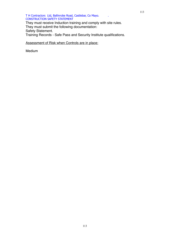Assessment of Risk when Controls are in place:

Medium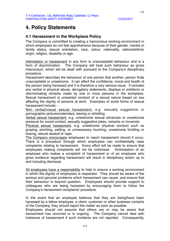# **4. Policy Statements**

## **4.1 Harassment in the Workplace Policy**

The Company is committed to creating a harmonious working environment in which employees do not feel apprehensive because of their gender, marital or family status, sexual orientation, race, colour, nationality, national/ethnic origin, religion, disability or age.

Intimidation or harassment in any form is unacceptable behaviour and is a form of discrimination. The Company will treat such behaviour as gross misconduct, which will be dealt with pursuant to the Company's disciplinary procedure.

Harassment describes the behaviour of one person that another, person finds unacceptable or unwelcome. It can affect the confidence, moral and health of the person being harassed and it is therefore a very serious issue. It includes any verbal or physical abuse, derogatory statements, displays or emblems or discriminating remarks made by one or more persons in the workplace. Sexual harassment is unwanted conduct of a sexual nature based on sex affecting the dignity of persons at work. Examples of some forms of sexual harassment include: -

Non verbal/visual sexual harassment, e.g. sexually suggestive or pornographic pictures/calendars, leering or whistling

Verbal sexual harassment, e.g. unwelcome sexual advances or unwelcome pressure for social contact, sexually suggestive jokes, remarks or innuendo

Physical sexual harassment, e.g. unwelcome physical conduct such as groping, pinching, patting, or unnecessary touching, unwelcome fondling or kissing, sexual assault or rape.

The Company encourages employees to report harassment should it occur. There is a procedure through which employees can confidentially raise complaints relating to harassment. Every effort will be made to ensure that employees making complaints will not be victimised. Victimisation of an employee who makes a complaint of harassment or of an employee who gives evidence regarding harassment will result in disciplinary action up to and including dismissal.

All employees have a responsibility to help to ensure a working environment in which the dignity of employees is respected. They should be aware of the serious and genuine problems which harassment can cause, and ensure that their behaviour is beyond question. Employees should provide support to colleagues who are being harassed by encouraging them to follow the Company's harassment complaints' procedure.

In the event that an employee believes that they are being/have been harassed by a fellow employee, a client, customer or other business contacts of the Company, they should report the matter as soon as possible.

Employees should not assume that others are or may be aware that harassment has occurred or is ongoing. The Company cannot deal with instances of harassment if such incidents are not reported. Consequently,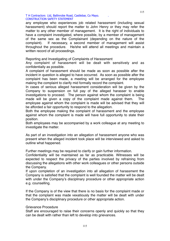any employee who experiences job related harassment (including sexual harassment) should report the matter to John Henry or they may refer the matter to any other member of management. It is the right of individuals to have a complaint investigated, where possible, by a member of management of the same sex as the Complainant (depending on the nature of the complaint). If necessary, a second member of management will assist throughout the procedure. He/she will attend all meetings and maintain a written record of all proceedings.

Reporting and Investigating of Complaints of Harassment

Any complaint of harassment will be dealt with sensitively and as confidentially as possible.

A complaint of harassment should be made as soon as possible after the incident in question is alleged to have occurred. As soon as possible after the complaint has been made, a meeting will be arranged for the employee making the complaint to clarify mid formally record the complaint.

In cases of serious alleged harassment consideration will be given by the Company to suspension on full pay of the alleged harasser to enable investigations to proceed. The person against whom the complaint is being made will be given a copy of the complaint made against them. The employee against whom the complaint is made will be advised that they will be afforded a fair opportunity to respond to the allegation.

Both the employee making the complaint of harassment and the employee against whom the complaint is made will have full opportunity to state their position.

Both employees may be accompanied by a work colleague at any meeting to investigate the matter.

As part of an investigation into an allegation of harassment anyone who was present when the alleged incident took place will be interviewed and asked to outline what happened.

Further meetings may be required to clarify or gain further information.

Confidentiality will be maintained as far as practicable. Witnesses will be expected to respect the privacy of the parties involved by refraining from discussing the allegations with other work colleagues or other persons outside the Company.

If upon completion of an investigation into all allegation of harassment the Company is satisfied that the complaint is well founded the matter will be dealt with under the Company's disciplinary procedure or other appropriate action e.g. counselling.

If the Company is of the view that there is no basis for the complaint made or that the complaint was made vexatiously the matter will be dealt with under the Company's disciplinary procedure or other appropriate action.

### Grievance Procedure

Staff are encouraged to raise their concerns openly and quickly so that they can be dealt with rather than left to develop into grievances.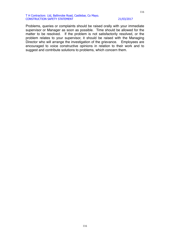Problems, queries or complaints should be raised orally with your immediate supervisor or Manager as soon as possible. Time should be allowed for the matter to be resolved. If the problem is not satisfactorily resolved, or the problem relates to your supervisor, it should be raised with the Managing Director who will arrange the investigation of the grievance. Employees are encouraged to voice constructive opinions in relation to their work and to suggest and contribute solutions to problems, which concern them.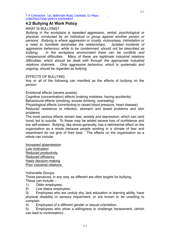## **4.2 Bullying At Work Policy**

## WHAT IS BULLYING?

*Bullying in the workplace is repeated aggression, verbal, psychological or physical, conducted by an individual or group against another person or persons. Bullying is where aggression or cruelty, viciousness, intimidation or a need to humiliate dominates the relationships. Isolated incidents of aggressive behaviour, while to be condemned, should not be described as bullying. In the workplace environment there can be conflicts and interpersonal difficulties. Many of these are legitimate industrial relations difficulties, which should be dealt with through the appropriate industrial relations channels. Only aggressive behaviour, which is systematic and ongoing, should be regarded as bullying.*

### EFFECTS OF BULLYING

Any or all of the following can manifest as the effects of bullying on the person:

Emotional effects (severe anxiety)

Cognitive (concentration) effects (making mistakes, having accidents)

Behavioural effects (smoking, excess drinking, overeating)

Physiological effects (contributing to raised blood pressure, heart disease)

Reduced resistance to infection, stomach and bowel problems and skin problems.

The most serious effects remain fear, anxiety and depression, which can (and have) led to suicide. To these may be added severe loss of confidence and low self-esteem. Bullying, like stress generally, has a detrimental effect on the organisation as a whole because people working in a climate of fear and resentment do not give of their best. The effects on the organisation as a whole can include:

Increased absenteeism Low motivation Reduced productivity Reduced efficiency Hasty decision-making Poor industrial relations.

Vulnerable Groups

Those perceived, in any way, as different are often targets for bullying. These can include: -

- 1) Older employees.
- 2) Low status employees.

3) Employees who are unduly shy, lack education or learning ability, have physical disability or sensory impairment, or are known to be unwilling to complain.

4) Employees of a different gender or sexual orientation.

5) Employees who show a willingness to challenge harassment, (which can lead to victimisation).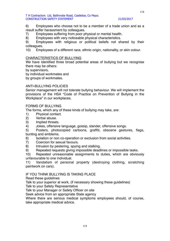6) Employees who choose not to be a member of a trade union and as a result suffer harassment by colleagues.

7) Employees suffering from poor physical or mental health.

8) Employees with very noticeable physical characteristics.

9) Employees with religious or political beliefs not shared by their colleagues.

10) Employees of a different race, ethnic origin, nationality, or skin colour.

### CHARACTERISTICS OF BULLYING

We have identified three broad potential areas of bullying but we recognise there may be others:

by supervisors,

by individual workmates and

by groups of workmates.

### ANTI-BULLYING POLICIES

Senior management will not tolerate bullying behaviour. We will implement the provisions of the HSA "Code of Practice on Prevention of Bullying in the Workplace" in our workplaces.

### FORMS OF BULLYING

The forms, which any of these kinds of bullying may take, are:

- 1) Physical contact.
- 2) Verbal abuse.
- 3) Implied threats.
- 4) Jokes, offensive language, gossip, slander, offensive songs.

5) Posters, photocopied cartoons, graffiti, obscene gestures, flags, bunting and emblems.

- 6) Isolation or non co-operation or exclusion from social activities.
- 7) Coercion for sexual favours.
- 8) Intrusion by pestering, spying and stalking.
- 9) Repeated requests giving impossible deadlines or impossible tasks.

10) Repeated unreasonable assignments to duties, which are obviously unfavourable to one individual.

11) Vandalism of personal property (destroying clothing, scratching paintwork on cars).

IF YOU THINK BULLYING IS TAKING PLACE

Read these guidelines

Talk to your superior at work, (if necessary showing these guidelines)

Talk to your Safety Representative

Talk to your Manager or Safety Officer on site

Seek advice from an appropriate State agency

Where there are serious medical symptoms employees should, of course, take appropriate medical advice.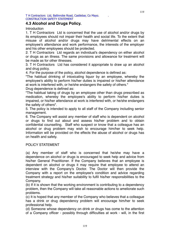## **4.3 Alcohol and Drugs Policy.**

Introduction

1. T H Contractors Ltd is concerned that the use of alcohol and/or drugs by its employees should not impair their health and social life. To the extent that misuse of alcohol and/or drugs may have detrimental effects on an employee's attendance and work performance, the interests of the employer and his other employees should be protected.

2. T H Contractors Ltd regards an individual's dependency on either alcohol or drugs as an illness. The same provisions and allowance for treatment will be made as for other illnesses.

3. T H Contractors Ltd has considered it appropriate to draw up an alcohol and drug policy.

4. For the purpose of the policy, alcohol dependence is defined as:

"The habitual drinking of intoxicating liquor by an employee, whereby the employee's ability to perform his/her duties is impaired or his/her attendance at work is interfered with, or he/she endangers the safety of others."

Drug dependence is defined as:

"The habitual taking of drugs by an employee other than drugs prescribed as medication, whereby the employee's ability to perform his/her duties is impaired, or his/her attendance at work is interfered with, or he/she endangers the safety of others".

5. The policy is intended to apply to all staff of the Company including senior management.

6. The Company will assist any member of staff who is dependent on alcohol or drugs to find out about and assess his/her problem and to obtain confidential counselling. Staff who suspect or know that a colleague has an alcohol or drug problem may wish to encourage him/her to seek help. Information will be provided on the effects the abuse of alcohol or drugs has on health and safety.

### POLICY STATEMENT

(a) Any member of staff who is concerned that he/she may have a dependence on alcohol or drugs is encouraged to seek help and advice from his/her General Practitioner. If the Company believes that an employee is dependent on alcohol or drugs it may require that employee to attend an interview with the Company's Doctor. The Doctor will then provide the Company with a report on the employee's condition and advice regarding treatment strategy and his/her suitability to fulfil his/her responsibilities to the Company.

(b) If it is shown that the working environment is contributing to a dependency problem, then the Company will take all reasonable actions to ameliorate such problems.

(c) It is hoped that any member of the Company who believes that a colleague has a drink or drug dependency problem will encourage him/her to seek professional help.

(d) Someone whose dependency on drink or drugs has come to the attention of a Company officer - possibly through difficulties at work - will, in the first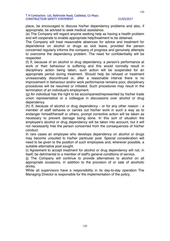place, be encouraged to discuss his/her dependency problems and also, if appropriate, be advised to seek medical assistance.

(e) The Company will regard anyone seeking help as having a health problem and will cooperate to enable appropriate help/treatment to be obtained.

The Company will treat reasonable absences for advice and treatment for dependence on alcohol or drugs as sick leave, provided the person concerned regularly informs the company of progress and genuinely attempts to overcome the dependency problem. The need for confidentiality will be respected.

(f) If, because of an alcohol or drug dependency, a person's performance at work or their behaviour is suffering and this would normally result in disciplinary action being taken, such action will be suspended for an appropriate period during treatment. Should help be refused or treatment unreasonably discontinued or, after a reasonable interval there is no improvement in behaviour and/or work performance remains poor, disciplinary procedures will be resumed or initiated. Such procedures may result in the termination of an individual's employment.

(g) An individual has the right to be accompanied/represented by his/her trade union representative or a colleague in discussions over alcohol or drug dependency.

(h) If, because of alcohol or drug dependency - or for any other reason - a member of staff behaves or carries out his/her work in such a way as to endanger himself/herself or others, prompt corrective action will be taken as necessary to prevent damage being done. In this sort of situation the employee's alcohol or drug dependency will be taken into account, but it will not necessarily free the person concerned from the consequences of his/her conduct.

In rare cases an employee who develops dependency on alcohol or drugs may become unsuited to his/her particular post. Special consideration will need to be given to the position of such employees and, wherever possible, a suitable alternative post sought.

(i) Agreement to accept treatment for alcohol or drug dependency will not, in itself, be detrimental to a member of staff's general conditions of service.

(j) The Company will continue to provide alternatives to alcohol on all appropriate occasions, in addition to the provision of or sale of alcoholic drinks.

While all supervisors have a responsibility in its day-to-day operation The Managing Director is responsible for the implementation of the policy.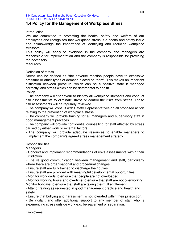## **4.4 Policy for the Management of Workplace Stress**

### Introduction

We are committed to protecting the health, safety and welfare of our employees and recognises that workplace stress is a health and safety issue and acknowledge the importance of identifying and reducing workplace stressors.

This policy will apply to everyone in the company and managers are responsible for implementation and the company is responsible for providing the necessary

resources.

### Definition of stress

Stress can be defined as "the adverse reaction people have to excessive pressure or other types of demand placed on them". This makes an important distinction between pressure, which can be a positive state if managed correctly, and stress which can be detrimental to health.

**Policy** 

• The company will endeavour to identify all workplace stressors and conduct risk assessments to eliminate stress or control the risks from stress. These risk assessments will be regularly reviewed.

• The company will consult with Safety Representatives on all proposed action relating to the prevention of workplace stress.

• The company will provide training for all managers and supervisory staff in good management practices.

• The company will provide confidential counselling for staff affected by stress caused by either work or external factors.

• The company will provide adequate resources to enable managers to implement the company's agreed stress management strategy.

### **Responsibilities**

Managers

• Conduct and implement recommendations of risks assessments within their jurisdiction.

• Ensure good communication between management and staff, particularly where there are organisational and procedural changes.

• Ensure staff are fully trained to discharge their duties.

• Ensure staff are provided with meaningful developmental opportunities.

• Monitor workloads to ensure that people are not overloaded.

• Monitor working hours and overtime to ensure that staff are not overworking. Monitor holidays to ensure that staff are taking their full entitlement.

• Attend training as requested in good management practice and health and safety.

• Ensure that bullying and harassment is not tolerated within their jurisdiction.

• Be vigilant and offer additional support to any member of staff who is experiencing stress outside work e.g. bereavement or separation.

**Employees**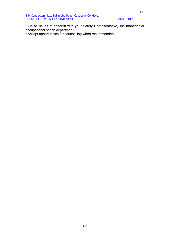• Raise issues of concern with your Safety Representative, line manager or occupational health department.

• Accept opportunities for counselling when recommended.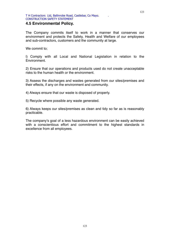### **4.5 Environmental Policy.**

The Company commits itself to work in a manner that conserves our environment and protects the Safety, Health and Welfare of our employees and sub-contractors, customers and the community at large.

We commit to:

l) Comply with all Local and National Legislation in relation to the Environment.

2) Ensure that our operations and products used do not create unacceptable risks to the human health or the environment.

3) Assess the discharges and wastes generated from our sites/premises and their effects, if any on the environment and community.

4) Always ensure that our waste is disposed of properly.

5) Recycle where possible any waste generated.

6) Always keeps our sites/premises as clean and tidy so far as is reasonably practicable.

The company's goal of a less hazardous environment can be easily achieved with a conscientious effort and commitment to the highest standards in excellence from all employees.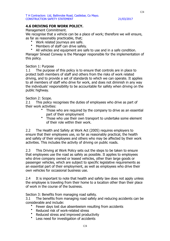## **4.6 DRIVING FOR WORK POLICY.**

Management Commitment.

We recognise that a vehicle can be a place of work; therefore we will ensure, as far as reasonably practicable, that;

- Work related journeys are safe.
- Members of staff can drive safely.
	- All vehicles and equipment are safe to use and in a safe condition.

Manager Sinead Conway is the Manager responsible for the implementation of this policy.

### Section 1: Purpose

1.1 The purpose of this policy is to ensure that controls are in place to protect both members of staff and others from the risks of work related driving, and to provide a set of standards to which we can operate. It applies to all members of staff who drive for work, and does not diminish in any way the individuals' responsibility to be accountable for safety when driving on the public highway.

### Section 2: Scope.

2.1 This policy recognises the duties of employees who drive as part of their work activities:

- Those who are required by the company to drive as an essential part of their employment
- Those who use their own transport to undertake some element of their role within their work.

2.2 The Health and Safety at Work Act (2005) requires employers to ensure that their employees use, so far as reasonably practical, the health and safety of their employees and others who may be affected by their work activities. This includes the activity of driving on public roads.

2.3 This Driving at Work Policy sets out the steps to be taken to ensure that employees use the road as safely as possible. It applies to employees who drive company owned or leased vehicles, other than large goods or passenger vehicles, which are subject to specific legislative requirements as an essential part of their employment, as well as employees who drive their own vehicles for occasional business use.

2.4 It is important to note that health and safety law does not apply unless the employee is traveling from their home to a location other than their place of work in the course of the business.

Section 3: Benefits from managing road safety.

3.1 The benefits from managing road safety and reducing accidents can be considerable and include:

- Fewer days lost due absenteeism resulting from accidents
- Reduced risk of work-related stress
- Reduced stress and improved productivity
- Less need for investigation of accidents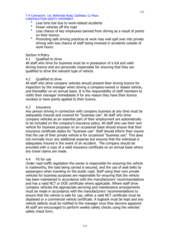- Less time lost due to work-related accidents
- Fewer vehicles off the road
- Less chance of key employees banned from driving as a result of points on their licence.
- Promoting safe driving practices at work may well spill over into private driving with less chance of staff being involved in accidents outside of work hours.

### Section 4:Policy

### 4.1 Oualified to drive

All staff who drive for business must be in possession of a full and valid driving licence and are personally responsible for ensuring that they are qualified to drive the relevant type of vehicle.

### 4.2 Qualified to drive

All staff who drive company vehicles should present their driving licence for inspection by the manager when driving a company-owned or leased vehicle, and thereafter on an annual basis. It is the responsibility of staff members to notify their manager immediately if for any reason they have their licence revoked or have points applied to their licence.

### 4.3 Insurance

Any person driving in connection with company business at any time must be adequately insured and covered for "business use". All staff who drive company vehicles as an essential part of their employment are automatically to be included on the company's insurance policy. All staff who use their own vehicle for business purposes on an occasional basis should ensure that their insurance certificate states for "business use". Staff should inform their insurer that the use of their private vehicle is for occasional "business use". This does not normally incur any additional expense but ensures that the individual is adequately insured in the event of an accident. The company should be provided with a copy of a valid insurance certificate on an annual basis where any travel claims are made.

### 4.4 Fit for use

Under road traffic legislation the owner is responsible for ensuring the vehicle is roadworthy, the load being carried is secured, and the use of seat belts by passengers when traveling on the public road. Staff using their own private vehicles for business purposes are responsible for ensuring that the vehicle has been maintained in accordance with the manufacturers' recommendations and has a valid NCT or DOE certificate where applicable. Where staff drive company vehicles the appropriate servicing and maintenance arrangements must be made in accordance with the manufacturers' recommendations to ensure that the vehicle is safe for use, either a valid NCT certificate must be displayed or a commercial vehicle certificate. A logbook must be kept and any vehicle defects must be notified to the manager once they become apparent. All staff are encouraged to perform weekly safety checks using the vehicles' safety check form.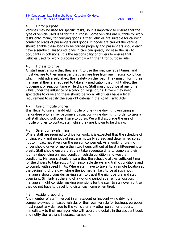126

### 4.5 Fit for purpose

Vehicles may be used for specific tasks, so it is important to ensure that the type of vehicle used is fit for the purpose. Some vehicles are suitable for work tasks only, mainly for carrying goods. Other vehicles are suitable for carrying combined loads of passengers and goods. If goods are carried the vehicle should enable these loads to be carried properly and passengers should each have a seatbelt. Unsecured loads in cars can greatly increase the risk to occupants in collisions. It is the responsibility of drivers to ensure that vehicles used for work purposes comply with the fit for purpose rule.

### 4.6 Fitness to drive

All staff must ensure that they are fit to use the roadway at all times, and must declare to their manager that they are free from any medical condition which might adversely affect their safety on the road. They must inform their manager if they are required to take any medication that might affect their judgement or reaction time while driving. Staff must not drive at any time while under the influence of alcohol or illegal drugs. Drivers may need spectacles to drive and these should be worn. All drivers have a legal requirement to satisfy the eyesight criteria in the Road Traffic Acts.

### 4.7 Use of mobile phones

It is illegal to use a hand-held mobile phone while driving. Even using a hands-free phone may become a distraction while driving. In order to take a call staff should pull over if safe to do so. We will discourage the use of mobile phones to contact staff while they are known to be driving.

### 4.8 Safe journey planning

Where staff are required to drive for work, it is expected that the schedule of driving, work and periods of rest are mutually agreed and determined so as not to impact negatively on the person concerned. As a working rule, no driver should drive for more than two hours without at least a fifteen-minute break. Staff should ensure that they take adequate time to complete their journey depending on road condition vehicle condition and weather conditions. Managers should ensure that the schedule allows sufficient time for the drivers to take account of reasonable delays and traffic conditions and to comply with speed limits. Where staff have to travel to a remote location at the beginning of the day, where the journey is likely to be at rush hour, managers should consider asking staff to travel the night before and stay overnight. Similarly at the end of a working period at a remote location, managers might consider making provisions for the staff to stay overnight so they do not have to travel long distances home when tired.

### 4.9 Accident reporting

Any member of staff involved in an accident or incident while driving a company-owned or leased vehicle, or their own vehicle for business purposes, must report any damage to the vehicle or any other person or property immediately to their manager who will record the details in the accident book and notify the relevant insurance company.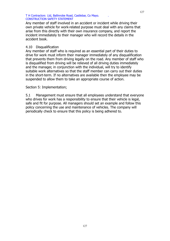Any member of staff involved in an accident or incident while driving their own private vehicle for work-related purpose must deal with any claims that arise from this directly with their own insurance company, and report the incident immediately to their manager who will record the details in the accident book.

### 4.10 Disqualification

Any member of staff who is required as an essential part of their duties to drive for work must inform their manager immediately of any disqualification that prevents them from driving legally on the road. Any member of staff who is disqualified from driving will be relieved of all driving duties immediately and the manager, in conjunction with the individual, will try to identify suitable work alternatives so that the staff member can carry out their duties in the short-term. If no alternatives are available then the employee may be suspended to allow them to take an appropriate course of action.

### Section 5: Implementation;

5.1 Management must ensure that all employees understand that everyone who drives for work has a responsibility to ensure that their vehicle is legal, safe and fit for purpose. All managers should set an example and follow this policy concerning the use and maintenance of vehicles. The company will periodically check to ensure that this policy is being adhered to.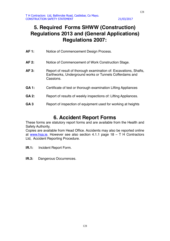# **5. Required Forms SHWW (Construction) Regulations 2013 and (General Applications) Regulations 2007:**

- **AF 1:** Notice of Commencement Design Process.
- **AF 2:** Notice of Commencement of Work Construction Stage.
- **AF 3:** Report of result of thorough examination of: Excavations, Shafts, Earthworks, Underground works or Tunnels Cofferdams and Cassions.
- **GA 1:** Certificate of test or thorough examination Lifting Appliances
- GA 2: **Report of results of weekly inspections of: Lifting Appliances.**
- GA 3 **Branch** Report of inspection of equipment used for working at heights

# **6. Accident Report Forms**

These forms are statutory report forms and are available from the Health and Safety Authority.

Copies are available from Head Office. Accidents may also be reported online at [www.hsa.ie.](http://www.hsa.ie) However see also section 4.1.1 page 18 – T H Contractors Ltd, Accident Reporting Procedure.

- **IR.1:** Incident Report Form.
- **IR.3:** Dangerous Occurrences.

128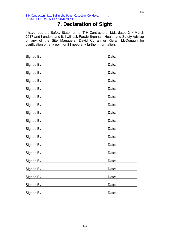129

T H Contractors Ltd, Ballinrobe Road, Castlebar, Co Mayo. . CONSTRUCTION SAFETY STATEMENT

# **7. Declaration of Sight**

I have read the Safety Statement of T H Contractors Ltd,. dated 21st March 2017 and I understand it. I will ask Paraic Brennan, Health and Safety Advisor or any of the Site Managers, David Curran or Kieran McDonagh for clarification on any point or if I need any further information.

|                                                          | Date:___________ |
|----------------------------------------------------------|------------------|
| Signed By: All and the Signed By: All and the Signed By: | Date: 2020       |
|                                                          | Date:            |
| <u>Signed By: Experience</u>                             | Date: Date:      |
| Signed By: All and the Signed By: All and the Signed By: | Date: Date:      |
| Signed By: Annual Signed By: Annual Signed By:           | Date: 2004       |
|                                                          | Date: Date:      |
| Signed By: All and the Signed By: All and the Signed By: | Date: 2000       |
|                                                          | Date:            |
| Signed By: <b>Container Signed By:</b>                   | Date: Date:      |
|                                                          | Date:            |
| Signed By: All and the Signed By: All and the Signed By: | Date: 2004       |
|                                                          | Date:            |
|                                                          | Date: 2004       |
| Signed By: All and the Signed By:                        | Date: 2000       |
|                                                          | Date:            |
| Signed By: Annual Signed By: Annual Signed By:           | Date: 2004       |
| Signed By: National Contract of Signed By:               | Date:            |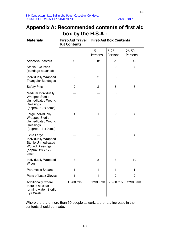130

# **Appendix A: Recommended contents of first aid box by the H.S.A :**

| <b>Materials</b>                                                                                                              | <b>First-Aid Travel</b><br><b>Kit Contents</b> |                    | <b>First-Aid Box Contents</b> |                      |
|-------------------------------------------------------------------------------------------------------------------------------|------------------------------------------------|--------------------|-------------------------------|----------------------|
|                                                                                                                               |                                                | $1 - 5$<br>Persons | $6 - 25$<br>Persons           | $26 - 50$<br>Persons |
| <b>Adhesive Plasters</b>                                                                                                      | 12                                             | 12                 | 20                            | 40                   |
| Sterile Eye Pads<br>(bandage attached)                                                                                        |                                                |                    | $\overline{2}$                | 4                    |
| <b>Individually Wrapped</b><br><b>Triangular Bandages</b>                                                                     | $\overline{2}$                                 | $\overline{2}$     | 6                             | 6                    |
| <b>Safety Pins</b>                                                                                                            | $\overline{2}$                                 | 2                  | 6                             | 6                    |
| Medium Individually<br><b>Wrapped Sterile</b><br><b>Unmedicated Wound</b><br>Dressings.<br>(approx. $10 \times 8$ cms)        |                                                |                    | 6                             | 8                    |
| Large Individually<br><b>Wrapped Sterile</b><br><b>Unmedicated Wound</b><br>Dressings.<br>(approx. $13 \times 9 \text{cms}$ ) | 1                                              | $\mathbf{1}$       | $\overline{2}$                | 4                    |
| Extra Large<br><b>Individually Wrapped</b><br><b>Sterile Unmedicated</b><br>Wound Dressings.<br>(approx. 28 x 17.5<br>cms)    |                                                |                    | 3                             | 4                    |
| <b>Individually Wrapped</b><br><b>Wipes</b>                                                                                   | 8                                              | 8                  | 8                             | 10                   |
| <b>Paramedic Shears</b>                                                                                                       | $\mathbf{1}$                                   | $\mathbf{1}$       | $\mathbf{1}$                  | 1                    |
| Pairs of Latex Gloves                                                                                                         | 1                                              | 1                  | $\overline{2}$                | $\overline{c}$       |
| Additionally, where<br>there is no clear<br>running water, Sterile<br>Eye Wash                                                | 1*900 mls                                      | 1*900 mls          | 2*900 mls                     | 2*900 mls            |

Where there are more than 50 people at work, a pro rata increase in the contents should be made.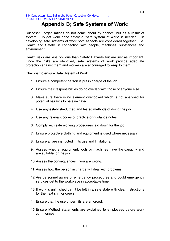# **Appendix B; Safe Systems of Work:**

Successful organisations do not come about by chance, but as a result of system. To get work done safely a "safe system of work" is needed. In developing safe systems of work both aspects are considered together, i.e. Health and Safety, in connection with people, machines, substances and environment.

Health risks are less obvious than Safety Hazards but are just as important. Once the risks are identified, safe systems of work provide adequate protection against them and workers are encouraged to keep to them.

Checklist to ensure Safe System of Work

- 1. Ensure a competent person is put in charge of the job.
- 2. Ensure their responsibilities do no overlap with those of anyone else.
- 3. Make sure there is no element overlooked which is not analysed for potential hazards to be eliminated.
- 4. Use any established, tried and tested methods of doing the job.
- 5. Use any relevant codes of practice or guidance notes.
- 6. Comply with safe working procedures laid down for the job.
- 7. Ensure protective clothing and equipment is used where necessary.
- 8. Ensure all are instructed in its use and limitations.
- 9. Assess whether equipment, tools or machines have the capacity and are suitable for the job.
- 10.Assess the consequences if you are wrong.
- 11. Assess how the person in charge will deal with problems.
- 12.Are personnel aware of emergency procedures and could emergency services get to the workplace in acceptable time.
- 13.If work is unfinished can it be left in a safe state with clear instructions for the next shift or crew?
- 14.Ensure that the use of permits are enforced.
- 15.Ensure Method Statements are explained to employees before work commences.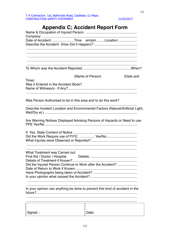21/03/2017

# **Appendix C; Accident Report Form**

| Date of Accident: Time am/pmLocation:                                           |                               |  |
|---------------------------------------------------------------------------------|-------------------------------|--|
|                                                                                 |                               |  |
|                                                                                 |                               |  |
|                                                                                 |                               |  |
|                                                                                 |                               |  |
|                                                                                 | (Name of Person)<br>(Date and |  |
| Time)<br>Was it Entered in the Accident Book?                                   |                               |  |
| Was Person Authorised to be in this area and to do this work?                   |                               |  |
| Describe Incident Location and Environmental Factors (Natural/Artificial Light, |                               |  |
| Are Warning Notices Displayed Advising Persons of Hazards or Need to use        |                               |  |
|                                                                                 |                               |  |
| What Treatment was Carried out:                                                 |                               |  |
|                                                                                 |                               |  |
| Did the Injured Person Continue to Work after the Accident?                     |                               |  |
|                                                                                 |                               |  |
| In your opinion can anything be done to prevent this kind of accident in the    |                               |  |
|                                                                                 |                               |  |
| Signed:                                                                         | Date:                         |  |